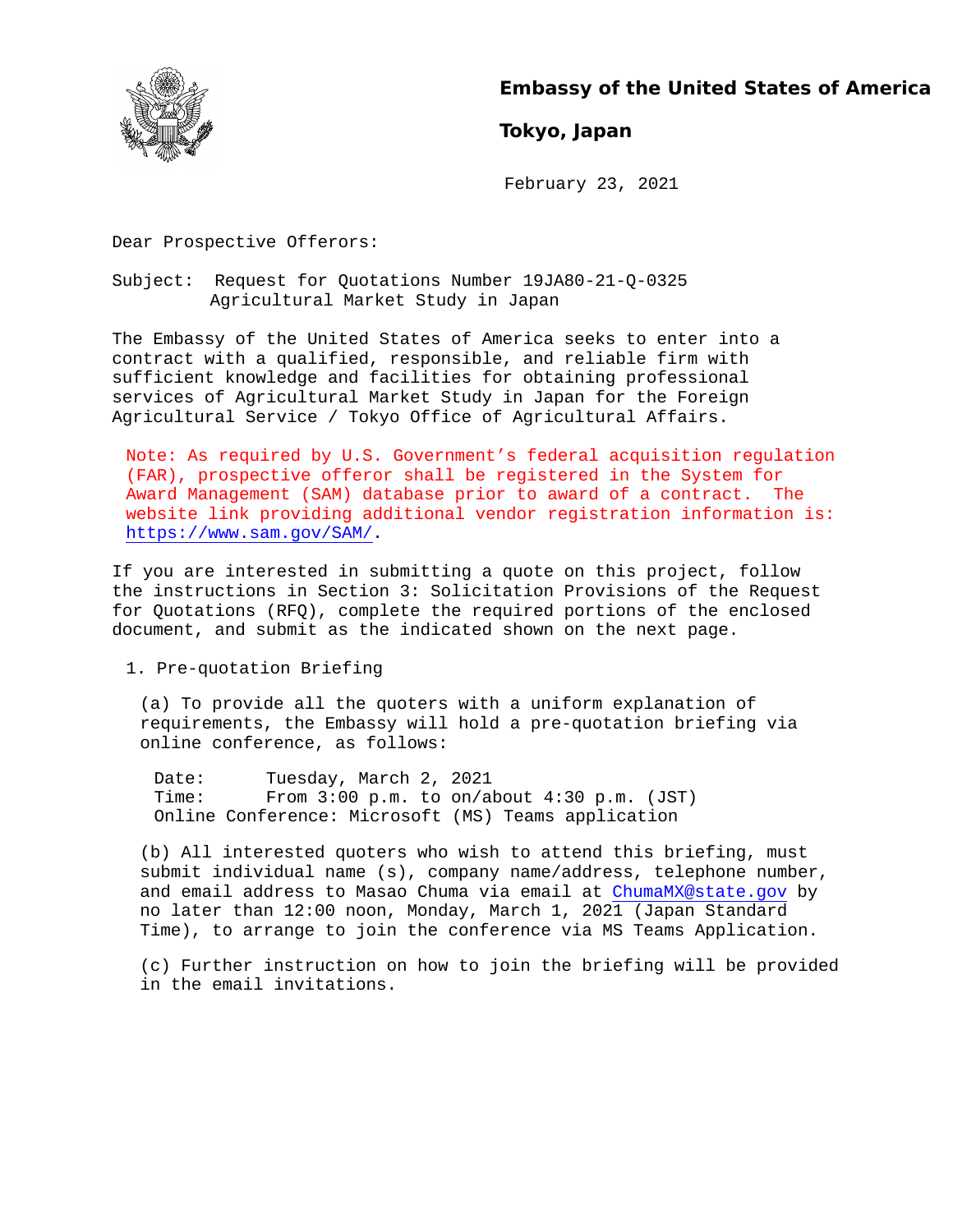

**Embassy of the United States of America** 

# **Tokyo, Japan**

February 23, 2021

Dear Prospective Offerors:

Subject: Request for Quotations Number 19JA80-21-Q-0325 Agricultural Market Study in Japan

The Embassy of the United States of America seeks to enter into a contract with a qualified, responsible, and reliable firm with sufficient knowledge and facilities for obtaining professional services of Agricultural Market Study in Japan for the Foreign Agricultural Service / Tokyo Office of Agricultural Affairs.

Note: As required by U.S. Government's federal acquisition regulation (FAR), prospective offeror shall be registered in the System for Award Management (SAM) database prior to award of a contract. The website link providing additional vendor registration information is: https://www.sam.gov/SAM/.

If you are interested in submitting a quote on this project, follow the instructions in Section 3: Solicitation Provisions of the Request for Quotations (RFQ), complete the required portions of the enclosed document, and submit as the indicated shown on the next page.

1. Pre-quotation Briefing

(a) To provide all the quoters with a uniform explanation of requirements, the Embassy will hold a pre-quotation briefing via online conference, as follows:

Date: Tuesday, March 2, 2021<br>Time: From 3:00 p.m. to on/al From  $3:00$  p.m. to on/about  $4:30$  p.m. (JST) Online Conference: Microsoft (MS) Teams application

(b) All interested quoters who wish to attend this briefing, must submit individual name (s), company name/address, telephone number, and email address to Masao Chuma via email at ChumaMX@state.gov by no later than 12:00 noon, Monday, March 1, 2021 (Japan Standard Time), to arrange to join the conference via MS Teams Application.

(c) Further instruction on how to join the briefing will be provided in the email invitations.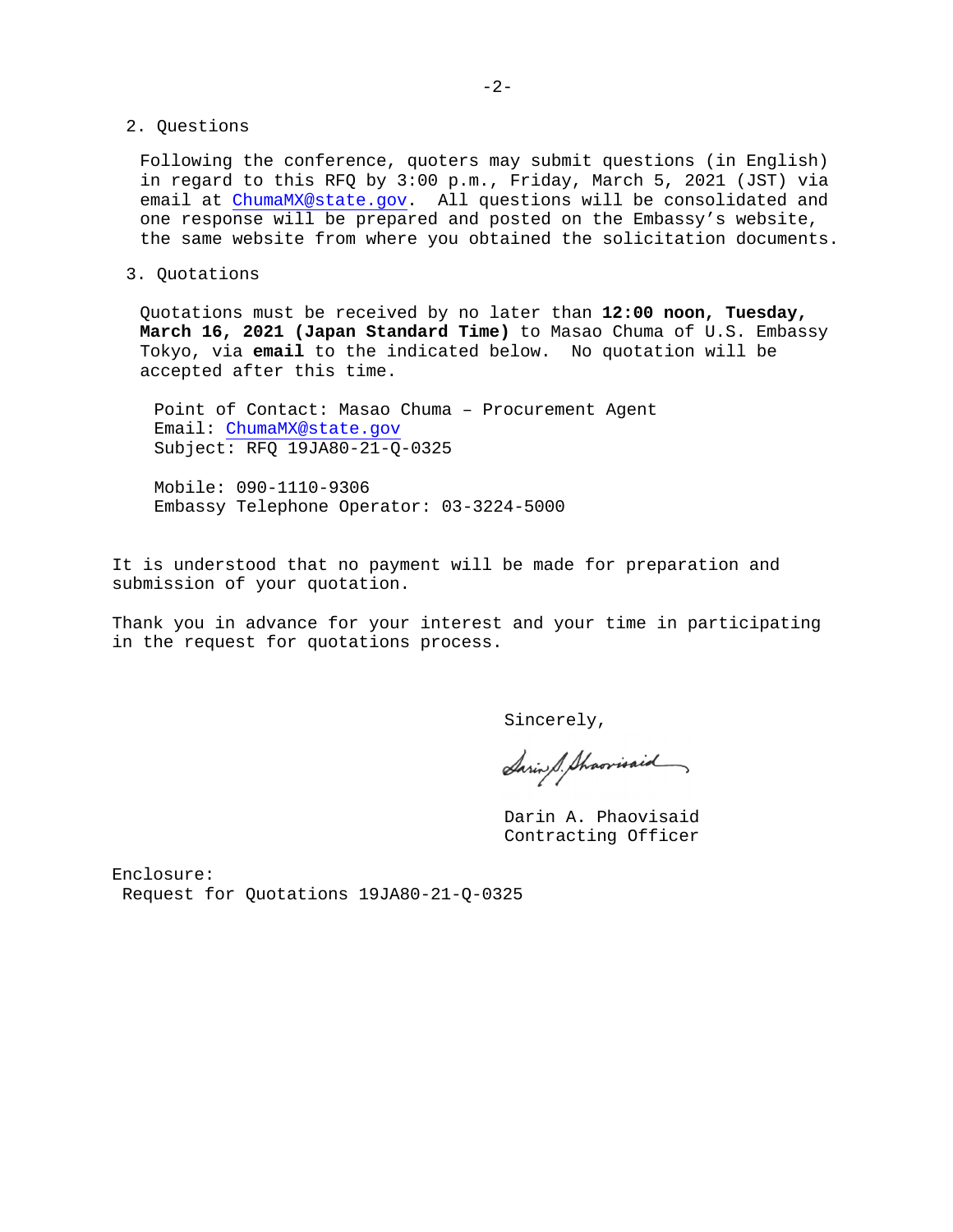2. Questions

Following the conference, quoters may submit questions (in English) in regard to this RFQ by 3:00 p.m., Friday, March 5, 2021 (JST) via email at ChumaMX@state.gov. All questions will be consolidated and one response will be prepared and posted on the Embassy's website, the same website from where you obtained the solicitation documents.

3. Quotations

Quotations must be received by no later than **12:00 noon, Tuesday, March 16, 2021 (Japan Standard Time)** to Masao Chuma of U.S. Embassy Tokyo, via **email** to the indicated below. No quotation will be accepted after this time.

Point of Contact: Masao Chuma – Procurement Agent Email: ChumaMX@state.gov Subject: RFQ 19JA80-21-Q-0325

Mobile: 090-1110-9306 Embassy Telephone Operator: 03-3224-5000

It is understood that no payment will be made for preparation and submission of your quotation.

Thank you in advance for your interest and your time in participating in the request for quotations process.

Sincerely,

Saring S. Sharrisaid

Darin A. Phaovisaid Contracting Officer

Enclosure: Request for Quotations 19JA80-21-Q-0325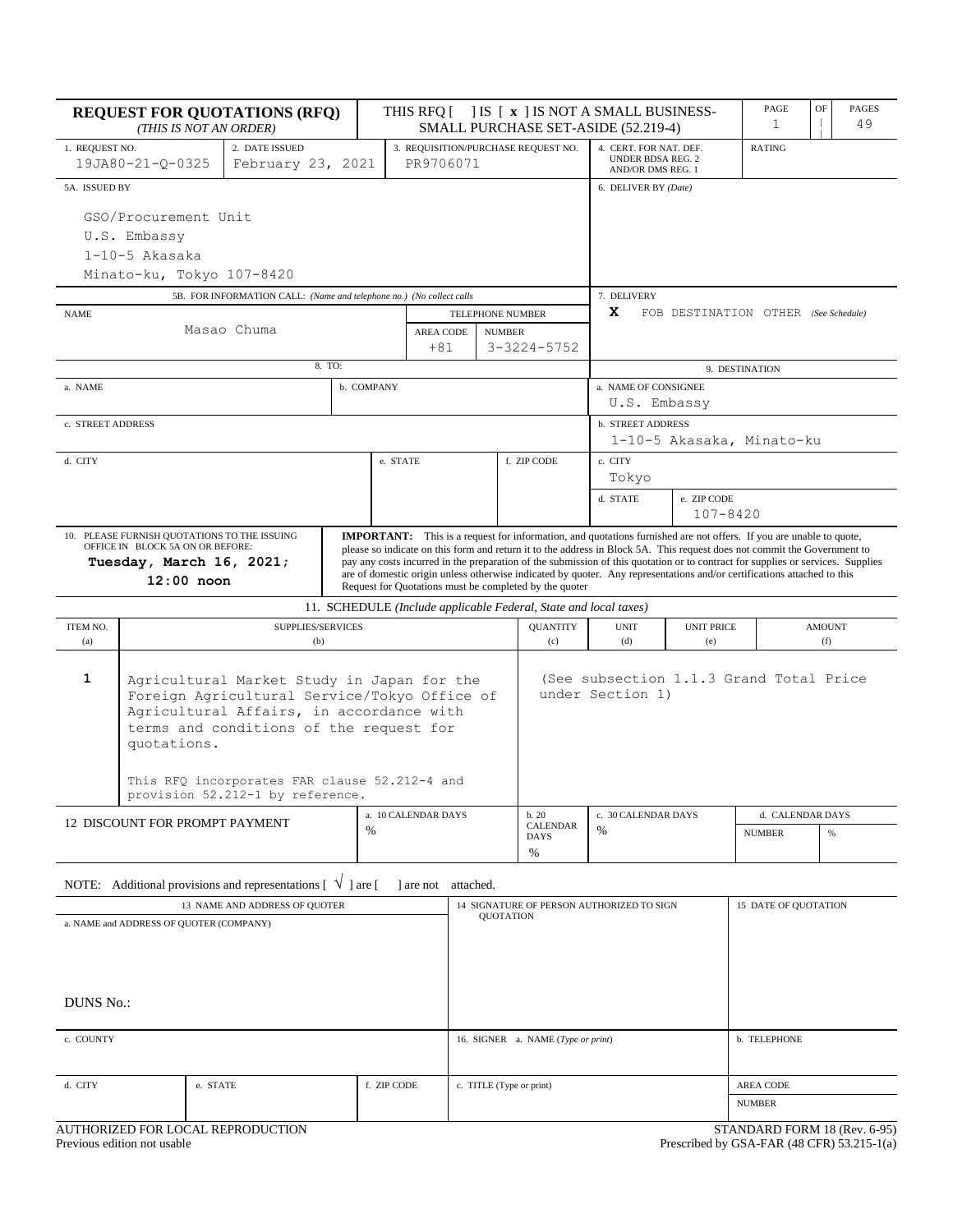| <b>REQUEST FOR QUOTATIONS (RFQ)</b><br>(THIS IS NOT AN ORDER)                                                                                                                                                                                                                                                                                                                                                                                                                                                                                                                                                                                                                                               |                                                                                                                                                                                                  |  |                                                                      |                                                                   |                                    | THIS RFQ [ ] IS [ x ] IS NOT A SMALL BUSINESS-<br>SMALL PURCHASE SET-ASIDE (52.219-4) |                                                                         |                                      |                           | PAGE<br>1 | OF | PAGES<br>49 |
|-------------------------------------------------------------------------------------------------------------------------------------------------------------------------------------------------------------------------------------------------------------------------------------------------------------------------------------------------------------------------------------------------------------------------------------------------------------------------------------------------------------------------------------------------------------------------------------------------------------------------------------------------------------------------------------------------------------|--------------------------------------------------------------------------------------------------------------------------------------------------------------------------------------------------|--|----------------------------------------------------------------------|-------------------------------------------------------------------|------------------------------------|---------------------------------------------------------------------------------------|-------------------------------------------------------------------------|--------------------------------------|---------------------------|-----------|----|-------------|
| 1. REQUEST NO.                                                                                                                                                                                                                                                                                                                                                                                                                                                                                                                                                                                                                                                                                              | 2. DATE ISSUED<br>February 23, 2021<br>19JA80-21-Q-0325                                                                                                                                          |  |                                                                      | 3. REQUISITION/PURCHASE REQUEST NO.<br>PR9706071                  |                                    |                                                                                       | 4. CERT. FOR NAT. DEF.<br><b>UNDER BDSA REG. 2</b><br>AND/OR DMS REG. 1 |                                      | <b>RATING</b>             |           |    |             |
|                                                                                                                                                                                                                                                                                                                                                                                                                                                                                                                                                                                                                                                                                                             | 5A. ISSUED BY                                                                                                                                                                                    |  |                                                                      |                                                                   |                                    |                                                                                       |                                                                         | 6. DELIVER BY (Date)                 |                           |           |    |             |
| GSO/Procurement Unit<br>U.S. Embassy<br>$1-10-5$ Akasaka<br>Minato-ku, Tokyo 107-8420                                                                                                                                                                                                                                                                                                                                                                                                                                                                                                                                                                                                                       |                                                                                                                                                                                                  |  |                                                                      |                                                                   |                                    |                                                                                       |                                                                         |                                      |                           |           |    |             |
|                                                                                                                                                                                                                                                                                                                                                                                                                                                                                                                                                                                                                                                                                                             |                                                                                                                                                                                                  |  | 5B. FOR INFORMATION CALL: (Name and telephone no.) (No collect calls |                                                                   |                                    |                                                                                       |                                                                         | 7. DELIVERY                          |                           |           |    |             |
| <b>NAME</b><br>Masao Chuma<br><b>AREA CODE</b><br>+81                                                                                                                                                                                                                                                                                                                                                                                                                                                                                                                                                                                                                                                       |                                                                                                                                                                                                  |  |                                                                      | TELEPHONE NUMBER                                                  | <b>NUMBER</b><br>$3 - 3224 - 5752$ | x                                                                                     | FOB DESTINATION OTHER (See Schedule)                                    |                                      |                           |           |    |             |
|                                                                                                                                                                                                                                                                                                                                                                                                                                                                                                                                                                                                                                                                                                             |                                                                                                                                                                                                  |  |                                                                      | 8. TO:                                                            |                                    |                                                                                       |                                                                         | 9. DESTINATION                       |                           |           |    |             |
| a. NAME                                                                                                                                                                                                                                                                                                                                                                                                                                                                                                                                                                                                                                                                                                     |                                                                                                                                                                                                  |  |                                                                      |                                                                   | b. COMPANY                         |                                                                                       |                                                                         | a. NAME OF CONSIGNEE<br>U.S. Embassy |                           |           |    |             |
| c. STREET ADDRESS                                                                                                                                                                                                                                                                                                                                                                                                                                                                                                                                                                                                                                                                                           |                                                                                                                                                                                                  |  |                                                                      |                                                                   |                                    |                                                                                       |                                                                         | <b>b. STREET ADDRESS</b>             | 1-10-5 Akasaka, Minato-ku |           |    |             |
| d. CITY                                                                                                                                                                                                                                                                                                                                                                                                                                                                                                                                                                                                                                                                                                     |                                                                                                                                                                                                  |  |                                                                      |                                                                   | e. STATE                           |                                                                                       | f. ZIP CODE                                                             | c. CITY<br>Tokyo                     |                           |           |    |             |
|                                                                                                                                                                                                                                                                                                                                                                                                                                                                                                                                                                                                                                                                                                             |                                                                                                                                                                                                  |  |                                                                      |                                                                   |                                    |                                                                                       |                                                                         | d. STATE                             | e. ZIP CODE<br>107-8420   |           |    |             |
| 10. PLEASE FURNISH QUOTATIONS TO THE ISSUING<br><b>IMPORTANT:</b> This is a request for information, and quotations furnished are not offers. If you are unable to quote,<br>OFFICE IN BLOCK 5A ON OR BEFORE:<br>please so indicate on this form and return it to the address in Block 5A. This request does not commit the Government to<br>Tuesday, March 16, 2021;<br>pay any costs incurred in the preparation of the submission of this quotation or to contract for supplies or services. Supplies<br>are of domestic origin unless otherwise indicated by quoter. Any representations and/or certifications attached to this<br>12:00 noon<br>Request for Quotations must be completed by the quoter |                                                                                                                                                                                                  |  |                                                                      |                                                                   |                                    |                                                                                       |                                                                         |                                      |                           |           |    |             |
| 11. SCHEDULE (Include applicable Federal, State and local taxes)                                                                                                                                                                                                                                                                                                                                                                                                                                                                                                                                                                                                                                            |                                                                                                                                                                                                  |  |                                                                      |                                                                   |                                    |                                                                                       |                                                                         |                                      |                           |           |    |             |
| <b>ITEM NO.</b><br>(a)                                                                                                                                                                                                                                                                                                                                                                                                                                                                                                                                                                                                                                                                                      | SUPPLIES/SERVICES<br>(b)                                                                                                                                                                         |  |                                                                      |                                                                   | <b>QUANTITY</b><br>(c)             | <b>UNIT</b><br>(d)                                                                    | <b>UNIT PRICE</b><br>(e)                                                |                                      | <b>AMOUNT</b><br>(f)      |           |    |             |
| 1                                                                                                                                                                                                                                                                                                                                                                                                                                                                                                                                                                                                                                                                                                           | Agricultural Market Study in Japan for the<br>Foreign Agricultural Service/Tokyo Office of<br>Agricultural Affairs, in accordance with<br>terms and conditions of the request for<br>quotations. |  |                                                                      |                                                                   |                                    |                                                                                       | (See subsection 1.1.3 Grand Total Price<br>under Section 1)             |                                      |                           |           |    |             |
|                                                                                                                                                                                                                                                                                                                                                                                                                                                                                                                                                                                                                                                                                                             | This RFQ incorporates FAR clause 52.212-4 and<br>provision 52.212-1 by reference.                                                                                                                |  |                                                                      |                                                                   |                                    |                                                                                       |                                                                         |                                      |                           |           |    |             |
| a. 10 CALENDAR DAYS<br>12 DISCOUNT FOR PROMPT PAYMENT<br>$\frac{0}{0}$                                                                                                                                                                                                                                                                                                                                                                                                                                                                                                                                                                                                                                      |                                                                                                                                                                                                  |  | b.20<br><b>CALENDAR</b>                                              |                                                                   | c. 30 CALENDAR DAYS                |                                                                                       | d. CALENDAR DAYS                                                        |                                      |                           |           |    |             |
|                                                                                                                                                                                                                                                                                                                                                                                                                                                                                                                                                                                                                                                                                                             |                                                                                                                                                                                                  |  |                                                                      |                                                                   |                                    | %                                                                                     |                                                                         | <b>NUMBER</b>                        | %                         |           |    |             |
| NOTE: Additional provisions and representations [<br>are not attached.<br>V<br>1 are f                                                                                                                                                                                                                                                                                                                                                                                                                                                                                                                                                                                                                      |                                                                                                                                                                                                  |  |                                                                      |                                                                   |                                    |                                                                                       |                                                                         |                                      |                           |           |    |             |
| 13 NAME AND ADDRESS OF QUOTER                                                                                                                                                                                                                                                                                                                                                                                                                                                                                                                                                                                                                                                                               |                                                                                                                                                                                                  |  |                                                                      | 15 DATE OF QUOTATION<br>14 SIGNATURE OF PERSON AUTHORIZED TO SIGN |                                    |                                                                                       |                                                                         |                                      |                           |           |    |             |
| a. NAME and ADDRESS OF QUOTER (COMPANY)<br><b>DUNS No.:</b>                                                                                                                                                                                                                                                                                                                                                                                                                                                                                                                                                                                                                                                 |                                                                                                                                                                                                  |  |                                                                      | <b>QUOTATION</b>                                                  |                                    |                                                                                       |                                                                         |                                      |                           |           |    |             |
| c. COUNTY                                                                                                                                                                                                                                                                                                                                                                                                                                                                                                                                                                                                                                                                                                   |                                                                                                                                                                                                  |  |                                                                      | b. TELEPHONE<br>16. SIGNER a. NAME (Type or print)                |                                    |                                                                                       |                                                                         |                                      |                           |           |    |             |
| d. CITY<br>e. STATE<br>f. ZIP CODE                                                                                                                                                                                                                                                                                                                                                                                                                                                                                                                                                                                                                                                                          |                                                                                                                                                                                                  |  |                                                                      |                                                                   | c. TITLE (Type or print)           |                                                                                       |                                                                         | AREA CODE                            |                           |           |    |             |
|                                                                                                                                                                                                                                                                                                                                                                                                                                                                                                                                                                                                                                                                                                             |                                                                                                                                                                                                  |  |                                                                      |                                                                   |                                    |                                                                                       |                                                                         | <b>NUMBER</b>                        |                           |           |    |             |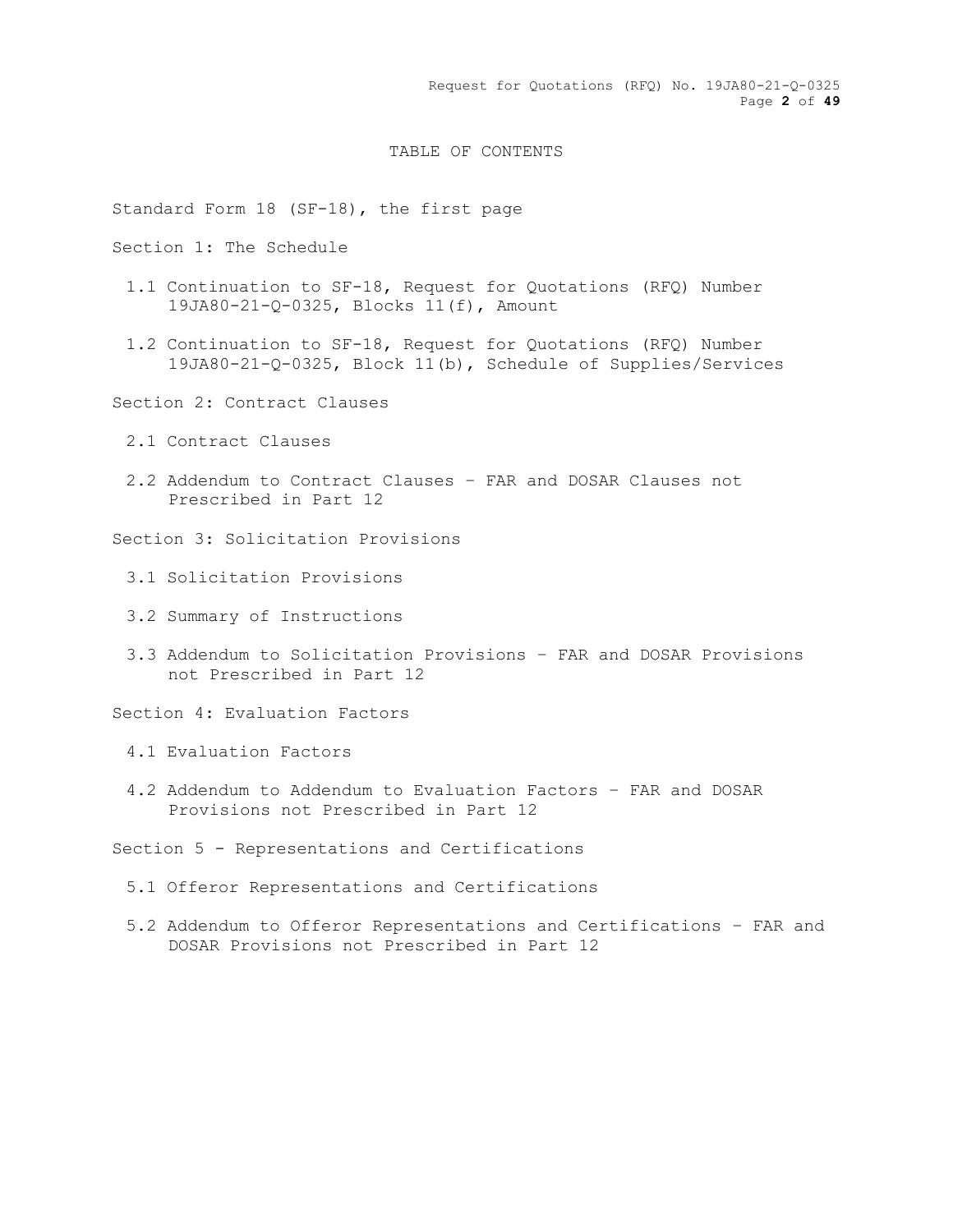Request for Quotations (RFQ) No. 19JA80-21-Q-0325 Page **2** of **49**

## TABLE OF CONTENTS

Standard Form 18 (SF-18), the first page

Section 1: The Schedule

- 1.1 Continuation to SF-18, Request for Quotations (RFQ) Number 19JA80-21-Q-0325, Blocks 11(f), Amount
- 1.2 Continuation to SF-18, Request for Quotations (RFQ) Number 19JA80-21-Q-0325, Block 11(b), Schedule of Supplies/Services
- Section 2: Contract Clauses
	- 2.1 Contract Clauses
	- 2.2 Addendum to Contract Clauses FAR and DOSAR Clauses not Prescribed in Part 12

Section 3: Solicitation Provisions

- 3.1 Solicitation Provisions
- 3.2 Summary of Instructions
- 3.3 Addendum to Solicitation Provisions FAR and DOSAR Provisions not Prescribed in Part 12

Section 4: Evaluation Factors

- 4.1 Evaluation Factors
- 4.2 Addendum to Addendum to Evaluation Factors FAR and DOSAR Provisions not Prescribed in Part 12

Section 5 - Representations and Certifications

- 5.1 Offeror Representations and Certifications
- 5.2 Addendum to Offeror Representations and Certifications FAR and DOSAR Provisions not Prescribed in Part 12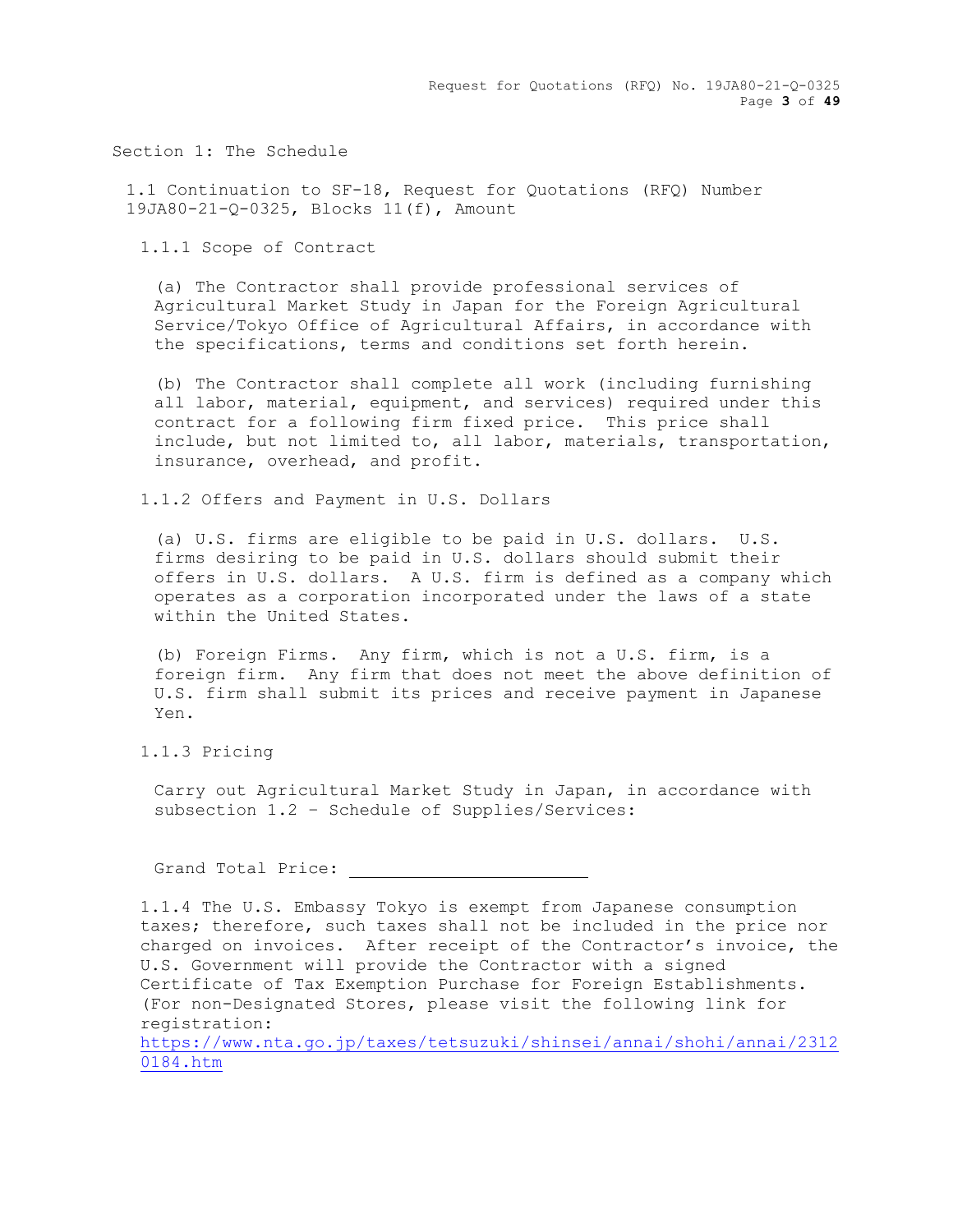Request for Quotations (RFQ) No. 19JA80-21-Q-0325 Page **3** of **49**

Section 1: The Schedule

1.1 Continuation to SF-18, Request for Quotations (RFQ) Number 19JA80-21-Q-0325, Blocks 11(f), Amount

1.1.1 Scope of Contract

(a) The Contractor shall provide professional services of Agricultural Market Study in Japan for the Foreign Agricultural Service/Tokyo Office of Agricultural Affairs, in accordance with the specifications, terms and conditions set forth herein.

(b) The Contractor shall complete all work (including furnishing all labor, material, equipment, and services) required under this contract for a following firm fixed price. This price shall include, but not limited to, all labor, materials, transportation, insurance, overhead, and profit.

1.1.2 Offers and Payment in U.S. Dollars

(a) U.S. firms are eligible to be paid in U.S. dollars. U.S. firms desiring to be paid in U.S. dollars should submit their offers in U.S. dollars. A U.S. firm is defined as a company which operates as a corporation incorporated under the laws of a state within the United States.

(b) Foreign Firms. Any firm, which is not a U.S. firm, is a foreign firm. Any firm that does not meet the above definition of U.S. firm shall submit its prices and receive payment in Japanese Yen.

1.1.3 Pricing

Carry out Agricultural Market Study in Japan, in accordance with subsection 1.2 – Schedule of Supplies/Services:

Grand Total Price:

1.1.4 The U.S. Embassy Tokyo is exempt from Japanese consumption taxes; therefore, such taxes shall not be included in the price nor charged on invoices. After receipt of the Contractor's invoice, the U.S. Government will provide the Contractor with a signed Certificate of Tax Exemption Purchase for Foreign Establishments. (For non-Designated Stores, please visit the following link for registration:

[https://www.nta.go.jp/taxes/tetsuzuki/shinsei/annai/shohi/annai/2312](https://www.nta.go.jp/taxes/tetsuzuki/shinsei/annai/shohi/annai/23120184.htm) [0184.htm](https://www.nta.go.jp/taxes/tetsuzuki/shinsei/annai/shohi/annai/23120184.htm)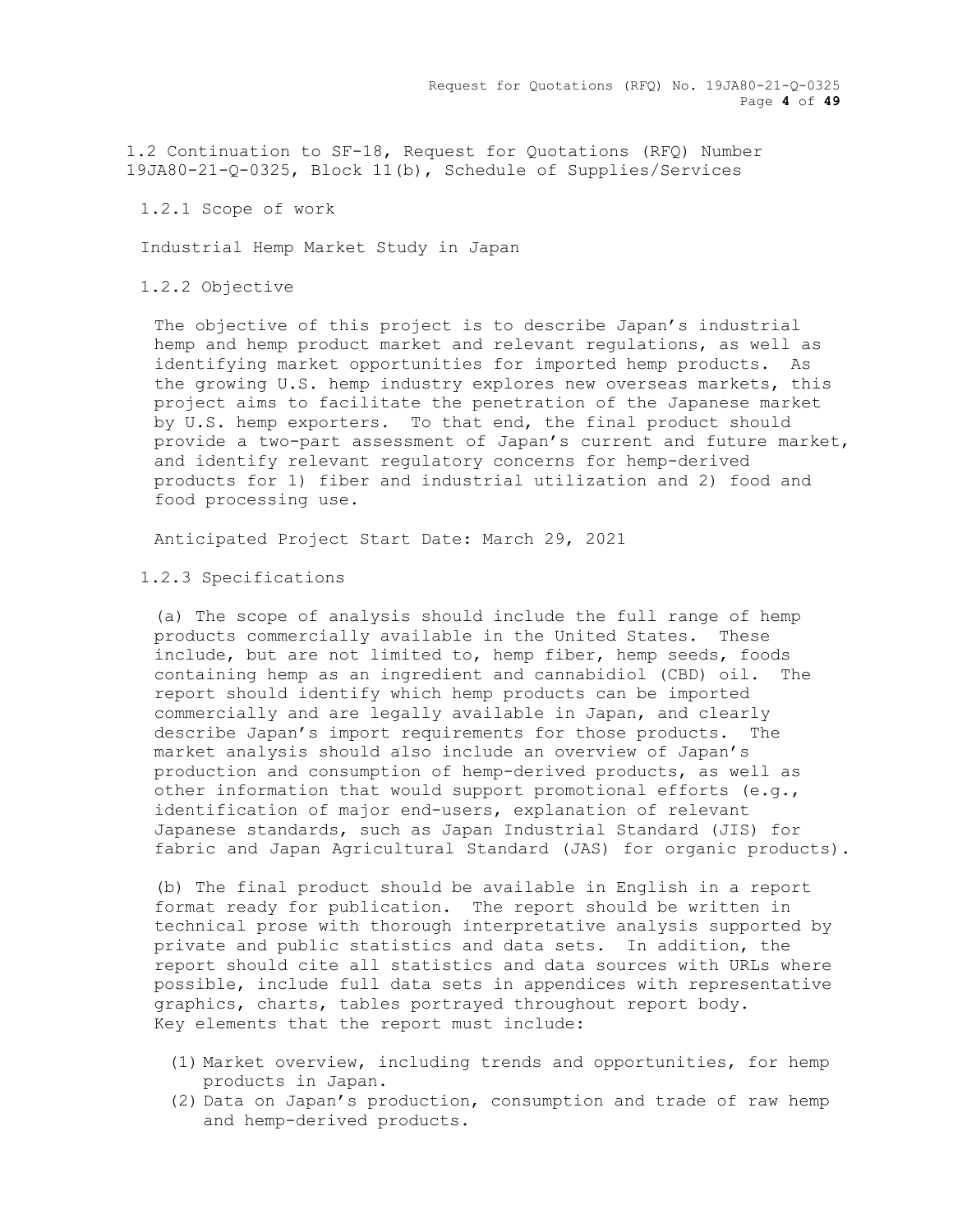Request for Quotations (RFQ) No. 19JA80-21-Q-0325 Page **4** of **49**

1.2 Continuation to SF-18, Request for Quotations (RFQ) Number 19JA80-21-Q-0325, Block 11(b), Schedule of Supplies/Services

1.2.1 Scope of work

Industrial Hemp Market Study in Japan

1.2.2 Objective

The objective of this project is to describe Japan's industrial hemp and hemp product market and relevant regulations, as well as identifying market opportunities for imported hemp products. As the growing U.S. hemp industry explores new overseas markets, this project aims to facilitate the penetration of the Japanese market by U.S. hemp exporters. To that end, the final product should provide a two-part assessment of Japan's current and future market, and identify relevant regulatory concerns for hemp-derived products for 1) fiber and industrial utilization and 2) food and food processing use.

Anticipated Project Start Date: March 29, 2021

#### 1.2.3 Specifications

(a) The scope of analysis should include the full range of hemp products commercially available in the United States. These include, but are not limited to, hemp fiber, hemp seeds, foods containing hemp as an ingredient and cannabidiol (CBD) oil. The report should identify which hemp products can be imported commercially and are legally available in Japan, and clearly describe Japan's import requirements for those products. The market analysis should also include an overview of Japan's production and consumption of hemp-derived products, as well as other information that would support promotional efforts (e.g., identification of major end-users, explanation of relevant Japanese standards, such as Japan Industrial Standard (JIS) for fabric and Japan Agricultural Standard (JAS) for organic products).

(b) The final product should be available in English in a report format ready for publication. The report should be written in technical prose with thorough interpretative analysis supported by private and public statistics and data sets. In addition, the report should cite all statistics and data sources with URLs where possible, include full data sets in appendices with representative graphics, charts, tables portrayed throughout report body. Key elements that the report must include:

- (1) Market overview, including trends and opportunities, for hemp products in Japan.
- (2) Data on Japan's production, consumption and trade of raw hemp and hemp-derived products.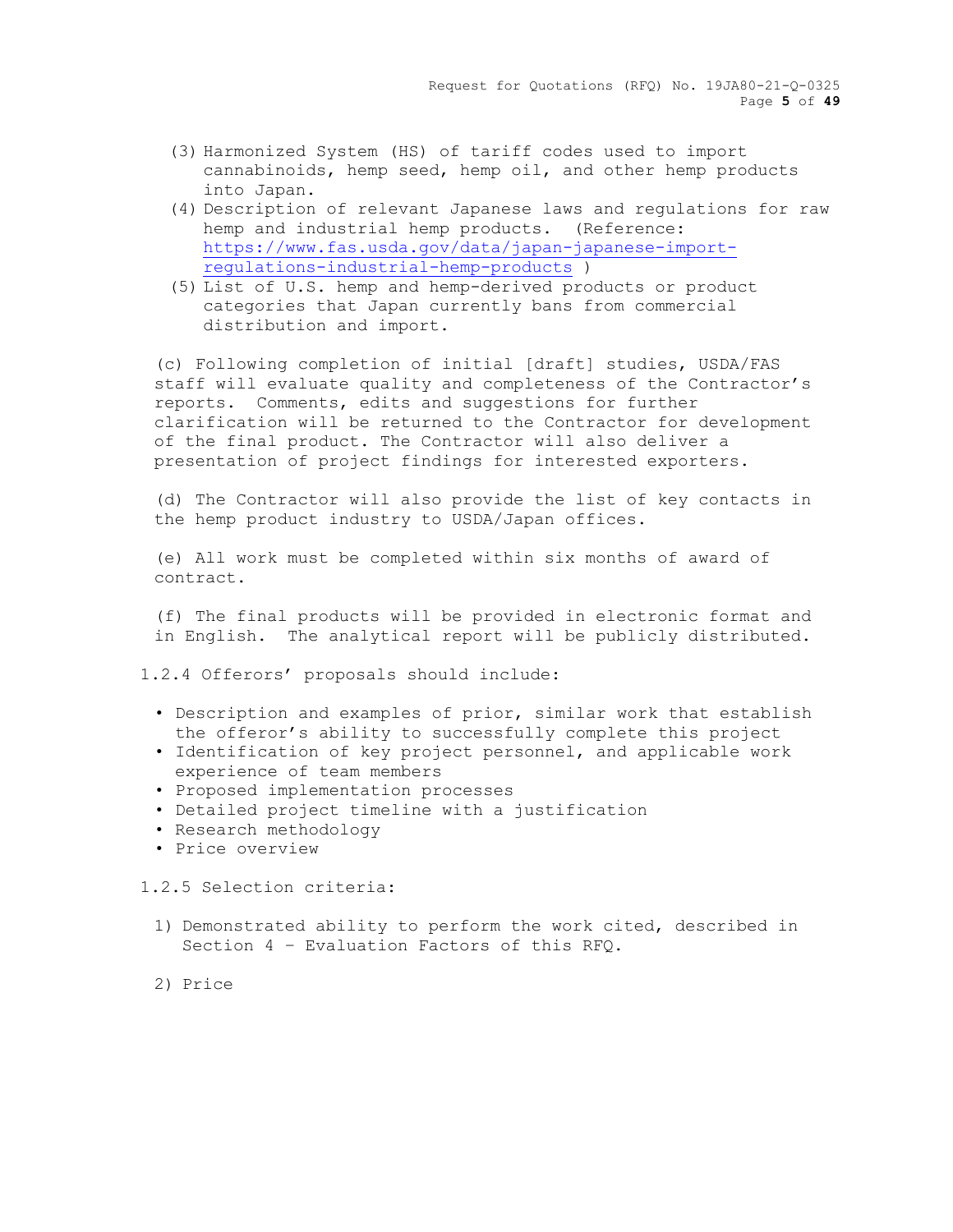- (3) Harmonized System (HS) of tariff codes used to import cannabinoids, hemp seed, hemp oil, and other hemp products into Japan.
- (4) Description of relevant Japanese laws and regulations for raw hemp and industrial hemp products. (Reference: [https://www.fas.usda.gov/data/japan-japanese-import](https://www.fas.usda.gov/data/japan-japanese-import-regulations-industrial-hemp-products)[regulations-industrial-hemp-products](https://www.fas.usda.gov/data/japan-japanese-import-regulations-industrial-hemp-products) )
- (5) List of U.S. hemp and hemp-derived products or product categories that Japan currently bans from commercial distribution and import.

(c) Following completion of initial [draft] studies, USDA/FAS staff will evaluate quality and completeness of the Contractor's reports. Comments, edits and suggestions for further clarification will be returned to the Contractor for development of the final product. The Contractor will also deliver a presentation of project findings for interested exporters.

(d) The Contractor will also provide the list of key contacts in the hemp product industry to USDA/Japan offices.

(e) All work must be completed within six months of award of contract.

(f) The final products will be provided in electronic format and in English. The analytical report will be publicly distributed.

1.2.4 Offerors' proposals should include:

- Description and examples of prior, similar work that establish the offeror's ability to successfully complete this project
- Identification of key project personnel, and applicable work experience of team members
- Proposed implementation processes
- Detailed project timeline with a justification
- Research methodology
- Price overview

1.2.5 Selection criteria:

- 1) Demonstrated ability to perform the work cited, described in Section 4 – Evaluation Factors of this RFQ.
- 2) Price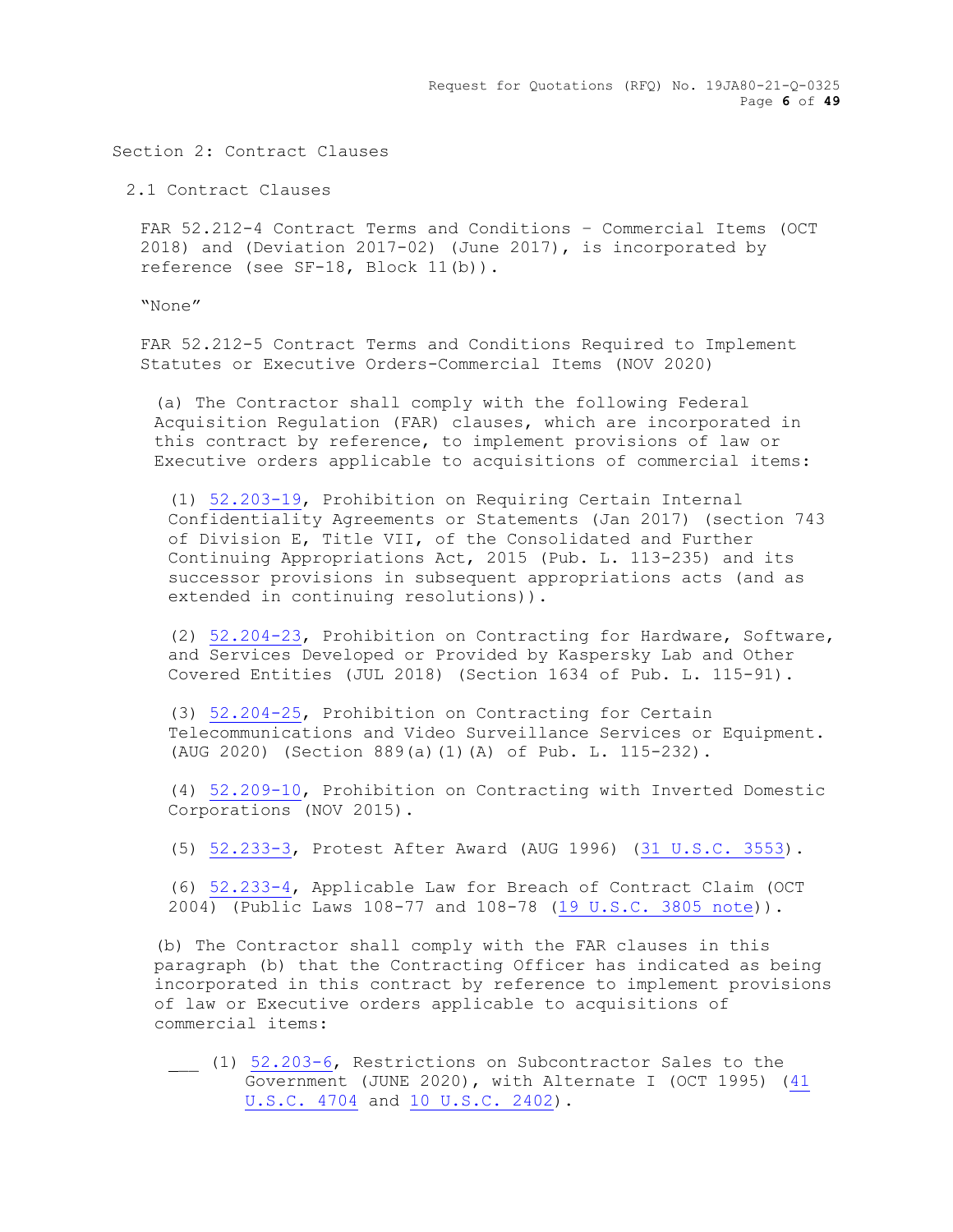Request for Quotations (RFQ) No. 19JA80-21-Q-0325 Page **6** of **49**

Section 2: Contract Clauses

2.1 Contract Clauses

FAR 52.212-4 Contract Terms and Conditions – Commercial Items (OCT 2018) and (Deviation 2017-02) (June 2017), is incorporated by reference (see SF-18, Block 11(b)).

"None"

FAR 52.212-5 Contract Terms and Conditions Required to Implement Statutes or Executive Orders-Commercial Items (NOV 2020)

(a) The Contractor shall comply with the following Federal Acquisition Regulation (FAR) clauses, which are incorporated in this contract by reference, to implement provisions of law or Executive orders applicable to acquisitions of commercial items:

(1) 52.203-19, Prohibition on Requiring Certain Internal Confidentiality Agreements or Statements (Jan 2017) (section 743 of Division E, Title VII, of the Consolidated and Further Continuing Appropriations Act, 2015 (Pub. L. 113-235) and its successor provisions in subsequent appropriations acts (and as extended in continuing resolutions)).

(2) 52.204-23, Prohibition on Contracting for Hardware, Software, and Services Developed or Provided by Kaspersky Lab and Other Covered Entities (JUL 2018) (Section 1634 of Pub. L. 115-91).

(3) 52.204-25, Prohibition on Contracting for Certain Telecommunications and Video Surveillance Services or Equipment. (AUG 2020) (Section 889(a)(1)(A) of Pub. L. 115-232).

(4) 52.209-10, Prohibition on Contracting with Inverted Domestic Corporations (NOV 2015).

(5) 52.233-3, Protest After Award (AUG 1996) (31 U.S.C. 3553).

(6) 52.233-4, Applicable Law for Breach of Contract Claim (OCT 2004) (Public Laws 108-77 and 108-78 (19 U.S.C. 3805 note)).

(b) The Contractor shall comply with the FAR clauses in this paragraph (b) that the Contracting Officer has indicated as being incorporated in this contract by reference to implement provisions of law or Executive orders applicable to acquisitions of commercial items:

\_\_ (1) 52.203-6, Restrictions on Subcontractor Sales to the Government (JUNE 2020), with Alternate I (OCT 1995) (41 U.S.C. 4704 and 10 U.S.C. 2402).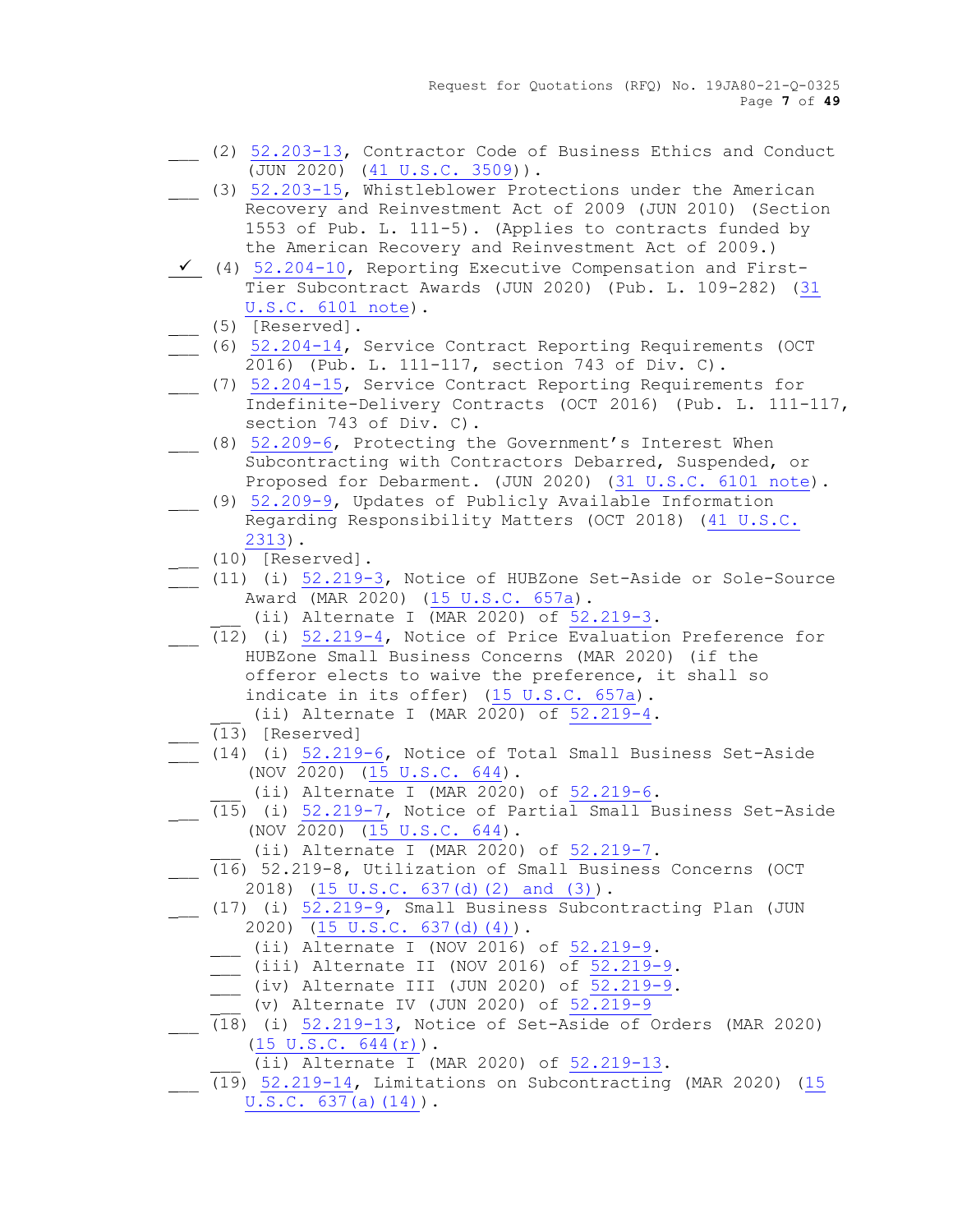Request for Quotations (RFQ) No. 19JA80-21-Q-0325 Page **7** of **49**

- \_\_ (2) 52.203-13, Contractor Code of Business Ethics and Conduct (JUN 2020) (41 U.S.C. 3509)).
- \_\_ (3) 52.203-15, Whistleblower Protections under the American Recovery and Reinvestment Act of 2009 (JUN 2010) (Section 1553 of Pub. L. 111-5). (Applies to contracts funded by the American Recovery and Reinvestment Act of 2009.)
- $\checkmark$  (4) 52.204-10, Reporting Executive Compensation and First-Tier Subcontract Awards (JUN 2020) (Pub. L. 109-282) (31 U.S.C. 6101 note).
	- (5) [Reserved].
- (6) 52.204-14, Service Contract Reporting Requirements (OCT 2016) (Pub. L. 111-117, section 743 of Div. C).
- \_\_ (7) 52.204-15, Service Contract Reporting Requirements for Indefinite-Delivery Contracts (OCT 2016) (Pub. L. 111-117, section 743 of Div. C).
- (8) 52.209-6, Protecting the Government's Interest When Subcontracting with Contractors Debarred, Suspended, or Proposed for Debarment. (JUN 2020) (31 U.S.C. 6101 note).
	- (9) 52.209-9, Updates of Publicly Available Information Regarding Responsibility Matters (OCT 2018) (41 U.S.C. 2313).
		- \_\_ (10) [Reserved].
- \_\_ (11) (i) 52.219-3, Notice of HUBZone Set-Aside or Sole-Source Award (MAR 2020) (15 U.S.C. 657a).
	- (ii) Alternate I (MAR 2020) of 52.219-3.
- (12) (i) 52.219-4, Notice of Price Evaluation Preference for HUBZone Small Business Concerns (MAR 2020) (if the offeror elects to waive the preference, it shall so indicate in its offer) (15 U.S.C. 657a).
	- $(i)$  Alternate I (MAR 2020) of  $52.219-4$ .
- \_\_ (13) [Reserved]
- $(14)$  (i)  $52.219-6$ , Notice of Total Small Business Set-Aside (NOV 2020)  $(15 \text{ U.S.C. } 644)$ .
	- (ii) Alternate I (MAR 2020) of 52.219-6.
	- (15) (i) 52.219-7, Notice of Partial Small Business Set-Aside (NOV 2020) (15 U.S.C. 644).
		- $(i)$  Alternate I (MAR 2020) of  $52.219-7$ .
- (16) 52.219-8, Utilization of Small Business Concerns (OCT 2018) (15 U.S.C. 637(d)(2) and (3)).
- \_\_ (17) (i) 52.219-9, Small Business Subcontracting Plan (JUN 2020)  $\overline{(15 \text{ U.S.C. } 637 \text{ (d) } (4))}$ .
	- $\frac{1}{2}$  (ii) Alternate I (NOV  $\frac{2016}{6}$ ) of 52.219-9.
	- $\frac{1}{\sqrt{2}}$  (iii) Alternate II (NOV 2016) of 52.219-9.
	- $\frac{1}{\sqrt{1-\frac{52.219-9}{6}}}$ .
	- \_\_ (v) Alternate IV (JUN 2020) of 52.219-9
- $(18)$  (i)  $52.219-13$ , Notice of Set-Aside of Orders (MAR 2020) (15 U.S.C. 644(r)).
	- (ii) Alternate I (MAR 2020) of 52.219-13.
- $(19)$  52.219-14, Limitations on Subcontracting (MAR 2020) (15 U.S.C. 637(a)(14)).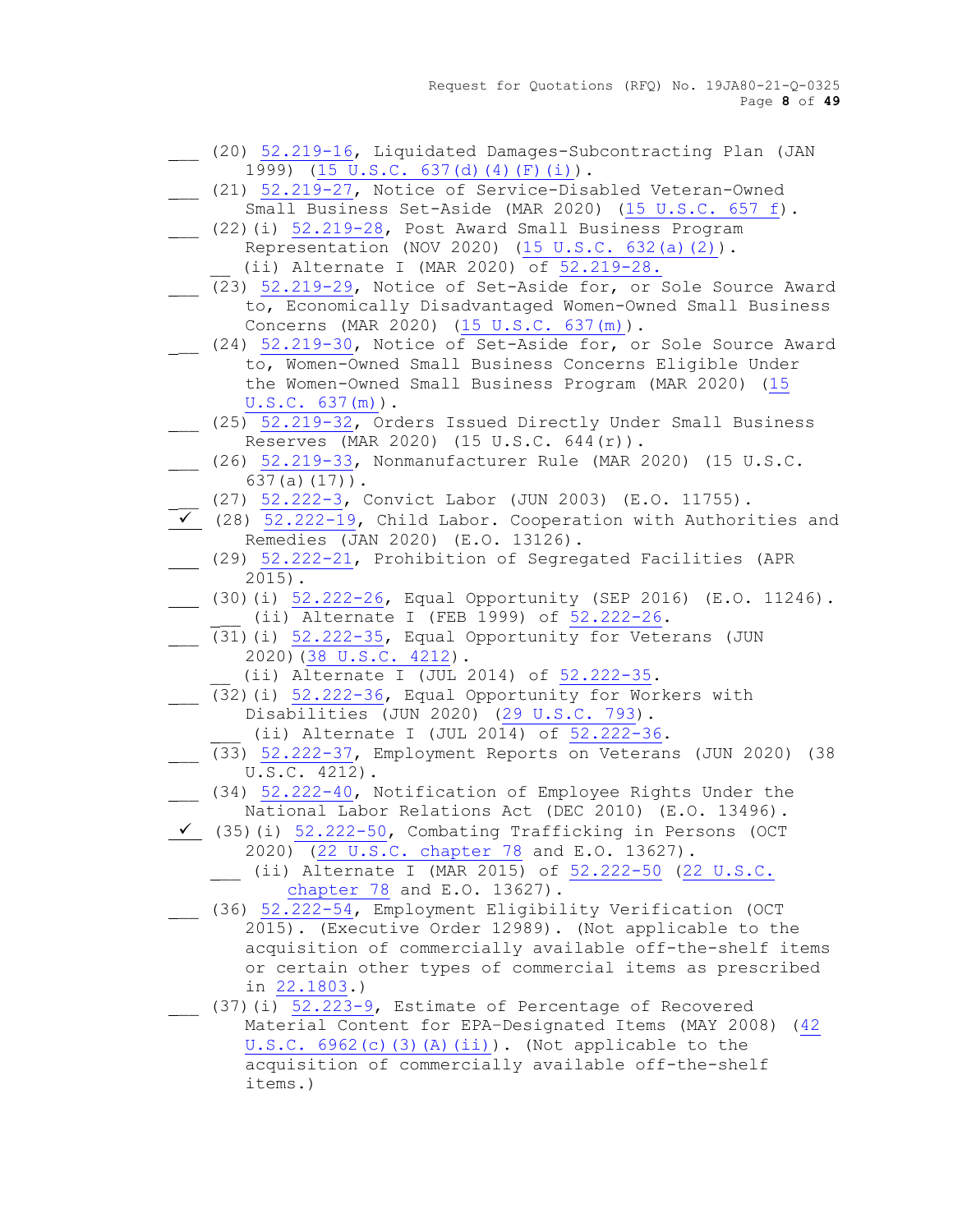Request for Quotations (RFQ) No. 19JA80-21-Q-0325 Page **8** of **49**

- \_\_ (20) [52.219-16,](https://www.acquisition.gov/sites/default/files/current/far/html/52_217_221.html#wp1136186) Liquidated Damages-Subcontracting Plan (JAN 1999) [\(15 U.S.C. 637\(d\)\(4\)\(F\)\(i\)\)](http://uscode.house.gov/uscode-cgi/fastweb.exe?getdoc+uscview+t13t16+492+90++%2815%29%20%20AND%20%28%2815%29%20ADJ%20USC%29%3ACITE%20%20%20%20%20%20%20%20%20).
- (21) [52.219-27,](https://www.acquisition.gov/sites/default/files/current/far/html/52_217_221.html#wp1136387) Notice of Service-Disabled Veteran-Owned
	- Small Business Set-Aside (MAR 2020) [\(15 U.S.C. 657 f\)](http://uscode.house.gov/uscode-cgi/fastweb.exe?getdoc+uscview+t13t16+492+90++%2815%29%20%20AND%20%28%2815%29%20ADJ%20USC%29%3ACITE%20%20%20%20%20%20%20%20%20).
- (22)(i) [52.219-28,](https://www.acquisition.gov/sites/default/files/current/far/html/52_217_221.html#wp1139913) Post Award Small Business Program Representation (NOV 2020) [\(15 U.S.C. 632\(a\)\(2\)\)](http://uscode.house.gov/uscode-cgi/fastweb.exe?getdoc+uscview+t13t16+492+90++%2815%29%20%20AND%20%28%2815%29%20ADJ%20USC%29%3ACITE%20%20%20%20%20%20%20%20%20). (ii) Alternate I (MAR 2020) of [52.219-28.](https://www.acquisition.gov/sites/default/files/current/far/html/52_217_221.html#wp1139913)
- (23) [52.219-29,](https://www.acquisition.gov/sites/default/files/current/far/html/52_217_221.html#wp1144950) Notice of Set-Aside for, or Sole Source Award to, Economically Disadvantaged Women-Owned Small Business Concerns (MAR 2020) [\(15 U.S.C. 637\(m\)\)](http://uscode.house.gov/).
- \_\_ (24) [52.219-30,](https://www.acquisition.gov/sites/default/files/current/far/html/52_217_221.html#wp1144420) Notice of Set-Aside for, or Sole Source Award to, Women-Owned Small Business Concerns Eligible Under the Women-Owned Small Business Program (MAR 2020) [\(15](http://uscode.house.gov/)  [U.S.C. 637\(m\)\)](http://uscode.house.gov/).
- \_\_ (25) 52.219-32, Orders Issued Directly Under Small Business Reserves (MAR 2020) (15 U.S.C. 644(r)).
- \_\_ (26) 52.219-33, Nonmanufacturer Rule (MAR 2020) (15 U.S.C. 637(a)(17)).
	- \_\_ (27) [52.222-3,](https://www.acquisition.gov/sites/default/files/current/far/html/52_222.html#wp1147479) Convict Labor (JUN 2003) (E.O. 11755).
- (28) [52.222-19,](https://www.acquisition.gov/sites/default/files/current/far/html/52_222.html#wp1147630) Child Labor. Cooperation with Authorities and Remedies (JAN 2020) (E.O. 13126).
- (29) [52.222-21,](https://www.acquisition.gov/sites/default/files/current/far/html/52_222.html#wp1147656) Prohibition of Segregated Facilities (APR 2015).
- (30)(i) [52.222-26,](https://www.acquisition.gov/sites/default/files/current/far/html/52_222.html#wp1147711) Equal Opportunity (SEP 2016) (E.O. 11246). (ii) Alternate I (FEB 1999) of 52.222-26.
- \_\_ (31)(i) [52.222-35,](https://www.acquisition.gov/sites/default/files/current/far/html/52_222.html#wp1158632) Equal Opportunity for Veterans (JUN 2020)[\(38 U.S.C. 4212\)](http://uscode.house.gov/uscode-cgi/fastweb.exe?getdoc+uscview+t37t40+200+2++%2838%29%20%20AND%20%28%2838%29%20ADJ%20USC%29%3ACITE%20%20%20%20%20%20%20%20%20).
	- (ii) Alternate I (JUL 2014) of 52.222-35.
- (32)(i) [52.222-36,](https://www.acquisition.gov/sites/default/files/current/far/html/52_222.html#wp1162802) Equal Opportunity for Workers with Disabilities (JUN 2020) [\(29 U.S.C. 793\)](http://uscode.house.gov/uscode-cgi/fastweb.exe?getdoc+uscview+t29t32+2+78++%2829%29%20%20AND%20%28%2829%29%20ADJ%20USC%29%3ACITE%20%20%20%20%20%20%20%20%20).
	- (ii) Alternate I (JUL 2014) of 52.222-36.
- \_\_ (33) [52.222-37,](https://www.acquisition.gov/sites/default/files/current/far/html/52_222.html#wp1148123) Employment Reports on Veterans (JUN 2020) (38  $U.S.C. 4212$ .
- \_\_ (34) [52.222-40,](https://www.acquisition.gov/sites/default/files/current/far/html/52_222.html#wp1160019) Notification of Employee Rights Under the National Labor Relations Act (DEC 2010) (E.O. 13496).
- ✓ (35)(i) [52.222-50,](https://www.acquisition.gov/sites/default/files/current/far/html/52_222.html#wp1151848) Combating Trafficking in Persons (OCT 2020) [\(22 U.S.C. chapter 78](http://uscode.house.gov/) and E.O. 13627).
	- (ii) Alternate I (MAR 2015) of [52.222-50](https://www.acquisition.gov/sites/default/files/current/far/html/52_222.html#wp1151848) (22 U.S.C. [chapter 78](http://uscode.house.gov/) and E.O. 13627).
- \_\_ (36) [52.222-54,](https://www.acquisition.gov/sites/default/files/current/far/html/52_222.html#wp1156645) Employment Eligibility Verification (OCT 2015). (Executive Order 12989). (Not applicable to the acquisition of commercially available off-the-shelf items or certain other types of commercial items as prescribed in [22.1803.](https://www.acquisition.gov/sites/default/files/current/far/html/Subpart%2022_18.html#wp1089948))
- (37)(i)  $\frac{52.223-9}{ }$ , Estimate of Percentage of Recovered Material Content for EPA–Designated Items (MAY 2008) [\(42](http://uscode.house.gov/)   $U.S.C. 6962(c)$  (3)(A)(ii)). (Not applicable to the acquisition of commercially available off-the-shelf items.)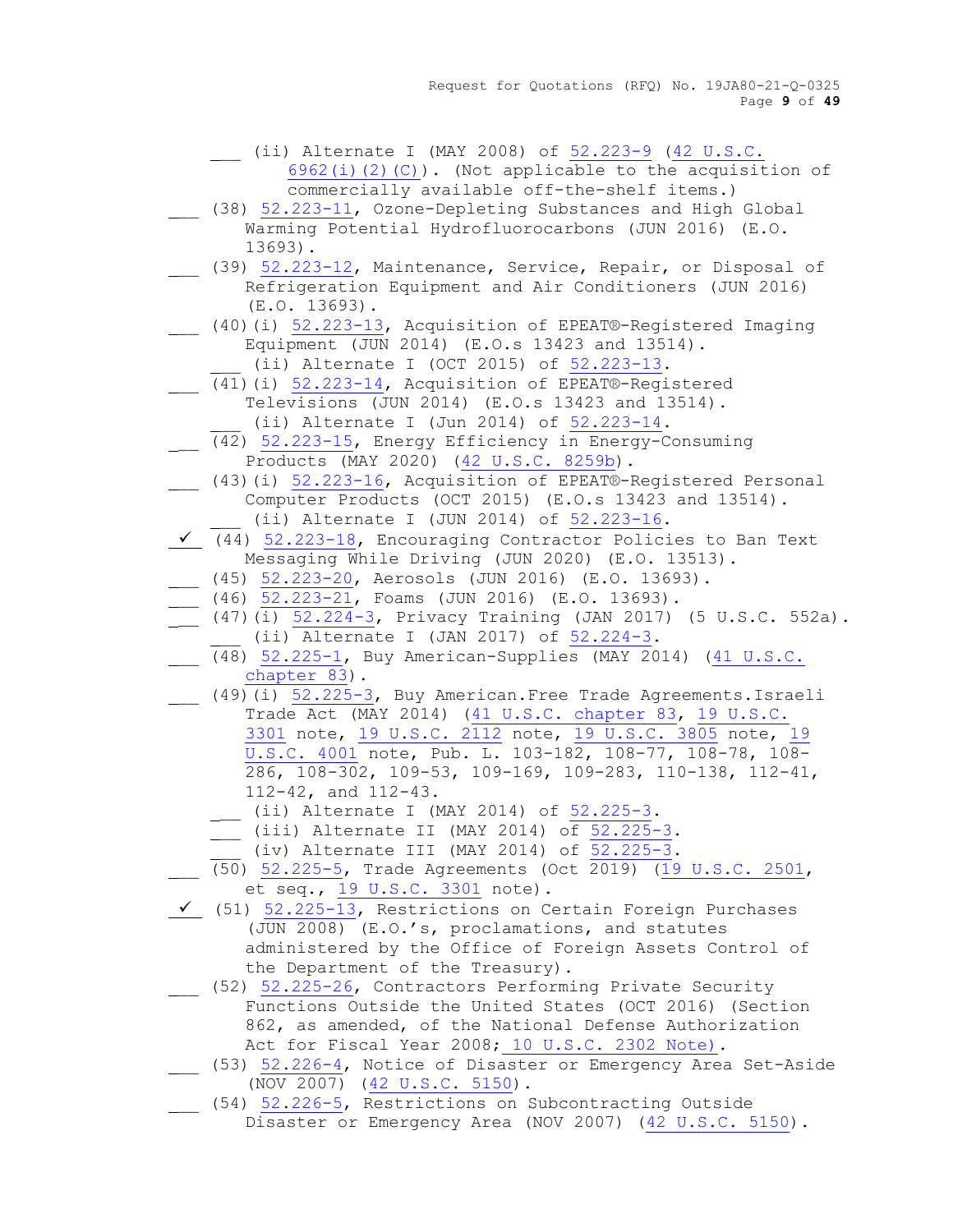- \_\_ (ii) Alternate I (MAY 2008) of [52.223-9](https://www.acquisition.gov/sites/default/files/current/far/html/52_223_226.html#wp1168892) [\(42 U.S.C.](http://uscode.house.gov/uscode-cgi/fastweb.exe?getdoc+uscview+t41t42+250+1286++%2842%29%20%20AND%20%28%2842%29%20ADJ%20USC%29%3ACITE%20%20%20%20%20%20%20%20%20) 
	- [6962\(i\)\(2\)\(C\)\)](http://uscode.house.gov/uscode-cgi/fastweb.exe?getdoc+uscview+t41t42+250+1286++%2842%29%20%20AND%20%28%2842%29%20ADJ%20USC%29%3ACITE%20%20%20%20%20%20%20%20%20). (Not applicable to the acquisition of commercially available off-the-shelf items.)
- 138) [52.223-11,](https://www.acquisition.gov/sites/default/files/current/far/html/52_223_226.html#wp1168917) Ozone-Depleting Substances and High Global Warming Potential Hydrofluorocarbons (JUN 2016) (E.O. 13693).
- (39) [52.223-12,](https://www.acquisition.gov/sites/default/files/current/far/html/52_223_226.html#wp1168928) Maintenance, Service, Repair, or Disposal of Refrigeration Equipment and Air Conditioners (JUN 2016) (E.O. 13693).
	- (40)(i) [52.223-13,](https://www.acquisition.gov/sites/default/files/current/far/html/52_223_226.html#wp1168933) Acquisition of EPEAT®-Registered Imaging Equipment (JUN 2014) (E.O.s 13423 and 13514).
		- (ii) Alternate I (OCT 2015) of [52.223-13.](https://www.acquisition.gov/sites/default/files/current/far/html/52_223_226.html#wp1168933)
- (41)(i) [52.223-14,](https://www.acquisition.gov/sites/default/files/current/far/html/52_223_226.html#wp1194330) Acquisition of EPEAT®-Registered Televisions (JUN 2014) (E.O.s 13423 and 13514).  $(i)$  Alternate I (Jun 2014) of  $52.223-14$ .
- \_\_ (42) [52.223-15,](https://www.acquisition.gov/sites/default/files/current/far/html/52_223_226.html#wp1194323) Energy Efficiency in Energy-Consuming Products (MAY 2020) [\(42 U.S.C. 8259b\)](http://uscode.house.gov/).
- \_\_ (43)(i) [52.223-16,](https://www.acquisition.gov/sites/default/files/current/far/html/52_223_226.html#wp1179078) Acquisition of EPEAT®-Registered Personal Computer Products (OCT 2015) (E.O.s 13423 and 13514). (ii) Alternate I (JUN 2014) of [52.223-16.](https://www.acquisition.gov/sites/default/files/current/far/html/52_223_226.html#wp1179078)
- ✓ (44) [52.223-18,](https://www.acquisition.gov/sites/default/files/current/far/html/52_223_226.html#wp1188603) Encouraging Contractor Policies to Ban Text Messaging While Driving (JUN 2020) (E.O. 13513).
- \_\_ (45) [52.223-20,](https://www.acquisition.gov/sites/default/files/current/far/html/52_223_226.html#wp1189174) Aerosols (JUN 2016) (E.O. 13693).
- $\frac{1}{2}$  (46)  $\frac{52.223-21}{2}$ , Foams (JUN 2016) (E.O. 13693).
- (47)(i)  $\frac{52.224-3}{ }$ , Privacy Training (JAN 2017) (5 U.S.C. 552a).  $(i)$  Alternate I (JAN 2017) of  $52.224-3$ .
- \_\_ (48) [52.225-1,](https://www.acquisition.gov/sites/default/files/current/far/html/52_223_226.html#wp1192900) Buy American-Supplies (MAY 2014) [\(41 U.S.C.](http://uscode.house.gov/)  [chapter 83\)](http://uscode.house.gov/).
- (49)(i) [52.225-3,](https://www.acquisition.gov/sites/default/files/current/far/html/52_223_226.html#wp1169038) Buy American.Free Trade Agreements.Israeli Trade Act (MAY 2014) [\(41 U.S.C. chapter 83,](http://uscode.house.gov/) 19 U.S.C. [3301](http://uscode.house.gov/uscode-cgi/fastweb.exe?getdoc+uscview+t17t20+1727+50++%2819%29%20%20AND%20%28%2819%29%20ADJ%20USC%29%3ACITE%20%20%20%20%20%20%20%20%20) note, [19 U.S.C. 2112](http://uscode.house.gov/uscode-cgi/fastweb.exe?getdoc+uscview+t17t20+1727+50++%2819%29%20%20AND%20%28%2819%29%20ADJ%20USC%29%3ACITE%20%20%20%20%20%20%20%20%20) note, [19 U.S.C. 3805](http://uscode.house.gov/) note, [19](http://uscode.house.gov/)  [U.S.C. 4001](http://uscode.house.gov/) note, Pub. L. 103-182, 108-77, 108-78, 108- 286, 108-302, 109-53, 109-169, 109-283, 110-138, 112-41, 112-42, and 112-43.
	- \_\_ (ii) Alternate I (MAY 2014) of [52.225-3.](https://www.acquisition.gov/sites/default/files/current/far/html/52_223_226.html#wp1169038)
	- $\frac{1}{\sqrt{52.225}}$  (iii) Alternate II (MAY 2014) of  $52.225 3$ .
	- $(iv)$  Alternate III (MAY 2014) of  $52.225-3.$
- \_\_ (50) [52.225-5,](https://www.acquisition.gov/sites/default/files/current/far/html/52_223_226.html#wp1169151) Trade Agreements (Oct 2019) [\(19 U.S.C. 2501,](http://uscode.house.gov/uscode-cgi/fastweb.exe?getdoc+uscview+t17t20+1727+50++%2819%29%20%20AND%20%28%2819%29%20ADJ%20USC%29%3ACITE%20%20%20%20%20%20%20%20%20) et seq., [19 U.S.C. 3301](http://uscode.house.gov/uscode-cgi/fastweb.exe?getdoc+uscview+t17t20+1727+50++%2819%29%20%20AND%20%28%2819%29%20ADJ%20USC%29%3ACITE%20%20%20%20%20%20%20%20%20) note).
- $\checkmark$  (51) [52.225-13,](https://www.acquisition.gov/sites/default/files/current/far/html/52_223_226.html#wp1169608) Restrictions on Certain Foreign Purchases (JUN 2008) (E.O.'s, proclamations, and statutes administered by the Office of Foreign Assets Control of the Department of the Treasury).
- \_\_ (52) [52.225-26,](https://www.acquisition.gov/sites/default/files/current/far/html/52_223_226.html#wp1192524) Contractors Performing Private Security Functions Outside the United States (OCT 2016) (Section 862, as amended, of the National Defense Authorization Act for Fiscal Year 2008; [10 U.S.C. 2302 Note\).](http://uscode.house.gov/uscode-cgi/fastweb.exe?getdoc+uscview+t09t12+1445+65++%2810%20U.S.C.%202302%20Note%29%20%20%20%20%20%20%20%20%20%20)
- \_\_ (53) [52.226-4,](https://www.acquisition.gov/sites/default/files/current/far/html/52_223_226.html#wp1173773) Notice of Disaster or Emergency Area Set-Aside (NOV 2007) [\(42 U.S.C. 5150\)](http://uscode.house.gov/uscode-cgi/fastweb.exe?getdoc+uscview+t41t42+250+1286++%2842%29%20%20AND%20%28%2842%29%20ADJ%20USC%29%3ACITE%20%20%20%20%20%20%20%20%20).
- 1. (54) [52.226-5,](https://www.acquisition.gov/sites/default/files/current/far/html/52_223_226.html#wp1173393) Restrictions on Subcontracting Outside Disaster or Emergency Area (NOV 2007) [\(42 U.S.C. 5150\)](http://uscode.house.gov/uscode-cgi/fastweb.exe?getdoc+uscview+t41t42+250+1286++%2842%29%20%20AND%20%28%2842%29%20ADJ%20USC%29%3ACITE%20%20%20%20%20%20%20%20%20).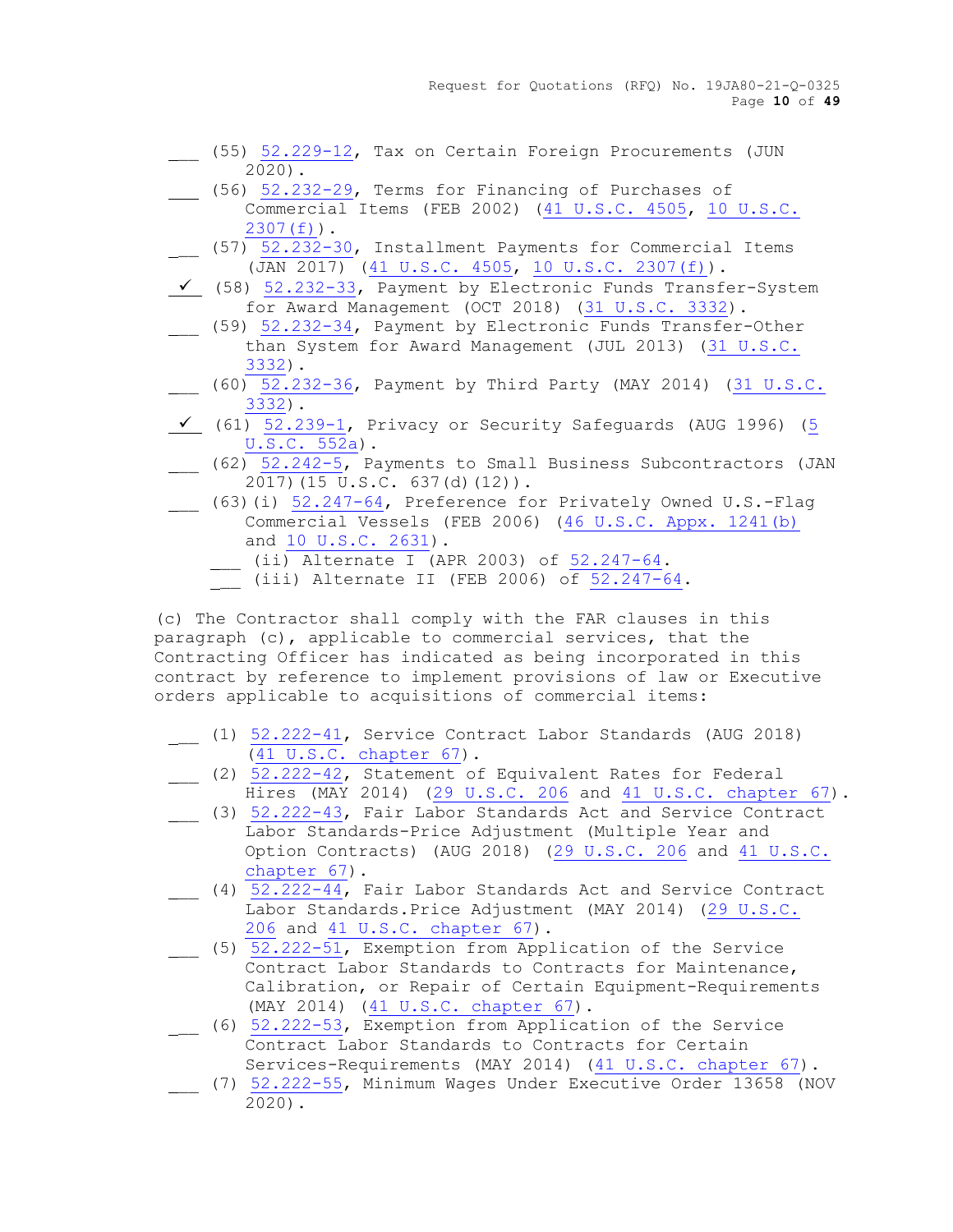Request for Quotations (RFQ) No. 19JA80-21-Q-0325 Page **10** of **49**

- \_\_ (55) 52.229-12, Tax on Certain Foreign Procurements (JUN 2020).
- (56) [52.232-29,](https://www.acquisition.gov/sites/default/files/current/far/html/52_232.html#wp1153230) Terms for Financing of Purchases of Commercial Items (FEB 2002) [\(41 U.S.C. 4505, 10 U.S.C.](http://uscode.house.gov/)  [2307\(f\)\)](http://uscode.house.gov/).
- \_\_ (57) [52.232-30,](https://www.acquisition.gov/sites/default/files/current/far/html/52_232.html#wp1153252) Installment Payments for Commercial Items (JAN 2017) [\(41 U.S.C. 4505, 10 U.S.C. 2307\(f\)\)](http://uscode.house.gov/).
- ✓ (58) [52.232-33,](https://www.acquisition.gov/sites/default/files/current/far/html/52_232.html#wp1153351) Payment by Electronic Funds Transfer-System for Award Management (OCT 2018) [\(31 U.S.C. 3332\)](http://uscode.house.gov/uscode-cgi/fastweb.exe?getdoc+uscview+t29t32+1665+30++%2831%29%20%20AND%20%28%2831%29%20ADJ%20USC%29%3ACITE%20%20%20%20%20%20%20%20%20).
- \_\_ (59) [52.232-34,](https://www.acquisition.gov/sites/default/files/current/far/html/52_232.html#wp1153375) Payment by Electronic Funds Transfer-Other than System for Award Management (JUL 2013) [\(31 U.S.C.](http://uscode.house.gov/uscode-cgi/fastweb.exe?getdoc+uscview+t29t32+1665+30++%2831%29%20%20AND%20%28%2831%29%20ADJ%20USC%29%3ACITE%20%20%20%20%20%20%20%20%20)  [3332\)](http://uscode.house.gov/uscode-cgi/fastweb.exe?getdoc+uscview+t29t32+1665+30++%2831%29%20%20AND%20%28%2831%29%20ADJ%20USC%29%3ACITE%20%20%20%20%20%20%20%20%20).
- \_\_ (60) [52.232-36,](https://www.acquisition.gov/sites/default/files/current/far/html/52_232.html#wp1153445) Payment by Third Party (MAY 2014) [\(31 U.S.C.](http://uscode.house.gov/)  [3332\)](http://uscode.house.gov/).
- $\checkmark$  (61) [52.239-1,](https://www.acquisition.gov/sites/default/files/current/far/html/52_233_240.html#wp1113650) Privacy or Security Safequards (AUG 1996) (5 [U.S.C. 552a\)](http://uscode.house.gov/uscode-cgi/fastweb.exe?getdoc+uscview+t05t08+2+3++%285%29%20%20AND).
- $(62)$   $52.242-\overline{5}$ , Payments to Small Business Subcontractors (JAN 2017)(15 U.S.C. 637(d)(12)).
- \_\_ (63)(i) [52.247-64,](https://www.acquisition.gov/sites/default/files/current/far/html/52_247.html#wp1156217) Preference for Privately Owned U.S.-Flag Commercial Vessels (FEB 2006) [\(46 U.S.C. Appx. 1241\(b\)](http://uscode.house.gov/uscode-cgi/fastweb.exe?getdoc+uscview+t45t48+351+1++%2846%29%20%20AND%20%28%2846%29%20ADJ%20USC%29%3ACITE%20%20%20%20%20%20%20%20%20) and [10 U.S.C. 2631\)](http://uscode.house.gov/uscode-cgi/fastweb.exe?getdoc+uscview+t09t12+37+408++%2810%29%20%252).
	- $\frac{1}{\sqrt{1-\frac{52}{2}}}$  (ii) Alternate I (APR 2003) of  $\frac{52.247-64}{2}$ .
	- (iii) Alternate II (FEB 2006) of [52.247-64.](https://www.acquisition.gov/sites/default/files/current/far/html/52_247.html#wp1156217)

(c) The Contractor shall comply with the FAR clauses in this paragraph (c), applicable to commercial services, that the Contracting Officer has indicated as being incorporated in this contract by reference to implement provisions of law or Executive orders applicable to acquisitions of commercial items:

- (1) [52.222-41,](https://www.acquisition.gov/sites/default/files/current/far/html/52_222.html#wp1160021) Service Contract Labor Standards (AUG 2018) [\(41 U.S.C. chapter 67\)](http://uscode.house.gov/).
- \_\_ (2) [52.222-42,](https://www.acquisition.gov/sites/default/files/current/far/html/52_222.html#wp1153423) Statement of Equivalent Rates for Federal Hires (MAY 2014) [\(29 U.S.C. 206](http://uscode.house.gov/) and [41 U.S.C. chapter 67\)](http://uscode.house.gov/).
- (3) [52.222-43,](https://www.acquisition.gov/sites/default/files/current/far/html/52_222.html#wp1148260) Fair Labor Standards Act and Service Contract Labor Standards-Price Adjustment (Multiple Year and Option Contracts) (AUG 2018) [\(29 U.S.C. 206](http://uscode.house.gov/) and [41 U.S.C.](http://uscode.house.gov/)  [chapter 67\)](http://uscode.house.gov/).
- \_\_ (4) [52.222-44,](https://www.acquisition.gov/sites/default/files/current/far/html/52_222.html#wp1148274) Fair Labor Standards Act and Service Contract Labor Standards.Price Adjustment (MAY 2014) [\(29 U.S.C.](http://uscode.house.gov/)  [206](http://uscode.house.gov/) and [41 U.S.C. chapter 67\)](http://uscode.house.gov/).
- (5) [52.222-51,](https://www.acquisition.gov/sites/default/files/current/far/html/52_222.html#wp1155380) Exemption from Application of the Service Contract Labor Standards to Contracts for Maintenance, Calibration, or Repair of Certain Equipment-Requirements (MAY 2014) [\(41 U.S.C. chapter 67\)](http://uscode.house.gov/).
- \_\_ (6) [52.222-53,](https://www.acquisition.gov/sites/default/files/current/far/html/52_222.html#wp1162590) Exemption from Application of the Service Contract Labor Standards to Contracts for Certain Services-Requirements (MAY 2014) [\(41 U.S.C. chapter 67\)](http://uscode.house.gov/).
- \_\_ (7) [52.222-55,](https://www.acquisition.gov/sites/default/files/current/far/html/52_222.html#wp1163027) Minimum Wages Under Executive Order 13658 (NOV 2020).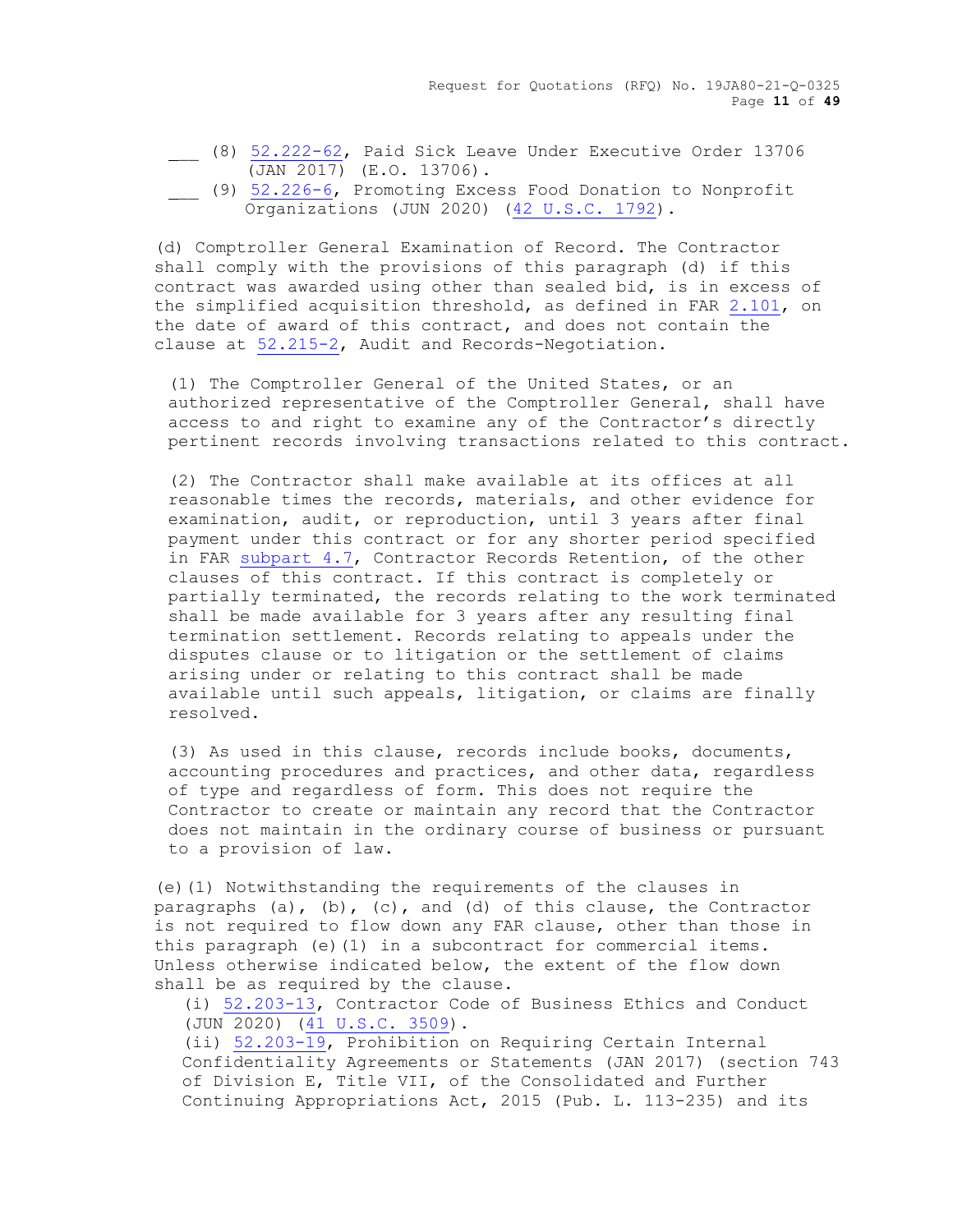Request for Quotations (RFQ) No. 19JA80-21-Q-0325 Page **11** of **49**

- \_\_ (8) [52.222-62,](https://www.acquisition.gov/sites/default/files/current/far/html/52_222.html#wp1170084) Paid Sick Leave Under Executive Order 13706 (JAN 2017) (E.O. 13706).
- (9) [52.226-6,](https://www.acquisition.gov/sites/default/files/current/far/html/52_223_226.html#wp1183820) Promoting Excess Food Donation to Nonprofit Organizations (JUN 2020) [\(42 U.S.C. 1792\)](http://uscode.house.gov/).

(d) Comptroller General Examination of Record. The Contractor shall comply with the provisions of this paragraph (d) if this contract was awarded using other than sealed bid, is in excess of the simplified acquisition threshold, as defined in FAR 2.101, on the date of award of this contract, and does not contain the clause at [52.215-2,](https://www.acquisition.gov/sites/default/files/current/far/html/52_215.html#wp1144470) Audit and Records-Negotiation.

(1) The Comptroller General of the United States, or an authorized representative of the Comptroller General, shall have access to and right to examine any of the Contractor's directly pertinent records involving transactions related to this contract.

(2) The Contractor shall make available at its offices at all reasonable times the records, materials, and other evidence for examination, audit, or reproduction, until 3 years after final payment under this contract or for any shorter period specified in FAR [subpart 4.7,](https://www.acquisition.gov/sites/default/files/current/far/html/Subpart%204_7.html#wp1082800) Contractor Records Retention, of the other clauses of this contract. If this contract is completely or partially terminated, the records relating to the work terminated shall be made available for 3 years after any resulting final termination settlement. Records relating to appeals under the disputes clause or to litigation or the settlement of claims arising under or relating to this contract shall be made available until such appeals, litigation, or claims are finally resolved.

(3) As used in this clause, records include books, documents, accounting procedures and practices, and other data, regardless of type and regardless of form. This does not require the Contractor to create or maintain any record that the Contractor does not maintain in the ordinary course of business or pursuant to a provision of law.

(e)(1) Notwithstanding the requirements of the clauses in paragraphs (a), (b), (c), and (d) of this clause, the Contractor is not required to flow down any FAR clause, other than those in this paragraph (e)(1) in a subcontract for commercial items. Unless otherwise indicated below, the extent of the flow down shall be as required by the clause.

(i) [52.203-13,](https://www.acquisition.gov/sites/default/files/current/far/html/52_200_206.html#wp1141983) Contractor Code of Business Ethics and Conduct (JUN 2020) [\(41 U.S.C. 3509\)](http://uscode.house.gov/).

(ii) [52.203-19,](https://www.acquisition.gov/sites/default/files/current/far/html/52_200_206.html#wp1158787) Prohibition on Requiring Certain Internal Confidentiality Agreements or Statements (JAN 2017) (section 743 of Division E, Title VII, of the Consolidated and Further Continuing Appropriations Act, 2015 (Pub. L. 113-235) and its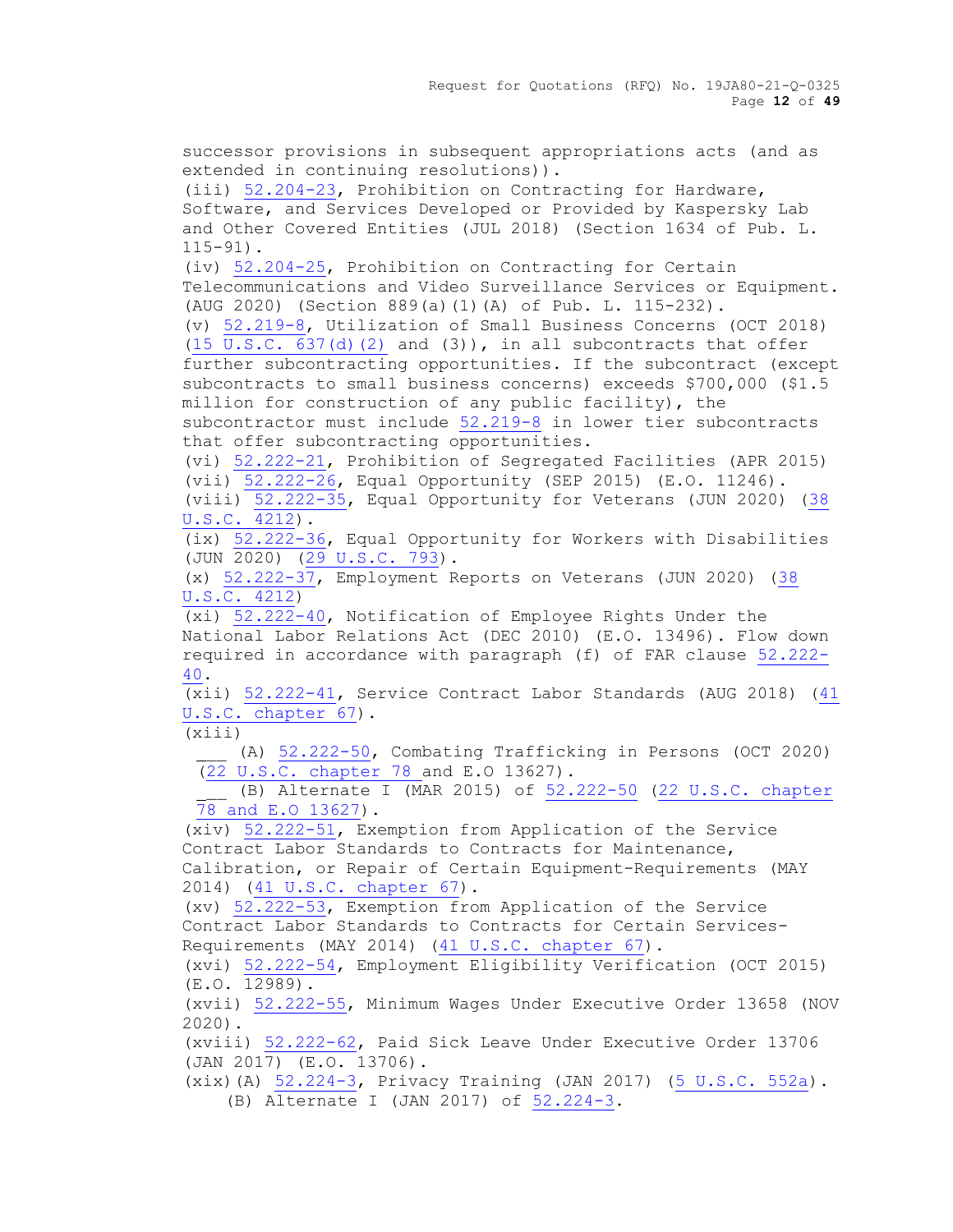Request for Quotations (RFQ) No. 19JA80-21-Q-0325 Page **12** of **49**

successor provisions in subsequent appropriations acts (and as extended in continuing resolutions)). (iii) 52.204-23, Prohibition on Contracting for Hardware, Software, and Services Developed or Provided by Kaspersky Lab and Other Covered Entities (JUL 2018) (Section 1634 of Pub. L. 115-91). (iv) 52.204-25, Prohibition on Contracting for Certain Telecommunications and Video Surveillance Services or Equipment. (AUG 2020) (Section 889(a)(1)(A) of Pub. L. 115-232). (v) [52.219-8,](https://www.acquisition.gov/sites/default/files/current/far/html/52_217_221.html#wp1136032) Utilization of Small Business Concerns (OCT 2018)  $(15 \text{ U.S.C. } 637\text{ (d) } (2)$  and  $(3)$ ), in all subcontracts that offer further subcontracting opportunities. If the subcontract (except subcontracts to small business concerns) exceeds \$700,000 (\$1.5 million for construction of any public facility), the subcontractor must include [52.219-8](https://www.acquisition.gov/sites/default/files/current/far/html/52_217_221.html#wp1136032) in lower tier subcontracts that offer subcontracting opportunities. (vi) [52.222-21,](https://www.acquisition.gov/sites/default/files/current/far/html/52_222.html#wp1147656) Prohibition of Segregated Facilities (APR 2015) (vii) [52.222-26,](https://www.acquisition.gov/sites/default/files/current/far/html/52_222.html#wp1147711) Equal Opportunity (SEP 2015) (E.O. 11246). (viii) [52.222-35,](https://www.acquisition.gov/sites/default/files/current/far/html/52_222.html#wp1158632) Equal Opportunity for Veterans (JUN 2020) [\(38](http://uscode.house.gov/uscode-cgi/fastweb.exe?getdoc+uscview+t37t40+200+2++%2838%29%20%20AND%20%28%2838%29%20ADJ%20USC%29%3ACITE%20%20%20%20%20%20%20%20%20)  [U.S.C. 4212\)](http://uscode.house.gov/uscode-cgi/fastweb.exe?getdoc+uscview+t37t40+200+2++%2838%29%20%20AND%20%28%2838%29%20ADJ%20USC%29%3ACITE%20%20%20%20%20%20%20%20%20). (ix) [52.222-36,](https://www.acquisition.gov/sites/default/files/current/far/html/52_222.html#wp1162802) Equal Opportunity for Workers with Disabilities (JUN 2020) [\(29 U.S.C. 793\)](http://uscode.house.gov/uscode-cgi/fastweb.exe?getdoc+uscview+t29t32+2+78++%2829%29%20%20AND%20%28%2829%29%20ADJ%20USC%29%3ACITE%20%20%20%20%20%20%20%20%20). (x) [52.222-37,](https://www.acquisition.gov/sites/default/files/current/far/html/52_222.html#wp1148123) Employment Reports on Veterans (JUN 2020) [\(38](http://uscode.house.gov/uscode-cgi/fastweb.exe?getdoc+uscview+t29t32+2+78++%2829%29%20%20AND%20%28%2829%29%20ADJ%20USC%29%3ACITE%20%20%20%20%20%20%20%20%20)  [U.S.C. 4212\)](http://uscode.house.gov/uscode-cgi/fastweb.exe?getdoc+uscview+t29t32+2+78++%2829%29%20%20AND%20%28%2829%29%20ADJ%20USC%29%3ACITE%20%20%20%20%20%20%20%20%20) (xi) [52.222-40,](https://www.acquisition.gov/sites/default/files/current/far/html/52_222.html#wp1160019) Notification of Employee Rights Under the National Labor Relations Act (DEC 2010) (E.O. 13496). Flow down required in accordance with paragraph (f) of FAR clause [52.222-](https://www.acquisition.gov/sites/default/files/current/far/html/52_222.html#wp1160019) [40.](https://www.acquisition.gov/sites/default/files/current/far/html/52_222.html#wp1160019) (xii) [52.222-41,](https://www.acquisition.gov/sites/default/files/current/far/html/52_222.html#wp1160021) Service Contract Labor Standards (AUG 2018) [\(41](http://uscode.house.gov/)  [U.S.C. chapter 67\)](http://uscode.house.gov/).  $(xiii)$ (A) [52.222-50,](https://www.acquisition.gov/sites/default/files/current/far/html/52_222.html#wp1151848) Combating Trafficking in Persons (OCT 2020) [\(22 U.S.C. chapter 78 a](http://uscode.house.gov/)nd E.O 13627). (B) Alternate I (MAR 2015) of [52.222-50](https://www.acquisition.gov/sites/default/files/current/far/html/52_222.html#wp1151848) (22 U.S.C. chapter [78 and E.O 13627\)](http://uscode.house.gov/). (xiv) [52.222-51,](https://www.acquisition.gov/sites/default/files/current/far/html/52_222.html#wp1155380) Exemption from Application of the Service Contract Labor Standards to Contracts for Maintenance, Calibration, or Repair of Certain Equipment-Requirements (MAY 2014) [\(41 U.S.C. chapter 67\)](http://uscode.house.gov/). (xv) [52.222-53,](https://www.acquisition.gov/sites/default/files/current/far/html/52_222.html#wp1162590) Exemption from Application of the Service Contract Labor Standards to Contracts for Certain Services-Requirements (MAY 2014) [\(41 U.S.C. chapter 67\)](http://uscode.house.gov/). (xvi) [52.222-54,](https://www.acquisition.gov/sites/default/files/current/far/html/52_222.html#wp1156645) Employment Eligibility Verification (OCT 2015) (E.O. 12989). (xvii) [52.222-55,](https://www.acquisition.gov/sites/default/files/current/far/html/52_222.html#wp1163027) Minimum Wages Under Executive Order 13658 (NOV 2020). (xviii) [52.222-62,](https://www.acquisition.gov/sites/default/files/current/far/html/52_222.html#wp1170084) Paid Sick Leave Under Executive Order 13706 (JAN 2017) (E.O. 13706). (xix)(A) 52.224-3, Privacy Training (JAN 2017) (5 U.S.C. 552a). (B) Alternate I (JAN 2017) of 52.224-3.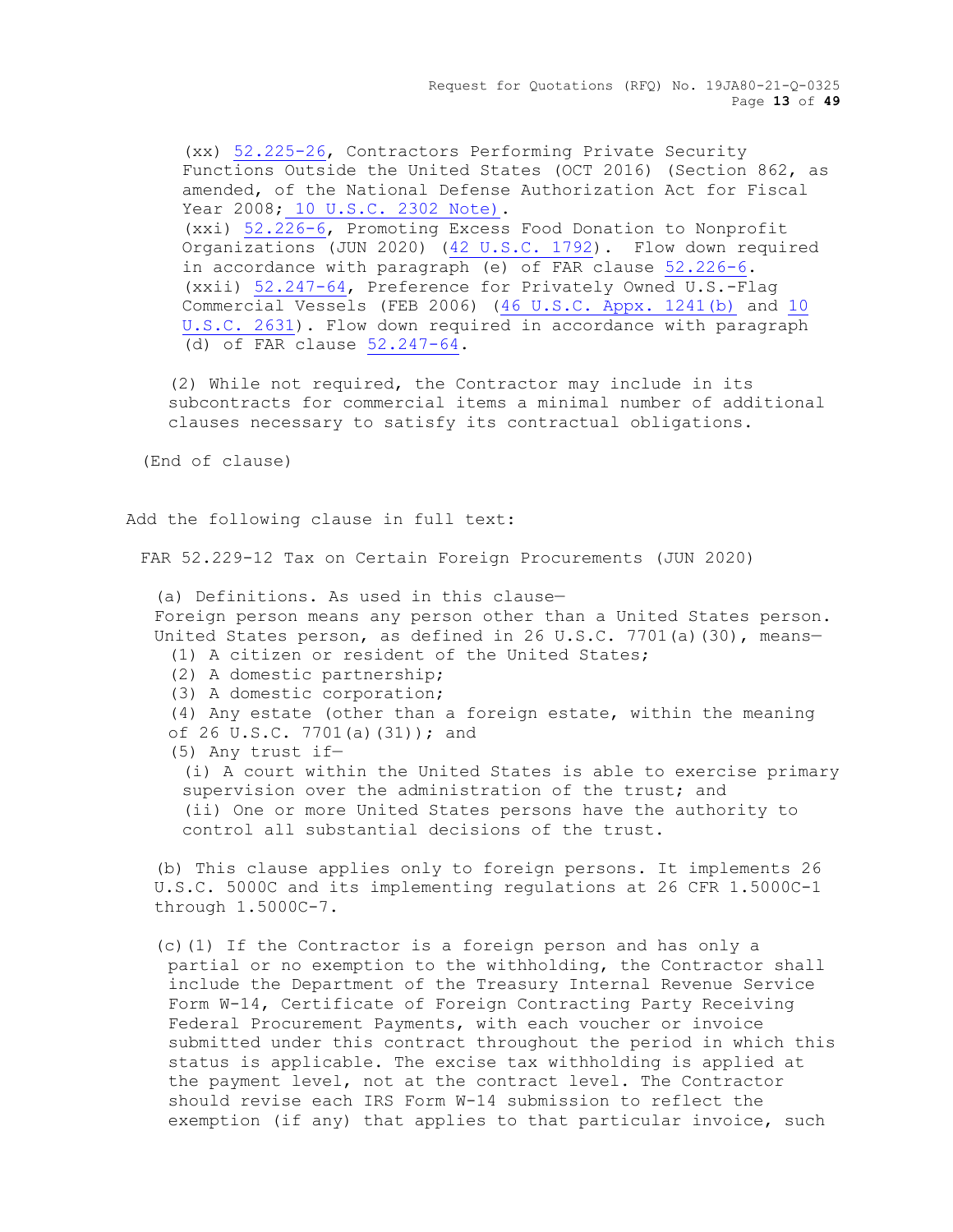Request for Quotations (RFQ) No. 19JA80-21-Q-0325 Page **13** of **49**

(xx) [52.225-26,](https://www.acquisition.gov/sites/default/files/current/far/html/52_223_226.html#wp1192524) Contractors Performing Private Security Functions Outside the United States (OCT 2016) (Section 862, as amended, of the National Defense Authorization Act for Fiscal Year 2008; [10 U.S.C. 2302 Note\).](http://uscode.house.gov/uscode-cgi/fastweb.exe?getdoc+uscview+t09t12+1445+65++%2810%20U.S.C.%202302%20Note%29%20%20%20%20%20%20%20%20%20%20) (xxi) [52.226-6,](https://www.acquisition.gov/sites/default/files/current/far/html/52_223_226.html#wp1183820) Promoting Excess Food Donation to Nonprofit Organizations (JUN 2020) [\(42 U.S.C. 1792\)](http://uscode.house.gov/). Flow down required in accordance with paragraph (e) of FAR clause [52.226-6.](https://www.acquisition.gov/sites/default/files/current/far/html/52_223_226.html#wp1183820) (xxii) [52.247-64,](https://www.acquisition.gov/sites/default/files/current/far/html/52_247.html#wp1156217) Preference for Privately Owned U.S.-Flag Commercial Vessels (FEB 2006) [\(46 U.S.C. Appx. 1241\(b\)](http://uscode.house.gov/uscode-cgi/fastweb.exe?getdoc+uscview+t45t48+351+1++%2846%29%20%20AND%20%28%2846%29%20ADJ%20USC%29%3ACITE%20%20%20%20%20%20%20%20%20) and [10](http://uscode.house.gov/uscode-cgi/fastweb.exe?getdoc+uscview+t09t12+37+408++%2810%29%20%252)  [U.S.C. 2631\)](http://uscode.house.gov/uscode-cgi/fastweb.exe?getdoc+uscview+t09t12+37+408++%2810%29%20%252). Flow down required in accordance with paragraph (d) of FAR clause [52.247-64.](https://www.acquisition.gov/sites/default/files/current/far/html/52_247.html#wp1156217)

(2) While not required, the Contractor may include in its subcontracts for commercial items a minimal number of additional clauses necessary to satisfy its contractual obligations.

(End of clause)

Add the following clause in full text:

FAR 52.229-12 Tax on Certain Foreign Procurements (JUN 2020)

(a) Definitions. As used in this clause— Foreign person means any person other than a United States person. United States person, as defined in 26 U.S.C. 7701(a)(30), means-(1) A citizen or resident of the United States; (2) A domestic partnership; (3) A domestic corporation; (4) Any estate (other than a foreign estate, within the meaning of 26 U.S.C. 7701(a)(31)); and (5) Any trust if— (i) A court within the United States is able to exercise primary supervision over the administration of the trust; and (ii) One or more United States persons have the authority to control all substantial decisions of the trust.

(b) This clause applies only to foreign persons. It implements 26 U.S.C. 5000C and its implementing regulations at 26 CFR 1.5000C-1 through 1.5000C-7.

(c)(1) If the Contractor is a foreign person and has only a partial or no exemption to the withholding, the Contractor shall include the Department of the Treasury Internal Revenue Service Form W-14, Certificate of Foreign Contracting Party Receiving Federal Procurement Payments, with each voucher or invoice submitted under this contract throughout the period in which this status is applicable. The excise tax withholding is applied at the payment level, not at the contract level. The Contractor should revise each IRS Form W-14 submission to reflect the exemption (if any) that applies to that particular invoice, such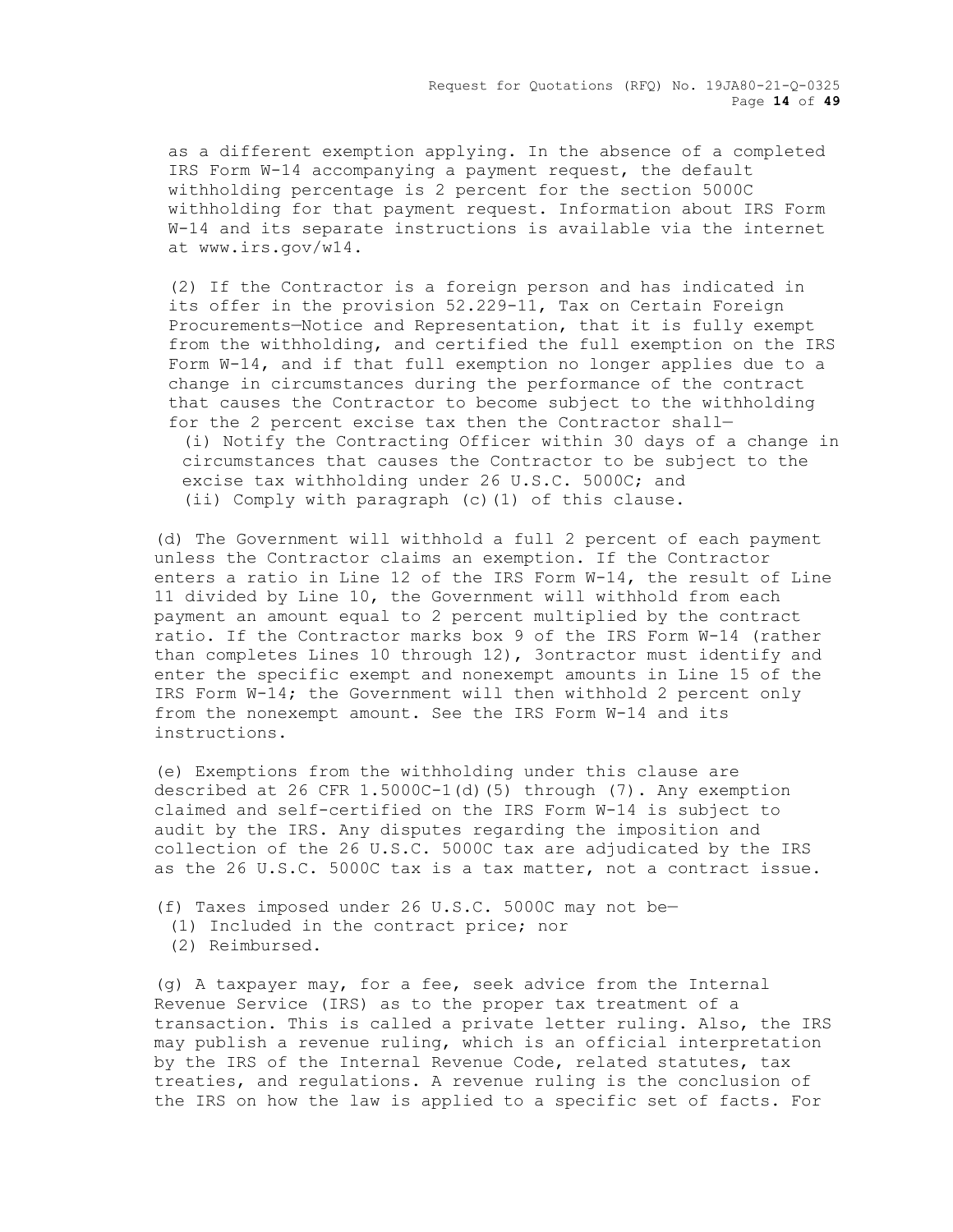Request for Quotations (RFQ) No. 19JA80-21-Q-0325 Page **14** of **49**

as a different exemption applying. In the absence of a completed IRS Form W-14 accompanying a payment request, the default withholding percentage is 2 percent for the section 5000C withholding for that payment request. Information about IRS Form W-14 and its separate instructions is available via the internet at www.irs.gov/w14.

(2) If the Contractor is a foreign person and has indicated in its offer in the provision 52.229-11, Tax on Certain Foreign Procurements—Notice and Representation, that it is fully exempt from the withholding, and certified the full exemption on the IRS Form W-14, and if that full exemption no longer applies due to a change in circumstances during the performance of the contract that causes the Contractor to become subject to the withholding for the 2 percent excise tax then the Contractor shall—

(i) Notify the Contracting Officer within 30 days of a change in circumstances that causes the Contractor to be subject to the excise tax withholding under 26 U.S.C. 5000C; and (ii) Comply with paragraph (c)(1) of this clause.

(d) The Government will withhold a full 2 percent of each payment unless the Contractor claims an exemption. If the Contractor enters a ratio in Line 12 of the IRS Form W-14, the result of Line 11 divided by Line 10, the Government will withhold from each payment an amount equal to 2 percent multiplied by the contract ratio. If the Contractor marks box 9 of the IRS Form W-14 (rather than completes Lines 10 through 12), 3ontractor must identify and enter the specific exempt and nonexempt amounts in Line 15 of the IRS Form W-14; the Government will then withhold 2 percent only from the nonexempt amount. See the IRS Form W-14 and its instructions.

(e) Exemptions from the withholding under this clause are described at 26 CFR 1.5000C-1(d)(5) through (7). Any exemption claimed and self-certified on the IRS Form W-14 is subject to audit by the IRS. Any disputes regarding the imposition and collection of the 26 U.S.C. 5000C tax are adjudicated by the IRS as the 26 U.S.C. 5000C tax is a tax matter, not a contract issue.

- (f) Taxes imposed under 26 U.S.C. 5000C may not be—
	- (1) Included in the contract price; nor
	- (2) Reimbursed.

(g) A taxpayer may, for a fee, seek advice from the Internal Revenue Service (IRS) as to the proper tax treatment of a transaction. This is called a private letter ruling. Also, the IRS may publish a revenue ruling, which is an official interpretation by the IRS of the Internal Revenue Code, related statutes, tax treaties, and regulations. A revenue ruling is the conclusion of the IRS on how the law is applied to a specific set of facts. For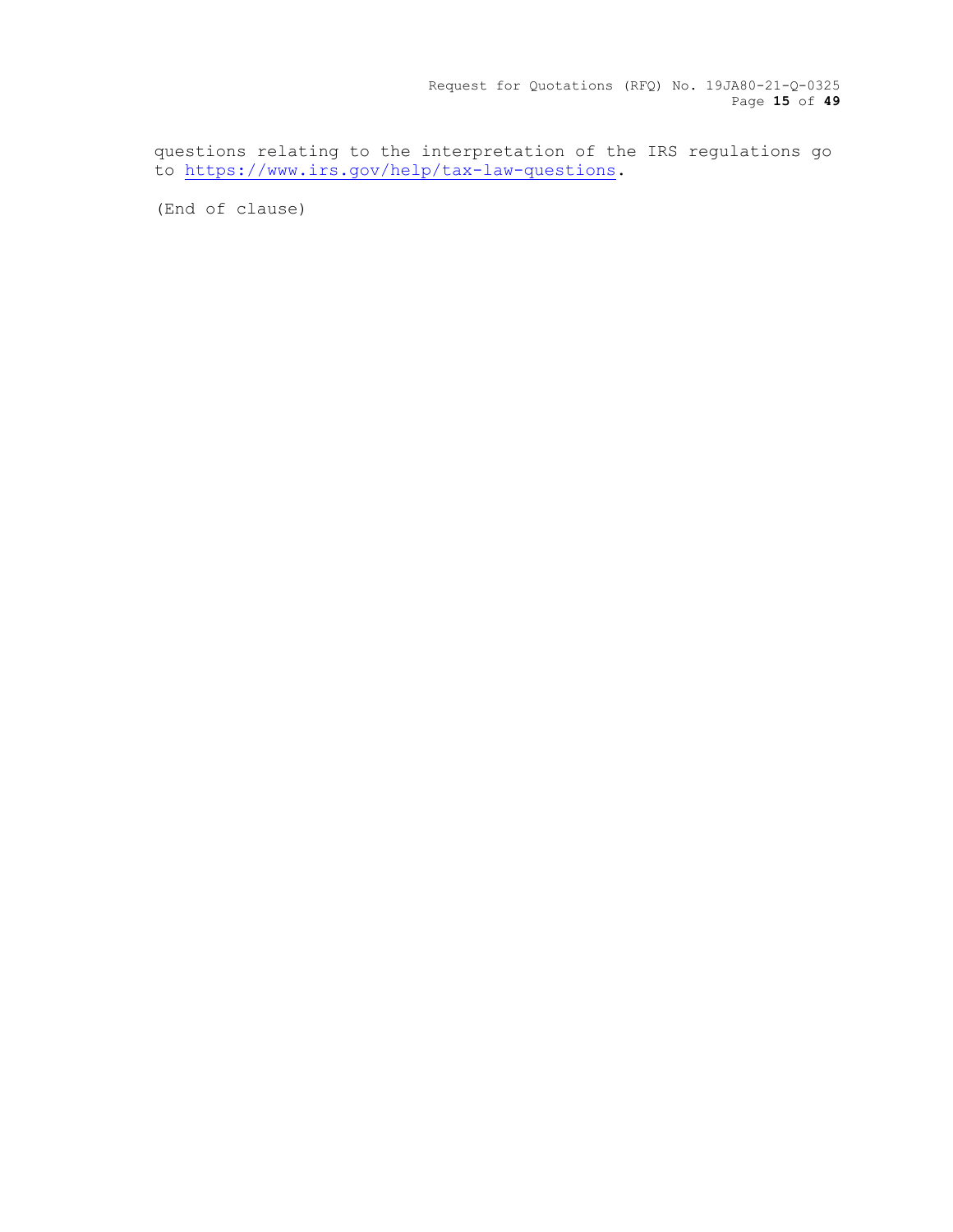Request for Quotations (RFQ) No. 19JA80-21-Q-0325 Page **15** of **49**

questions relating to the interpretation of the IRS regulations go to [https://www.irs.gov/help/tax-law-questions.](https://www.irs.gov/help/tax-law-questions)

(End of clause)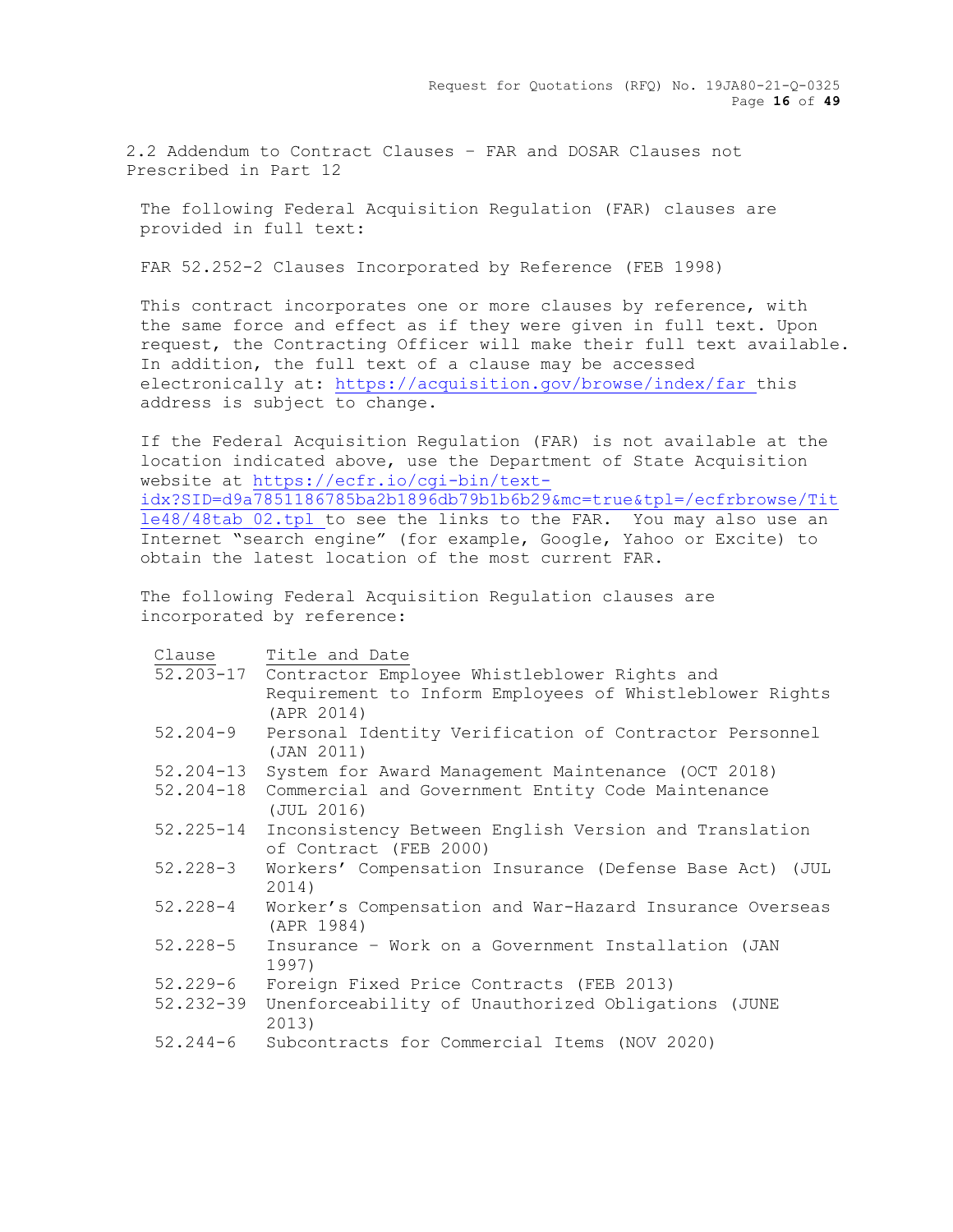Request for Quotations (RFQ) No. 19JA80-21-Q-0325 Page **16** of **49**

2.2 Addendum to Contract Clauses – FAR and DOSAR Clauses not Prescribed in Part 12

The following Federal Acquisition Regulation (FAR) clauses are provided in full text:

FAR 52.252-2 Clauses Incorporated by Reference (FEB 1998)

This contract incorporates one or more clauses by reference, with the same force and effect as if they were given in full text. Upon request, the Contracting Officer will make their full text available. In addition, the full text of a clause may be accessed electronically at:<https://acquisition.gov/browse/index/far> this address is subject to change.

If the Federal Acquisition Regulation (FAR) is not available at the location indicated above, use the Department of State Acquisition website at [https://ecfr.io/cgi-bin/text](https://ecfr.io/cgi-bin/text-idx?SID=d9a7851186785ba2b1896db79b1b6b29&mc=true&tpl=/ecfrbrowse/Title48/48tab_02.tpl)[idx?SID=d9a7851186785ba2b1896db79b1b6b29&mc=true&tpl=/ecfrbrowse/Tit](https://ecfr.io/cgi-bin/text-idx?SID=d9a7851186785ba2b1896db79b1b6b29&mc=true&tpl=/ecfrbrowse/Title48/48tab_02.tpl) [le48/48tab\\_02.tpl](https://ecfr.io/cgi-bin/text-idx?SID=d9a7851186785ba2b1896db79b1b6b29&mc=true&tpl=/ecfrbrowse/Title48/48tab_02.tpl) to see the links to the FAR. You may also use an Internet "search engine" (for example, Google, Yahoo or Excite) to obtain the latest location of the most current FAR.

The following Federal Acquisition Regulation clauses are incorporated by reference:

| Clause        | Title and Date                                                                  |
|---------------|---------------------------------------------------------------------------------|
|               | 52.203-17 Contractor Employee Whistleblower Rights and                          |
|               | Requirement to Inform Employees of Whistleblower Rights<br>(APR 2014)           |
| $52.204 - 9$  | Personal Identity Verification of Contractor Personnel<br>(JAN 2011)            |
| $52.204 - 13$ | System for Award Management Maintenance (OCT 2018)                              |
| $52.204 - 18$ | Commercial and Government Entity Code Maintenance<br>(JUL 2016)                 |
| $52.225 - 14$ | Inconsistency Between English Version and Translation<br>of Contract (FEB 2000) |
| $52.228 - 3$  | Workers' Compensation Insurance (Defense Base Act) (JUL<br>2014)                |
| $52.228 - 4$  | Worker's Compensation and War-Hazard Insurance Overseas<br>(APR 1984)           |
| 52.228-5      | Insurance - Work on a Government Installation (JAN<br>1997)                     |
| $52.229 - 6$  | Foreign Fixed Price Contracts (FEB 2013)                                        |
| $52.232 - 39$ | Unenforceability of Unauthorized Obligations (JUNE<br>2013)                     |
| $52.244 - 6$  | Subcontracts for Commercial Items (NOV 2020)                                    |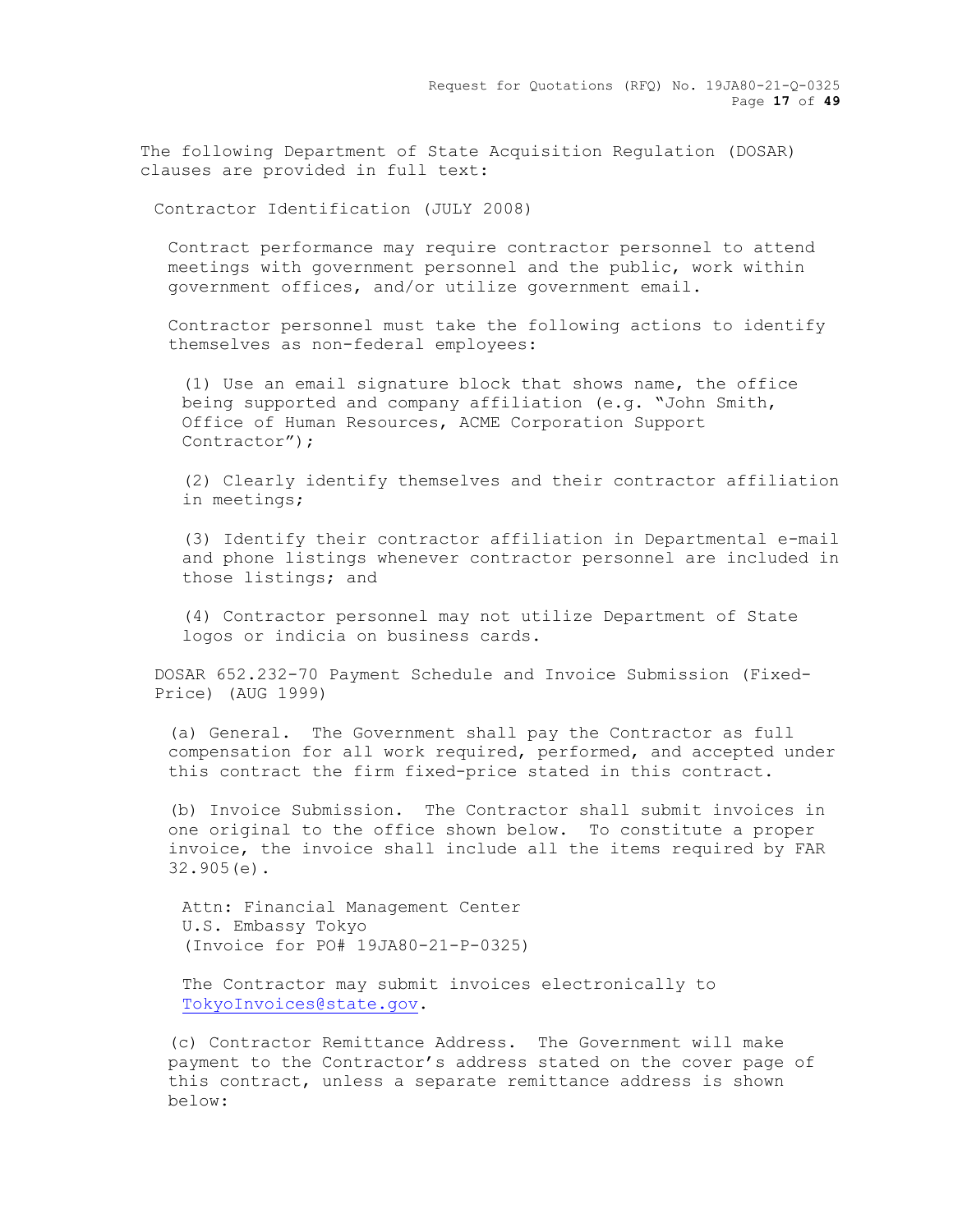Request for Quotations (RFQ) No. 19JA80-21-Q-0325 Page **17** of **49**

The following Department of State Acquisition Regulation (DOSAR) clauses are provided in full text:

Contractor Identification (JULY 2008)

Contract performance may require contractor personnel to attend meetings with government personnel and the public, work within government offices, and/or utilize government email.

Contractor personnel must take the following actions to identify themselves as non-federal employees:

(1) Use an email signature block that shows name, the office being supported and company affiliation (e.g. "John Smith, Office of Human Resources, ACME Corporation Support Contractor");

(2) Clearly identify themselves and their contractor affiliation in meetings;

(3) Identify their contractor affiliation in Departmental e-mail and phone listings whenever contractor personnel are included in those listings; and

(4) Contractor personnel may not utilize Department of State logos or indicia on business cards.

DOSAR 652.232-70 Payment Schedule and Invoice Submission (Fixed-Price) (AUG 1999)

(a) General. The Government shall pay the Contractor as full compensation for all work required, performed, and accepted under this contract the firm fixed-price stated in this contract.

(b) Invoice Submission. The Contractor shall submit invoices in one original to the office shown below. To constitute a proper invoice, the invoice shall include all the items required by FAR 32.905(e).

Attn: Financial Management Center U.S. Embassy Tokyo (Invoice for PO# 19JA80-21-P-0325)

The Contractor may submit invoices electronically to [TokyoInvoices@state.gov.](mailto:TokyoInvoices@state.gov)

(c) Contractor Remittance Address. The Government will make payment to the Contractor's address stated on the cover page of this contract, unless a separate remittance address is shown below: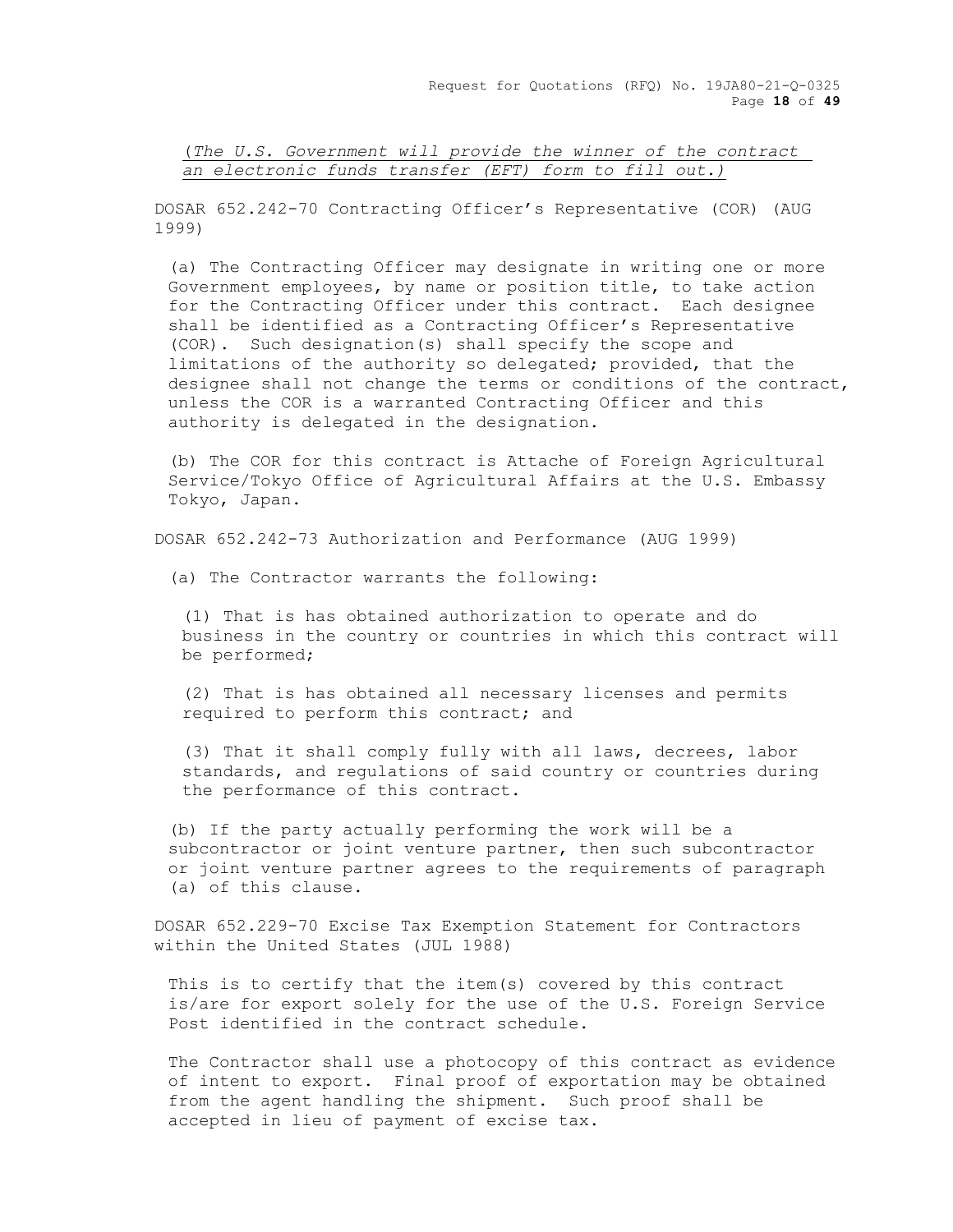(*The U.S. Government will provide the winner of the contract an electronic funds transfer (EFT) form to fill out.)*

DOSAR 652.242-70 Contracting Officer's Representative (COR) (AUG 1999)

(a) The Contracting Officer may designate in writing one or more Government employees, by name or position title, to take action for the Contracting Officer under this contract. Each designee shall be identified as a Contracting Officer's Representative (COR). Such designation(s) shall specify the scope and limitations of the authority so delegated; provided, that the designee shall not change the terms or conditions of the contract, unless the COR is a warranted Contracting Officer and this authority is delegated in the designation.

(b) The COR for this contract is Attache of Foreign Agricultural Service/Tokyo Office of Agricultural Affairs at the U.S. Embassy Tokyo, Japan.

DOSAR 652.242-73 Authorization and Performance (AUG 1999)

(a) The Contractor warrants the following:

(1) That is has obtained authorization to operate and do business in the country or countries in which this contract will be performed;

(2) That is has obtained all necessary licenses and permits required to perform this contract; and

(3) That it shall comply fully with all laws, decrees, labor standards, and regulations of said country or countries during the performance of this contract.

(b) If the party actually performing the work will be a subcontractor or joint venture partner, then such subcontractor or joint venture partner agrees to the requirements of paragraph (a) of this clause.

DOSAR 652.229-70 Excise Tax Exemption Statement for Contractors within the United States (JUL 1988)

This is to certify that the item(s) covered by this contract is/are for export solely for the use of the U.S. Foreign Service Post identified in the contract schedule.

The Contractor shall use a photocopy of this contract as evidence of intent to export. Final proof of exportation may be obtained from the agent handling the shipment. Such proof shall be accepted in lieu of payment of excise tax.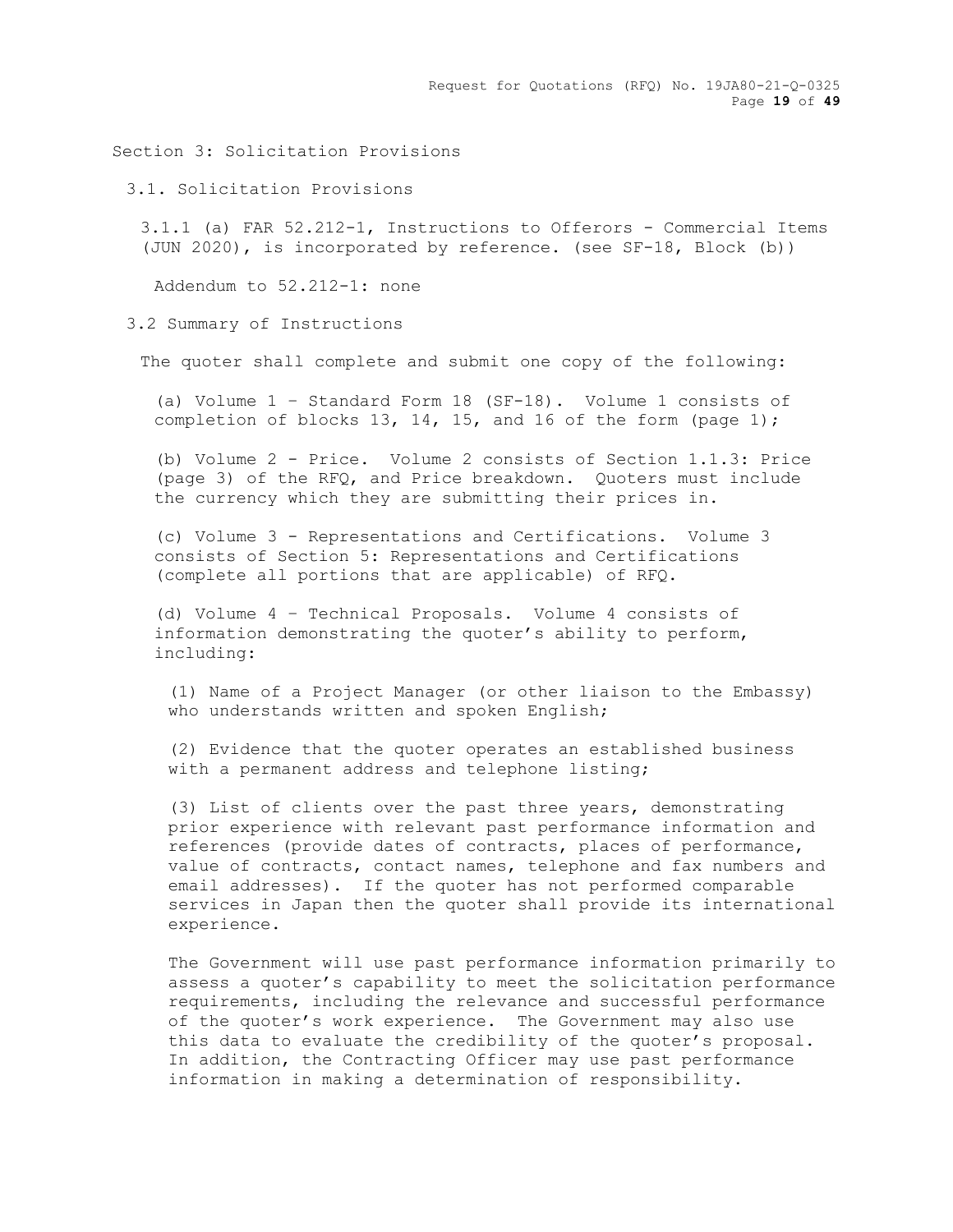Request for Quotations (RFQ) No. 19JA80-21-Q-0325 Page **19** of **49**

Section 3: Solicitation Provisions

3.1. Solicitation Provisions

3.1.1 (a) FAR 52.212-1, Instructions to Offerors - Commercial Items (JUN 2020), is incorporated by reference. (see SF-18, Block (b))

Addendum to 52.212-1: none

3.2 Summary of Instructions

The quoter shall complete and submit one copy of the following:

(a) Volume 1 – Standard Form 18 (SF-18). Volume 1 consists of completion of blocks 13, 14, 15, and 16 of the form (page  $1$ );

(b) Volume 2 - Price. Volume 2 consists of Section 1.1.3: Price (page 3) of the RFQ, and Price breakdown. Quoters must include the currency which they are submitting their prices in.

(c) Volume 3 - Representations and Certifications. Volume 3 consists of Section 5: Representations and Certifications (complete all portions that are applicable) of RFQ.

(d) Volume 4 – Technical Proposals. Volume 4 consists of information demonstrating the quoter's ability to perform, including:

(1) Name of a Project Manager (or other liaison to the Embassy) who understands written and spoken English;

(2) Evidence that the quoter operates an established business with a permanent address and telephone listing;

(3) List of clients over the past three years, demonstrating prior experience with relevant past performance information and references (provide dates of contracts, places of performance, value of contracts, contact names, telephone and fax numbers and email addresses). If the quoter has not performed comparable services in Japan then the quoter shall provide its international experience.

The Government will use past performance information primarily to assess a quoter's capability to meet the solicitation performance requirements, including the relevance and successful performance of the quoter's work experience. The Government may also use this data to evaluate the credibility of the quoter's proposal. In addition, the Contracting Officer may use past performance information in making a determination of responsibility.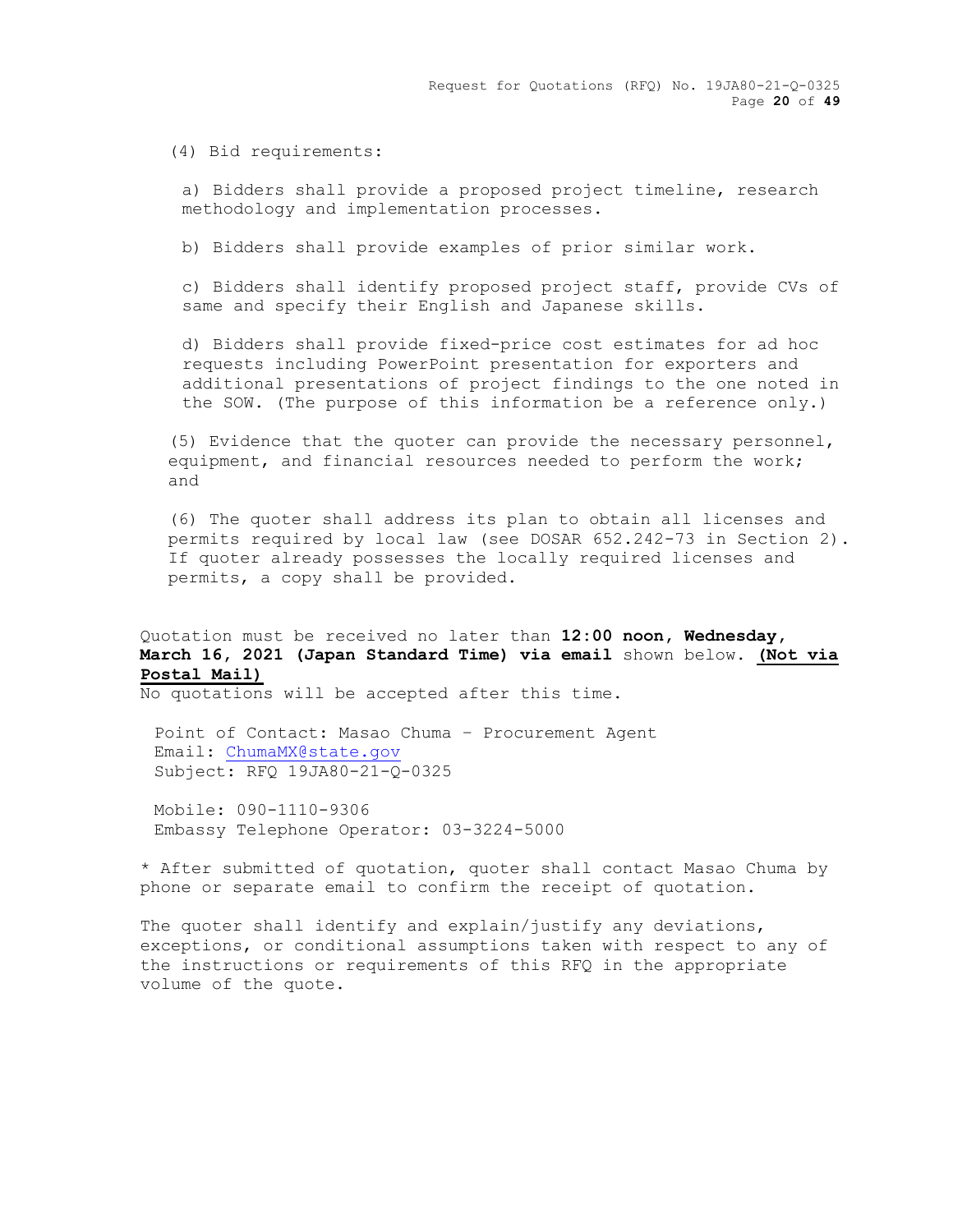(4) Bid requirements:

a) Bidders shall provide a proposed project timeline, research methodology and implementation processes.

b) Bidders shall provide examples of prior similar work.

c) Bidders shall identify proposed project staff, provide CVs of same and specify their English and Japanese skills.

d) Bidders shall provide fixed-price cost estimates for ad hoc requests including PowerPoint presentation for exporters and additional presentations of project findings to the one noted in the SOW. (The purpose of this information be a reference only.)

(5) Evidence that the quoter can provide the necessary personnel, equipment, and financial resources needed to perform the work; and

(6) The quoter shall address its plan to obtain all licenses and permits required by local law (see DOSAR 652.242-73 in Section 2). If quoter already possesses the locally required licenses and permits, a copy shall be provided.

Quotation must be received no later than **12:00 noon, Wednesday, March 16, 2021 (Japan Standard Time) via email** shown below. **(Not via Postal Mail)**

No quotations will be accepted after this time.

Point of Contact: Masao Chuma – Procurement Agent Email: [ChumaMX@state.gov](mailto:ChumaMX@state.gov) Subject: RFQ 19JA80-21-Q-0325

Mobile: 090-1110-9306 Embassy Telephone Operator: 03-3224-5000

\* After submitted of quotation, quoter shall contact Masao Chuma by phone or separate email to confirm the receipt of quotation.

The quoter shall identify and explain/justify any deviations, exceptions, or conditional assumptions taken with respect to any of the instructions or requirements of this RFQ in the appropriate volume of the quote.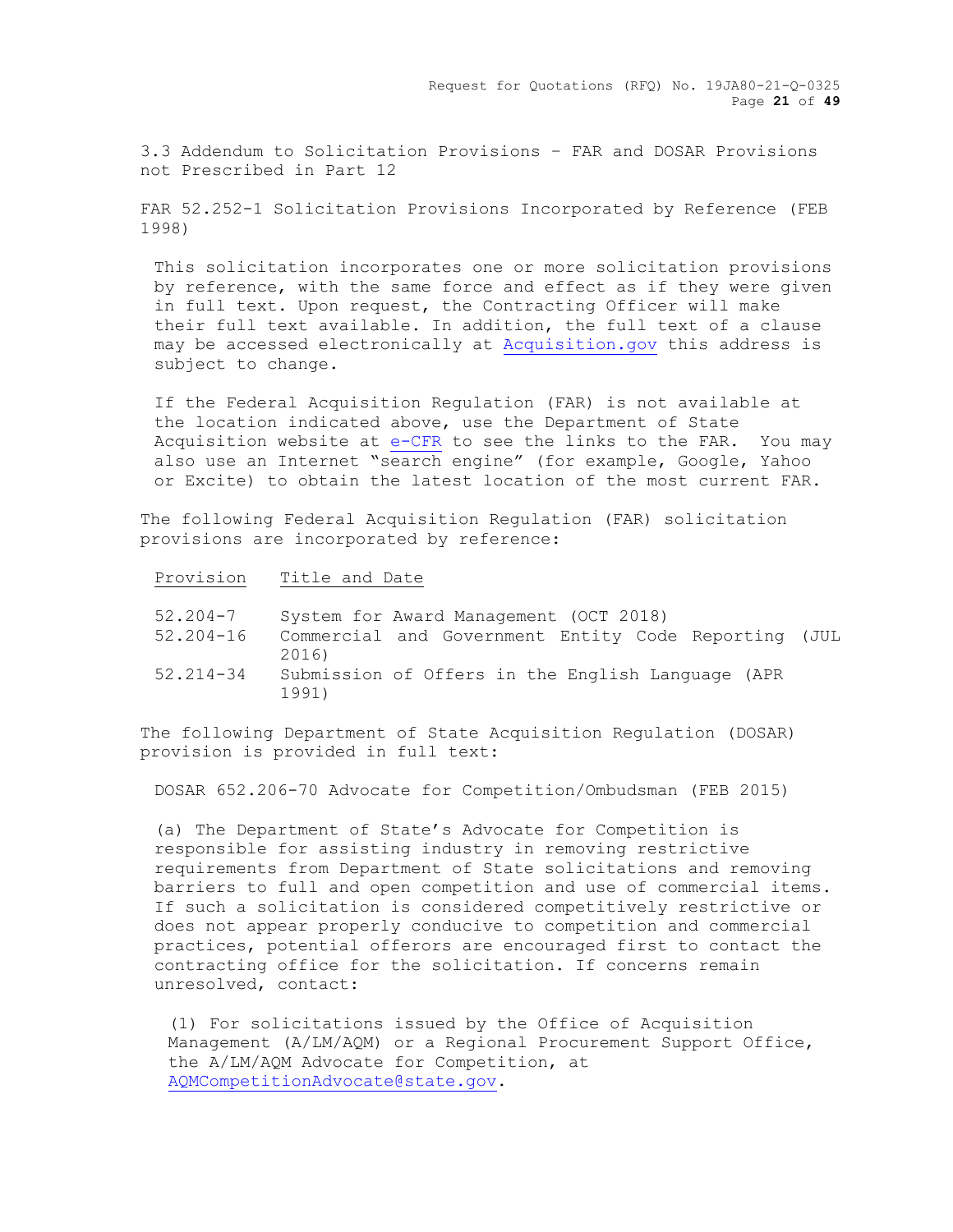3.3 Addendum to Solicitation Provisions – FAR and DOSAR Provisions not Prescribed in Part 12

FAR 52.252-1 Solicitation Provisions Incorporated by Reference (FEB 1998)

This solicitation incorporates one or more solicitation provisions by reference, with the same force and effect as if they were given in full text. Upon request, the Contracting Officer will make their full text available. In addition, the full text of a clause may be accessed electronically at Acquisition.gov this address is subject to change.

If the Federal Acquisition Regulation (FAR) is not available at the location indicated above, use the Department of State Acquisition website at e-CFR to see the links to the FAR. You may also use an Internet "search engine" (for example, Google, Yahoo or Excite) to obtain the latest location of the most current FAR.

The following Federal Acquisition Regulation (FAR) solicitation provisions are incorporated by reference:

|  | Provision | Title and Date |  |  |
|--|-----------|----------------|--|--|
|--|-----------|----------------|--|--|

| $52.204 - 7$  | System for Award Management (OCT 2018)                        |
|---------------|---------------------------------------------------------------|
| $52.204 - 16$ | Commercial and Government Entity Code Reporting (JUL<br>2016) |
| $52.214 - 34$ | Submission of Offers in the English Language (APR<br>1991)    |

The following Department of State Acquisition Regulation (DOSAR) provision is provided in full text:

DOSAR 652.206-70 Advocate for Competition/Ombudsman (FEB 2015)

(a) The Department of State's Advocate for Competition is responsible for assisting industry in removing restrictive requirements from Department of State solicitations and removing barriers to full and open competition and use of commercial items. If such a solicitation is considered competitively restrictive or does not appear properly conducive to competition and commercial practices, potential offerors are encouraged first to contact the contracting office for the solicitation. If concerns remain unresolved, contact:

(1) For solicitations issued by the Office of Acquisition Management (A/LM/AQM) or a Regional Procurement Support Office, the A/LM/AQM Advocate for Competition, at [AQMCompetitionAdvocate@state.gov.](mailto:AQMCompetitionAdvocate@state.gov)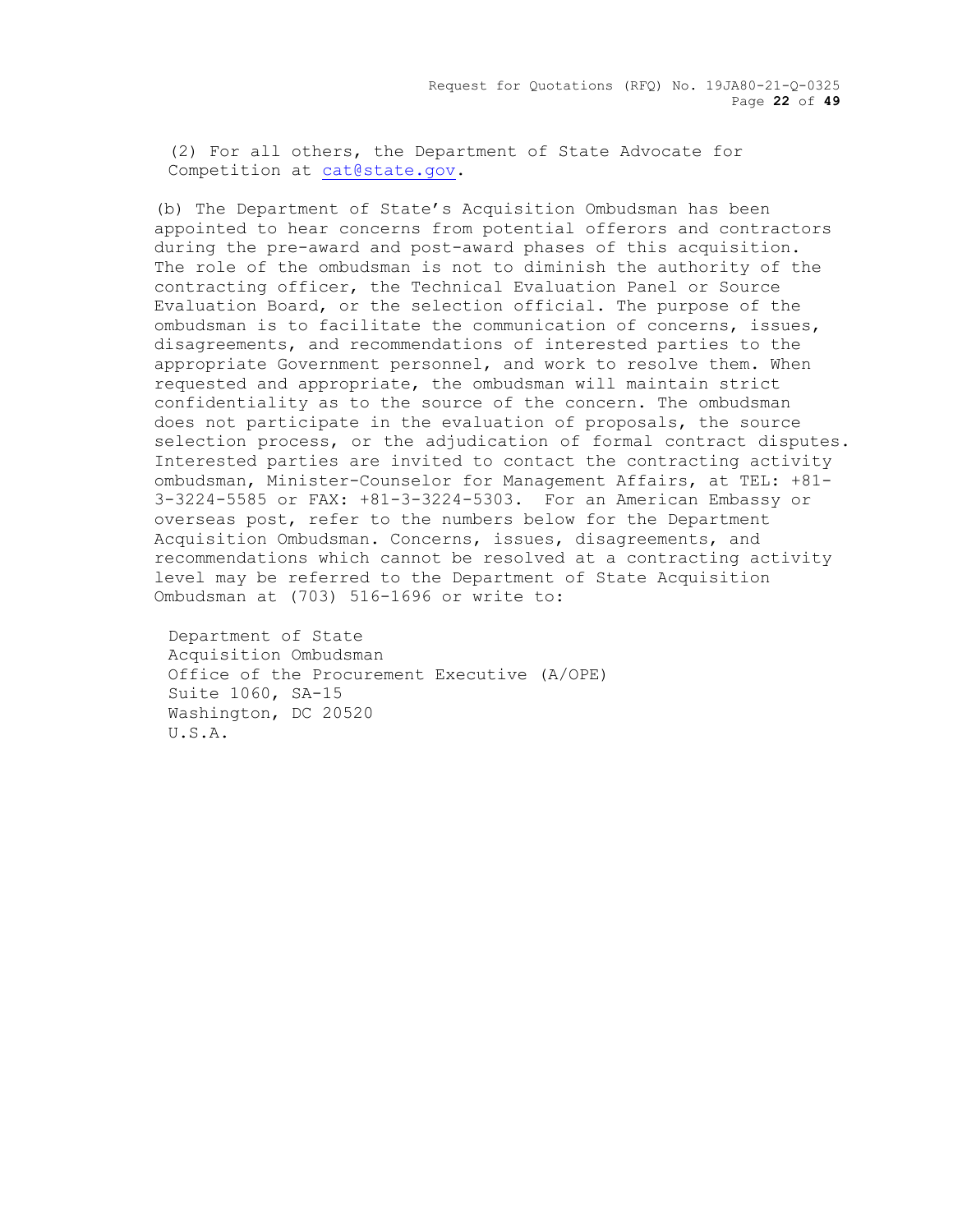Request for Quotations (RFQ) No. 19JA80-21-Q-0325 Page **22** of **49**

(2) For all others, the Department of State Advocate for Competition at [cat@state.gov.](mailto:cat@state.gov)

(b) The Department of State's Acquisition Ombudsman has been appointed to hear concerns from potential offerors and contractors during the pre-award and post-award phases of this acquisition. The role of the ombudsman is not to diminish the authority of the contracting officer, the Technical Evaluation Panel or Source Evaluation Board, or the selection official. The purpose of the ombudsman is to facilitate the communication of concerns, issues, disagreements, and recommendations of interested parties to the appropriate Government personnel, and work to resolve them. When requested and appropriate, the ombudsman will maintain strict confidentiality as to the source of the concern. The ombudsman does not participate in the evaluation of proposals, the source selection process, or the adjudication of formal contract disputes. Interested parties are invited to contact the contracting activity ombudsman, Minister-Counselor for Management Affairs, at TEL: +81- 3-3224-5585 or FAX: +81-3-3224-5303. For an American Embassy or overseas post, refer to the numbers below for the Department Acquisition Ombudsman. Concerns, issues, disagreements, and recommendations which cannot be resolved at a contracting activity level may be referred to the Department of State Acquisition Ombudsman at (703) 516-1696 or write to:

Department of State Acquisition Ombudsman Office of the Procurement Executive (A/OPE) Suite 1060, SA-15 Washington, DC 20520 U.S.A.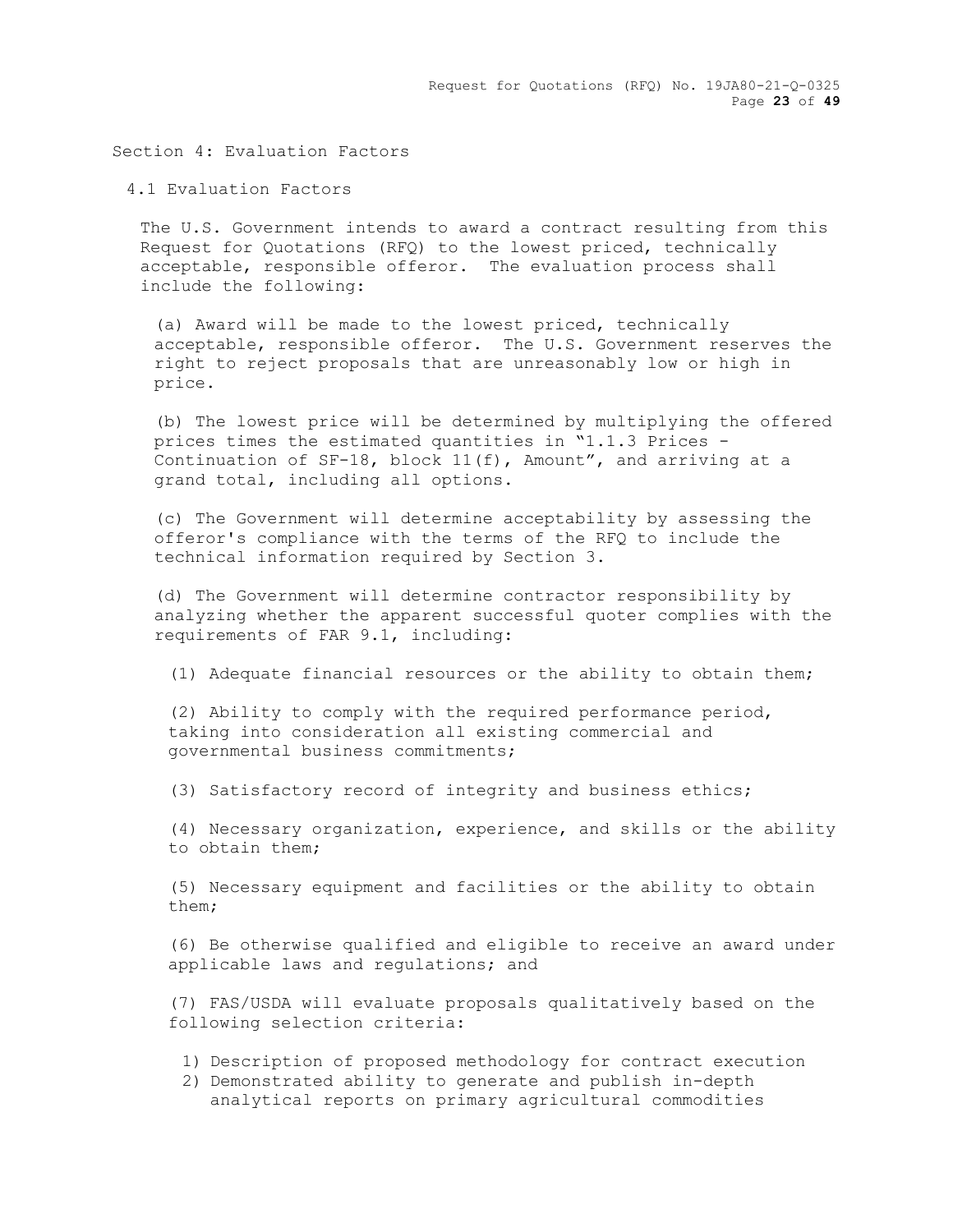Request for Quotations (RFQ) No. 19JA80-21-Q-0325 Page **23** of **49**

Section 4: Evaluation Factors

4.1 Evaluation Factors

The U.S. Government intends to award a contract resulting from this Request for Quotations (RFQ) to the lowest priced, technically acceptable, responsible offeror. The evaluation process shall include the following:

(a) Award will be made to the lowest priced, technically acceptable, responsible offeror. The U.S. Government reserves the right to reject proposals that are unreasonably low or high in price.

(b) The lowest price will be determined by multiplying the offered prices times the estimated quantities in "1.1.3 Prices - Continuation of SF-18, block 11(f), Amount", and arriving at a grand total, including all options.

(c) The Government will determine acceptability by assessing the offeror's compliance with the terms of the RFQ to include the technical information required by Section 3.

(d) The Government will determine contractor responsibility by analyzing whether the apparent successful quoter complies with the requirements of FAR 9.1, including:

(1) Adequate financial resources or the ability to obtain them;

(2) Ability to comply with the required performance period, taking into consideration all existing commercial and governmental business commitments;

(3) Satisfactory record of integrity and business ethics;

(4) Necessary organization, experience, and skills or the ability to obtain them;

(5) Necessary equipment and facilities or the ability to obtain them;

(6) Be otherwise qualified and eligible to receive an award under applicable laws and regulations; and

(7) FAS/USDA will evaluate proposals qualitatively based on the following selection criteria:

- 1) Description of proposed methodology for contract execution
- 2) Demonstrated ability to generate and publish in-depth analytical reports on primary agricultural commodities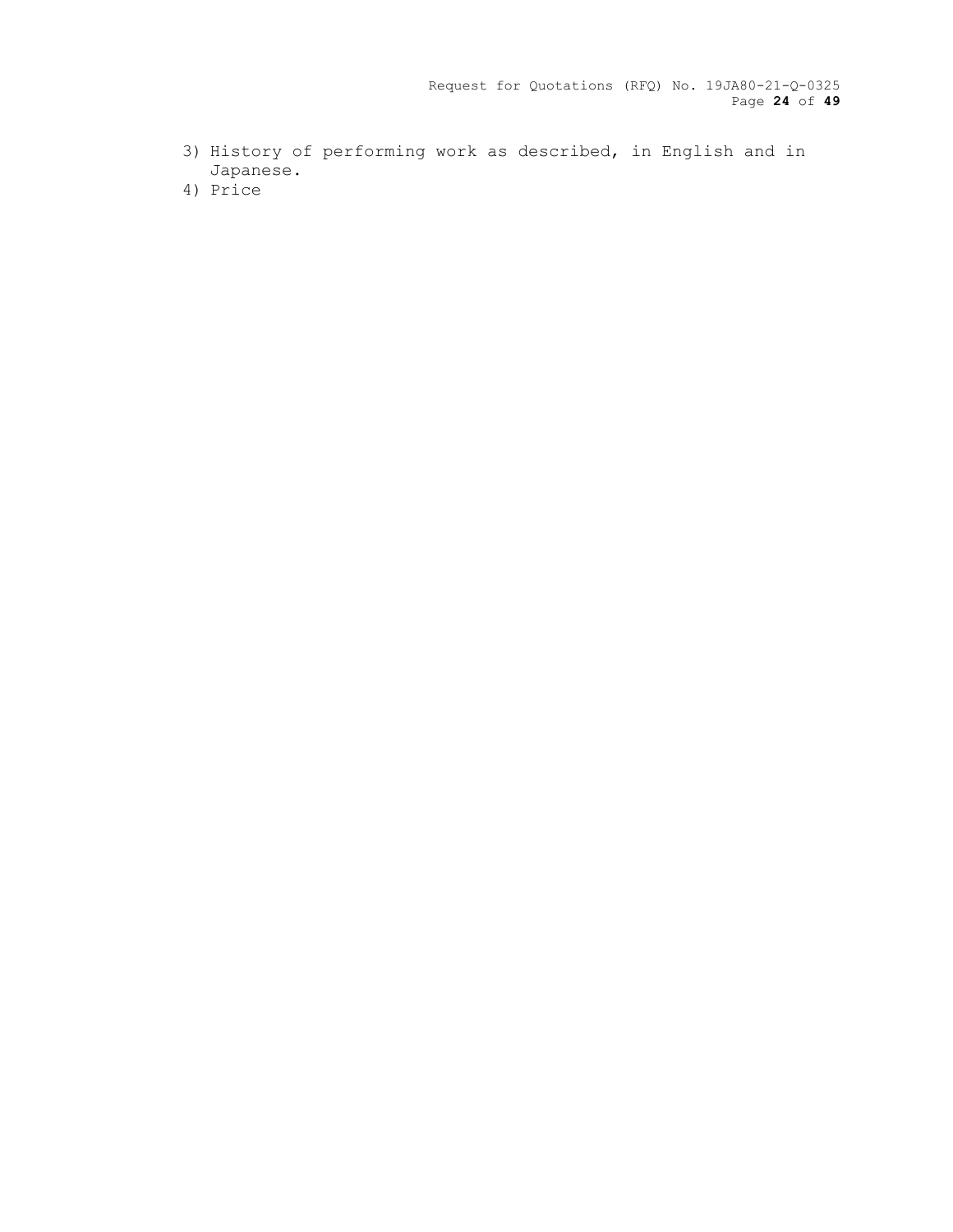Request for Quotations (RFQ) No. 19JA80-21-Q-0325 Page **24** of **49**

- 3) History of performing work as described, in English and in Japanese.
- 4) Price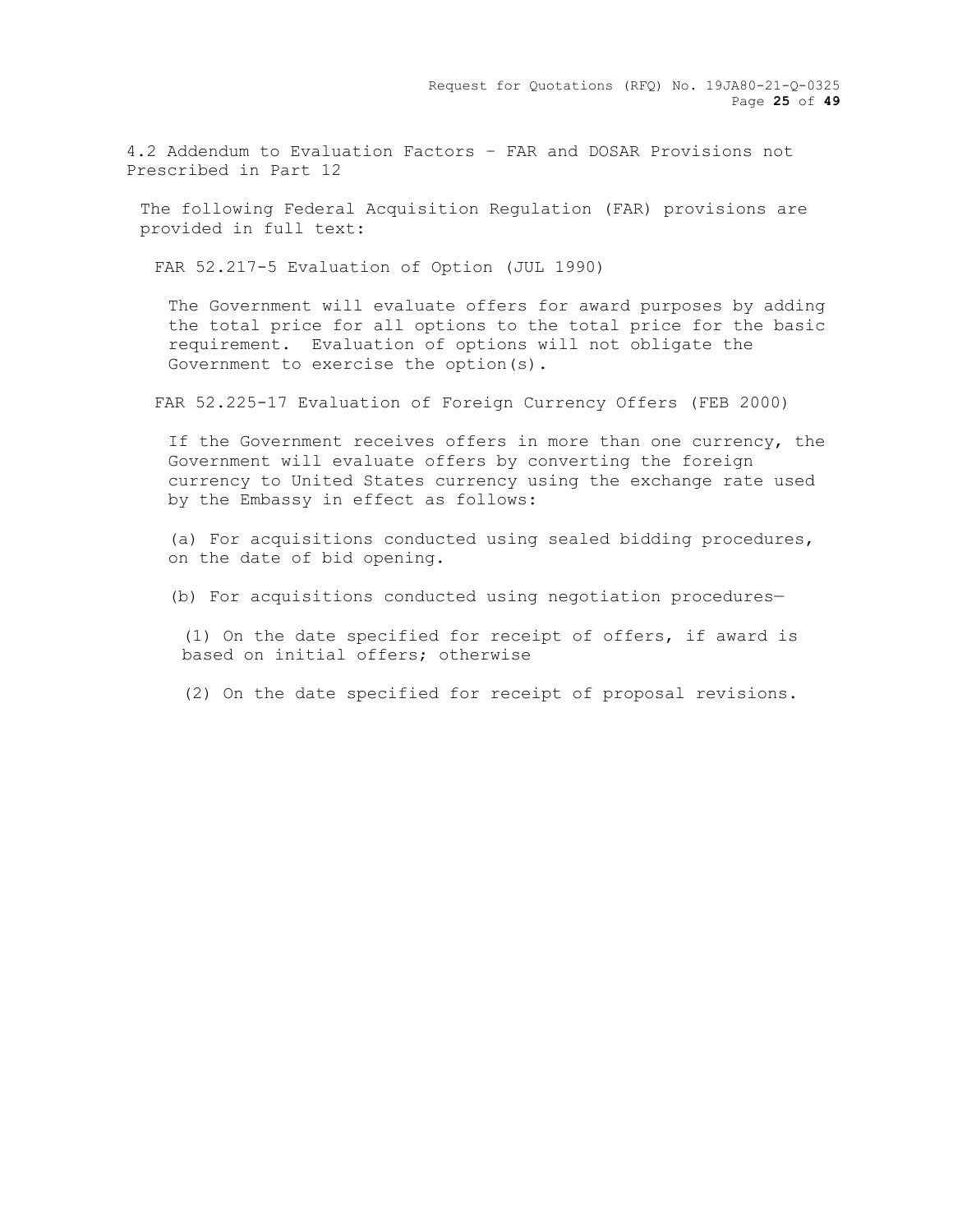4.2 Addendum to Evaluation Factors – FAR and DOSAR Provisions not Prescribed in Part 12

The following Federal Acquisition Regulation (FAR) provisions are provided in full text:

FAR 52.217-5 Evaluation of Option (JUL 1990)

The Government will evaluate offers for award purposes by adding the total price for all options to the total price for the basic requirement. Evaluation of options will not obligate the Government to exercise the option(s).

FAR 52.225-17 Evaluation of Foreign Currency Offers (FEB 2000)

If the Government receives offers in more than one currency, the Government will evaluate offers by converting the foreign currency to United States currency using the exchange rate used by the Embassy in effect as follows:

(a) For acquisitions conducted using sealed bidding procedures, on the date of bid opening.

(b) For acquisitions conducted using negotiation procedures—

(1) On the date specified for receipt of offers, if award is based on initial offers; otherwise

(2) On the date specified for receipt of proposal revisions.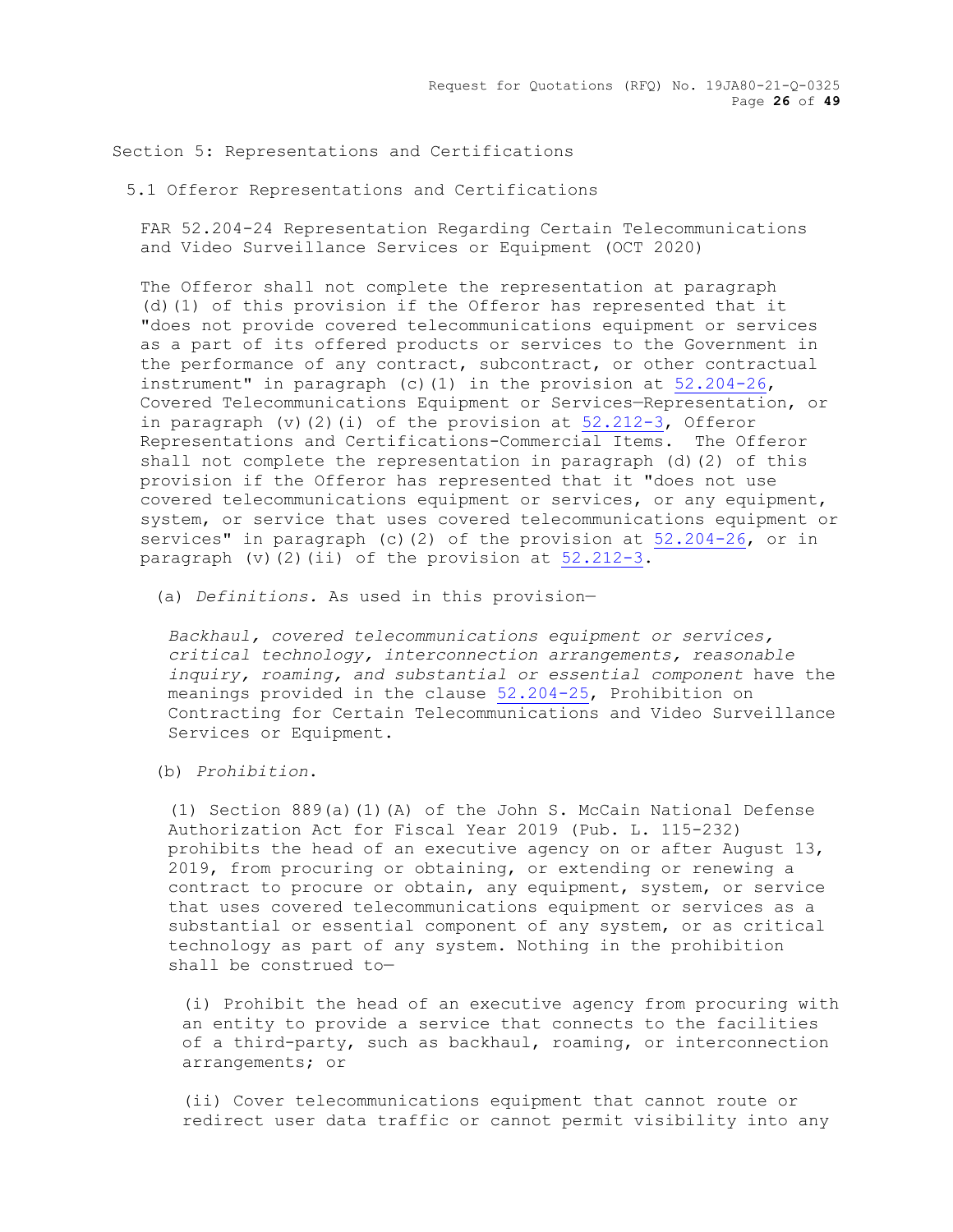Section 5: Representations and Certifications

5.1 Offeror Representations and Certifications

FAR 52.204-24 Representation Regarding Certain Telecommunications and Video Surveillance Services or Equipment (OCT 2020)

The Offeror shall not complete the representation at paragraph (d)(1) of this provision if the Offeror has represented that it "does not provide covered telecommunications equipment or services as a part of its offered products or services to the Government in the performance of any contract, subcontract, or other contractual instrument" in paragraph (c)(1) in the provision at  $52.204-26$ , Covered Telecommunications Equipment or Services—Representation, or in paragraph  $(v)(2)(i)$  of the provision at  $52.212-3$ , Offeror Representations and Certifications-Commercial Items. The Offeror shall not complete the representation in paragraph (d)(2) of this provision if the Offeror has represented that it "does not use covered telecommunications equipment or services, or any equipment, system, or service that uses covered telecommunications equipment or services" in paragraph (c)(2) of the provision at [52.204-26,](https://www.acquisition.gov/far/part-52#FAR_52_204_26) or in paragraph (v)(2)(ii) of the provision at [52.212-3.](https://www.acquisition.gov/far/part-52#FAR_52_212_3)

(a) *Definitions.* As used in this provision—

*Backhaul, covered telecommunications equipment or services, critical technology, interconnection arrangements, reasonable inquiry, roaming, and substantial or essential component* have the meanings provided in the clause [52.204-25,](https://www.acquisition.gov/far/part-52#FAR_52_204_25) Prohibition on Contracting for Certain Telecommunications and Video Surveillance Services or Equipment.

(b) *Prohibition*.

(1) Section 889(a)(1)(A) of the John S. McCain National Defense Authorization Act for Fiscal Year 2019 (Pub. L. 115-232) prohibits the head of an executive agency on or after August 13, 2019, from procuring or obtaining, or extending or renewing a contract to procure or obtain, any equipment, system, or service that uses covered telecommunications equipment or services as a substantial or essential component of any system, or as critical technology as part of any system. Nothing in the prohibition shall be construed to—

(i) Prohibit the head of an executive agency from procuring with an entity to provide a service that connects to the facilities of a third-party, such as backhaul, roaming, or interconnection arrangements; or

(ii) Cover telecommunications equipment that cannot route or redirect user data traffic or cannot permit visibility into any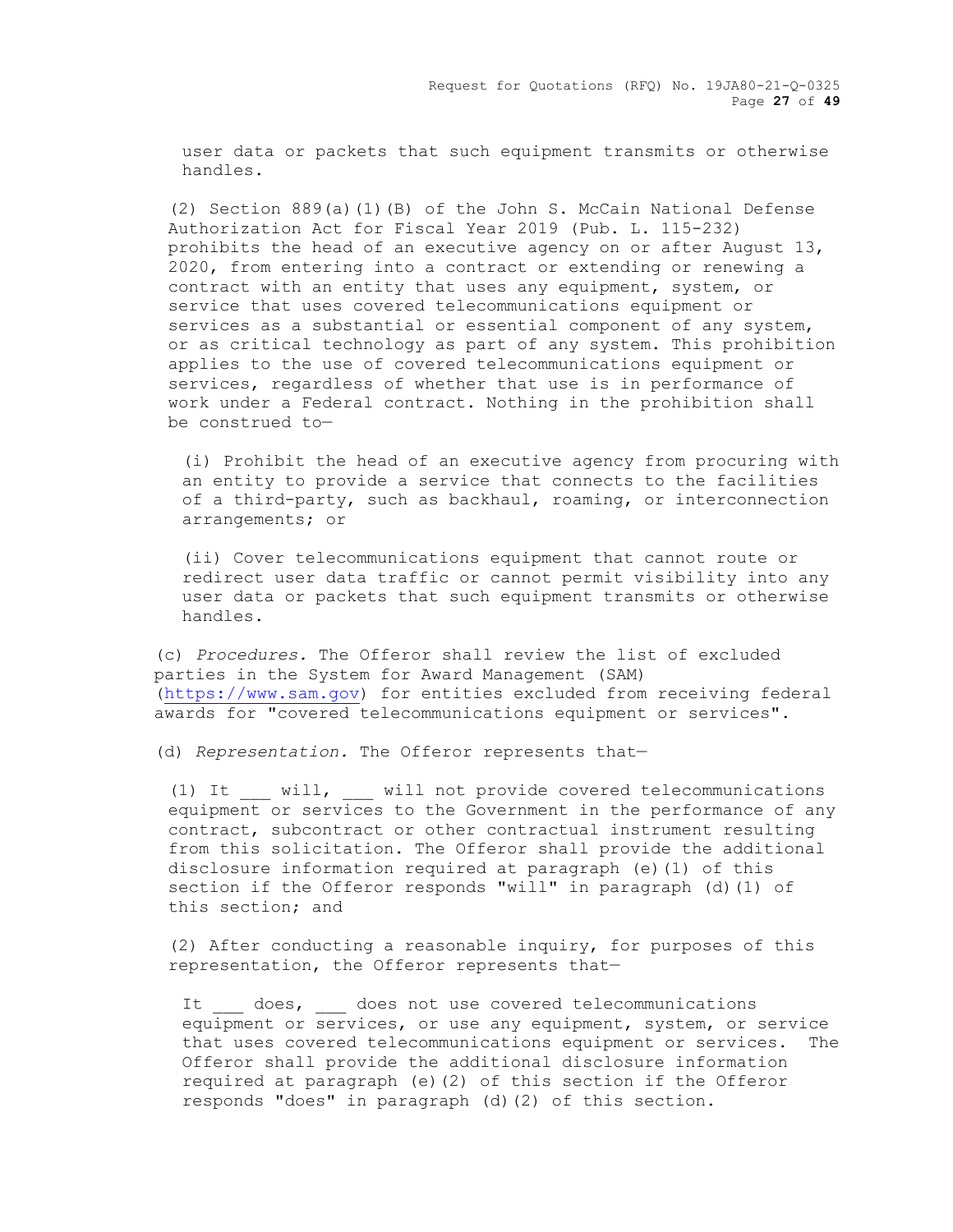user data or packets that such equipment transmits or otherwise handles.

(2) Section 889(a)(1)(B) of the John S. McCain National Defense Authorization Act for Fiscal Year 2019 (Pub. L. 115-232) prohibits the head of an executive agency on or after August 13, 2020, from entering into a contract or extending or renewing a contract with an entity that uses any equipment, system, or service that uses covered telecommunications equipment or services as a substantial or essential component of any system, or as critical technology as part of any system. This prohibition applies to the use of covered telecommunications equipment or services, regardless of whether that use is in performance of work under a Federal contract. Nothing in the prohibition shall be construed to—

(i) Prohibit the head of an executive agency from procuring with an entity to provide a service that connects to the facilities of a third-party, such as backhaul, roaming, or interconnection arrangements; or

(ii) Cover telecommunications equipment that cannot route or redirect user data traffic or cannot permit visibility into any user data or packets that such equipment transmits or otherwise handles.

(c) *Procedures.* The Offeror shall review the list of excluded parties in the System for Award Management (SAM) [\(https://www.sam.gov\)](https://www.sam.gov/) for entities excluded from receiving federal awards for "covered telecommunications equipment or services".

(d) *Representation.* The Offeror represents that—

(1) It will, will not provide covered telecommunications equipment or services to the Government in the performance of any contract, subcontract or other contractual instrument resulting from this solicitation. The Offeror shall provide the additional disclosure information required at paragraph (e)(1) of this section if the Offeror responds "will" in paragraph (d)(1) of this section; and

(2) After conducting a reasonable inquiry, for purposes of this representation, the Offeror represents that—

It does, does not use covered telecommunications equipment or services, or use any equipment, system, or service that uses covered telecommunications equipment or services. The Offeror shall provide the additional disclosure information required at paragraph (e)(2) of this section if the Offeror responds "does" in paragraph (d)(2) of this section.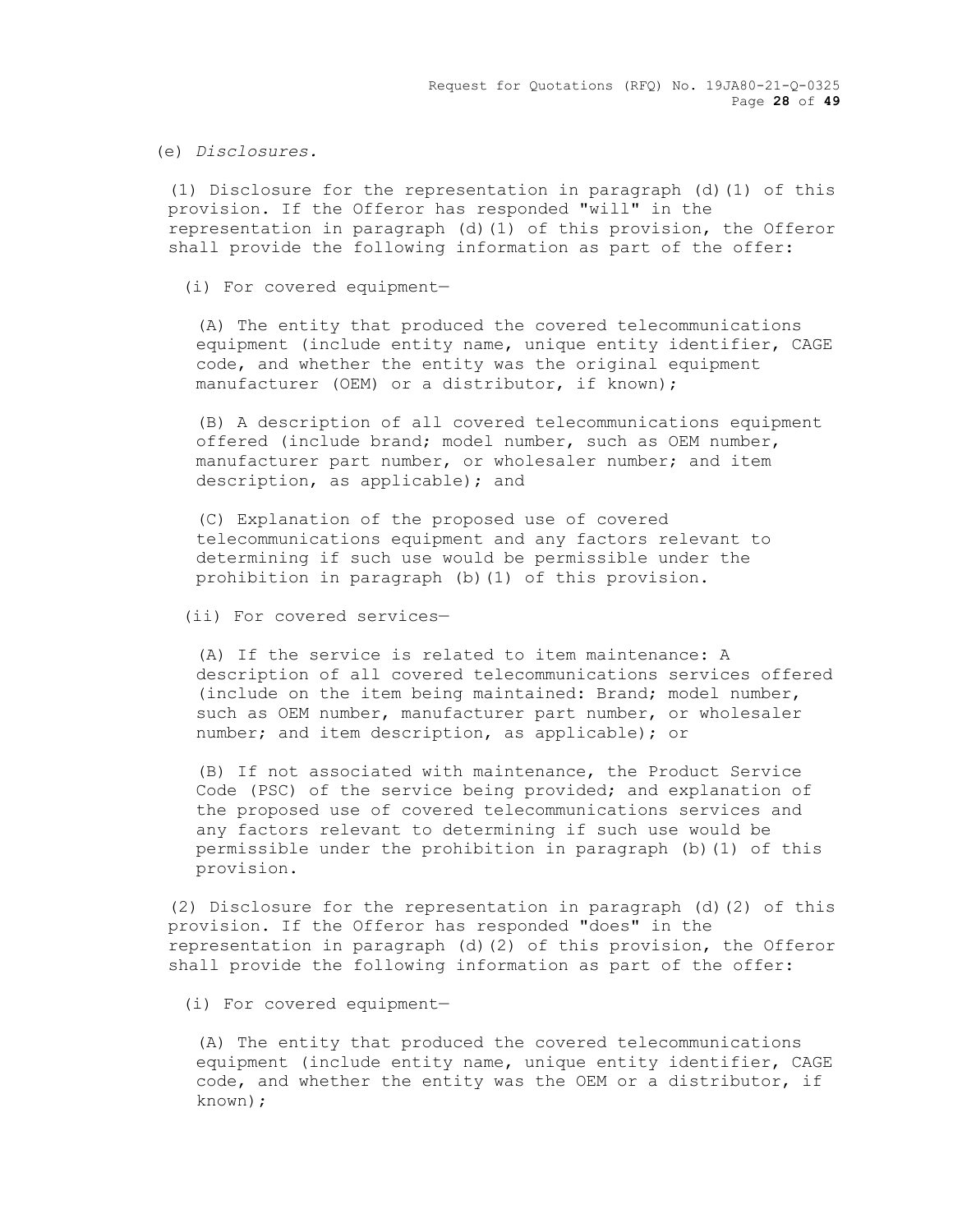Request for Quotations (RFQ) No. 19JA80-21-Q-0325 Page **28** of **49**

(e) *Disclosures.*

(1) Disclosure for the representation in paragraph (d)(1) of this provision. If the Offeror has responded "will" in the representation in paragraph (d)(1) of this provision, the Offeror shall provide the following information as part of the offer:

(i) For covered equipment—

(A) The entity that produced the covered telecommunications equipment (include entity name, unique entity identifier, CAGE code, and whether the entity was the original equipment manufacturer (OEM) or a distributor, if known);

(B) A description of all covered telecommunications equipment offered (include brand; model number, such as OEM number, manufacturer part number, or wholesaler number; and item description, as applicable); and

(C) Explanation of the proposed use of covered telecommunications equipment and any factors relevant to determining if such use would be permissible under the prohibition in paragraph (b)(1) of this provision.

(ii) For covered services—

(A) If the service is related to item maintenance: A description of all covered telecommunications services offered (include on the item being maintained: Brand; model number, such as OEM number, manufacturer part number, or wholesaler number; and item description, as applicable); or

(B) If not associated with maintenance, the Product Service Code (PSC) of the service being provided; and explanation of the proposed use of covered telecommunications services and any factors relevant to determining if such use would be permissible under the prohibition in paragraph (b)(1) of this provision.

(2) Disclosure for the representation in paragraph (d)(2) of this provision. If the Offeror has responded "does" in the representation in paragraph (d)(2) of this provision, the Offeror shall provide the following information as part of the offer:

(i) For covered equipment—

(A) The entity that produced the covered telecommunications equipment (include entity name, unique entity identifier, CAGE code, and whether the entity was the OEM or a distributor, if known);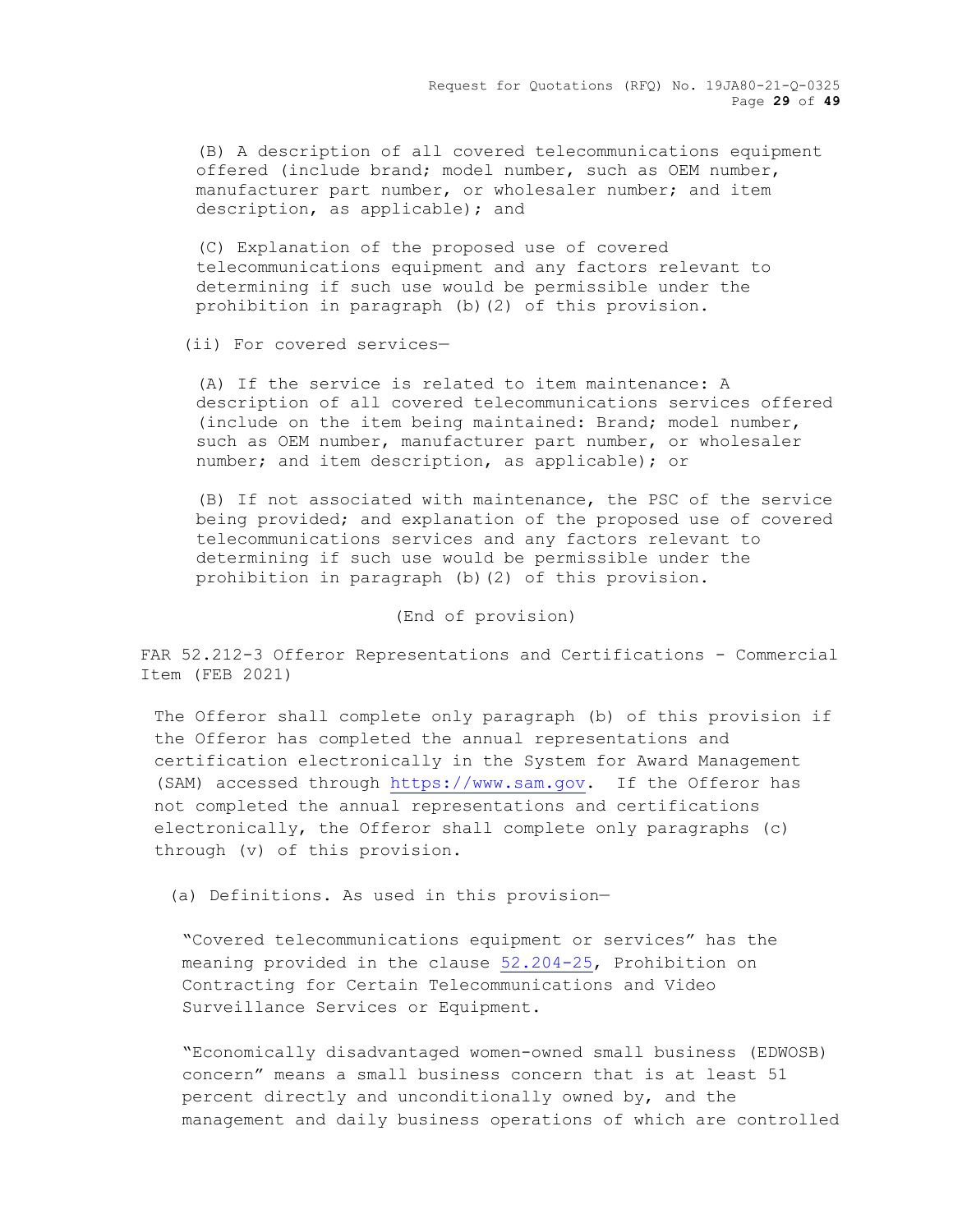Request for Quotations (RFQ) No. 19JA80-21-Q-0325 Page **29** of **49**

(B) A description of all covered telecommunications equipment offered (include brand; model number, such as OEM number, manufacturer part number, or wholesaler number; and item description, as applicable); and

(C) Explanation of the proposed use of covered telecommunications equipment and any factors relevant to determining if such use would be permissible under the prohibition in paragraph (b)(2) of this provision.

(ii) For covered services—

(A) If the service is related to item maintenance: A description of all covered telecommunications services offered (include on the item being maintained: Brand; model number, such as OEM number, manufacturer part number, or wholesaler number; and item description, as applicable); or

(B) If not associated with maintenance, the PSC of the service being provided; and explanation of the proposed use of covered telecommunications services and any factors relevant to determining if such use would be permissible under the prohibition in paragraph (b)(2) of this provision.

### (End of provision)

FAR 52.212-3 Offeror Representations and Certifications - Commercial Item (FEB 2021)

The Offeror shall complete only paragraph (b) of this provision if the Offeror has completed the annual representations and certification electronically in the System for Award Management (SAM) accessed through [https://www.sam.gov.](https://www.sam.gov/) If the Offeror has not completed the annual representations and certifications electronically, the Offeror shall complete only paragraphs (c) through (v) of this provision.

(a) Definitions. As used in this provision—

"Covered telecommunications equipment or services" has the meaning provided in the clause 52.204-25, Prohibition on Contracting for Certain Telecommunications and Video Surveillance Services or Equipment.

"Economically disadvantaged women-owned small business (EDWOSB) concern" means a small business concern that is at least 51 percent directly and unconditionally owned by, and the management and daily business operations of which are controlled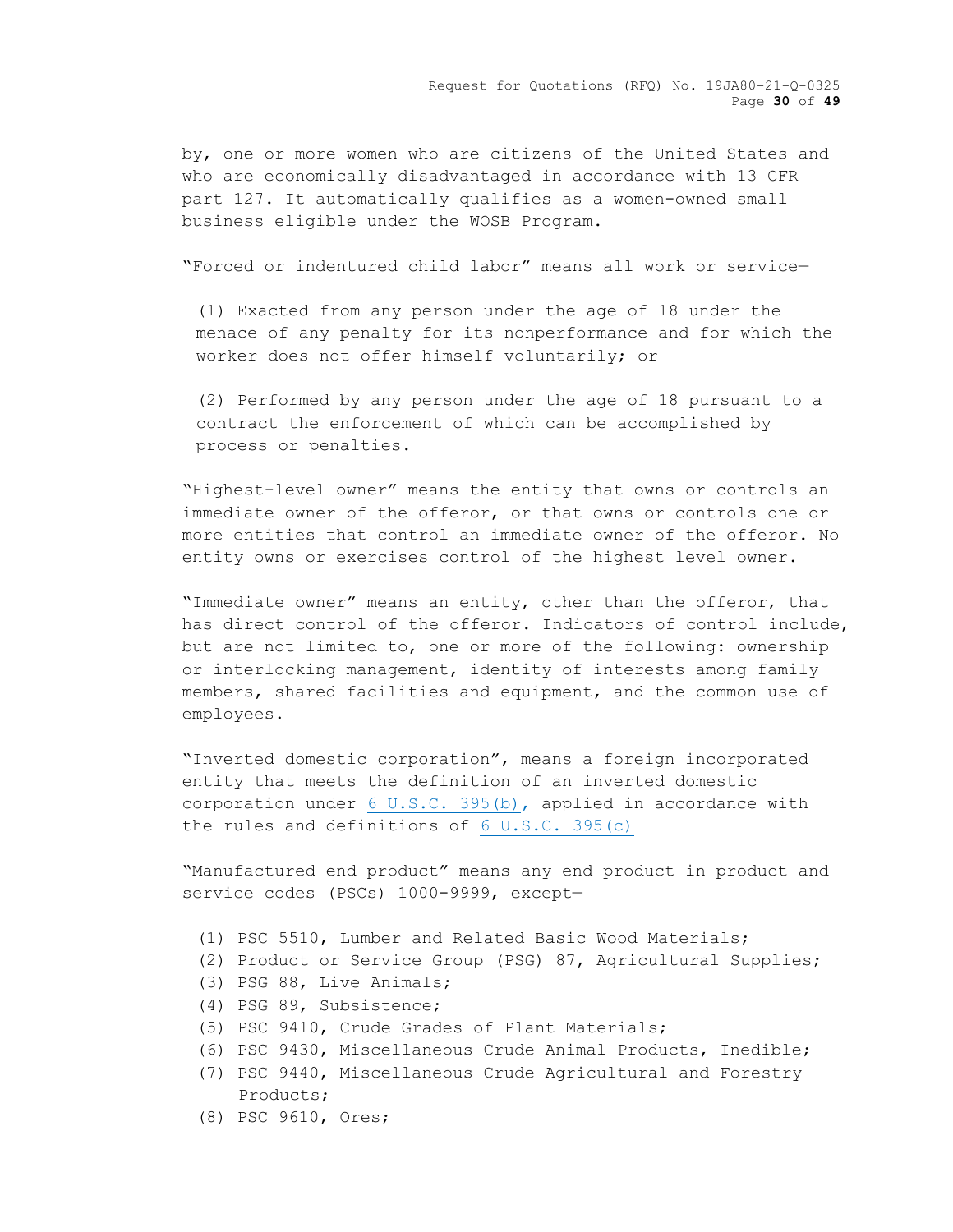by, one or more women who are citizens of the United States and who are economically disadvantaged in accordance with 13 CFR part 127. It automatically qualifies as a women-owned small business eligible under the WOSB Program.

"Forced or indentured child labor" means all work or service—

(1) Exacted from any person under the age of 18 under the menace of any penalty for its nonperformance and for which the worker does not offer himself voluntarily; or

(2) Performed by any person under the age of 18 pursuant to a contract the enforcement of which can be accomplished by process or penalties.

"Highest-level owner" means the entity that owns or controls an immediate owner of the offeror, or that owns or controls one or more entities that control an immediate owner of the offeror. No entity owns or exercises control of the highest level owner.

"Immediate owner" means an entity, other than the offeror, that has direct control of the offeror. Indicators of control include, but are not limited to, one or more of the following: ownership or interlocking management, identity of interests among family members, shared facilities and equipment, and the common use of employees.

"Inverted domestic corporation", means a foreign incorporated entity that meets the definition of an inverted domestic corporation under [6 U.S.C. 395\(b\),](http://uscode.house.gov/) applied in accordance with the rules and definitions of [6 U.S.C. 395\(c\)](http://uscode.house.gov/)

"Manufactured end product" means any end product in product and service codes (PSCs) 1000-9999, except—

- (1) PSC 5510, Lumber and Related Basic Wood Materials;
- (2) Product or Service Group (PSG) 87, Agricultural Supplies;
- (3) PSG 88, Live Animals;
- (4) PSG 89, Subsistence;
- (5) PSC 9410, Crude Grades of Plant Materials;
- (6) PSC 9430, Miscellaneous Crude Animal Products, Inedible;
- (7) PSC 9440, Miscellaneous Crude Agricultural and Forestry Products;
- (8) PSC 9610, Ores;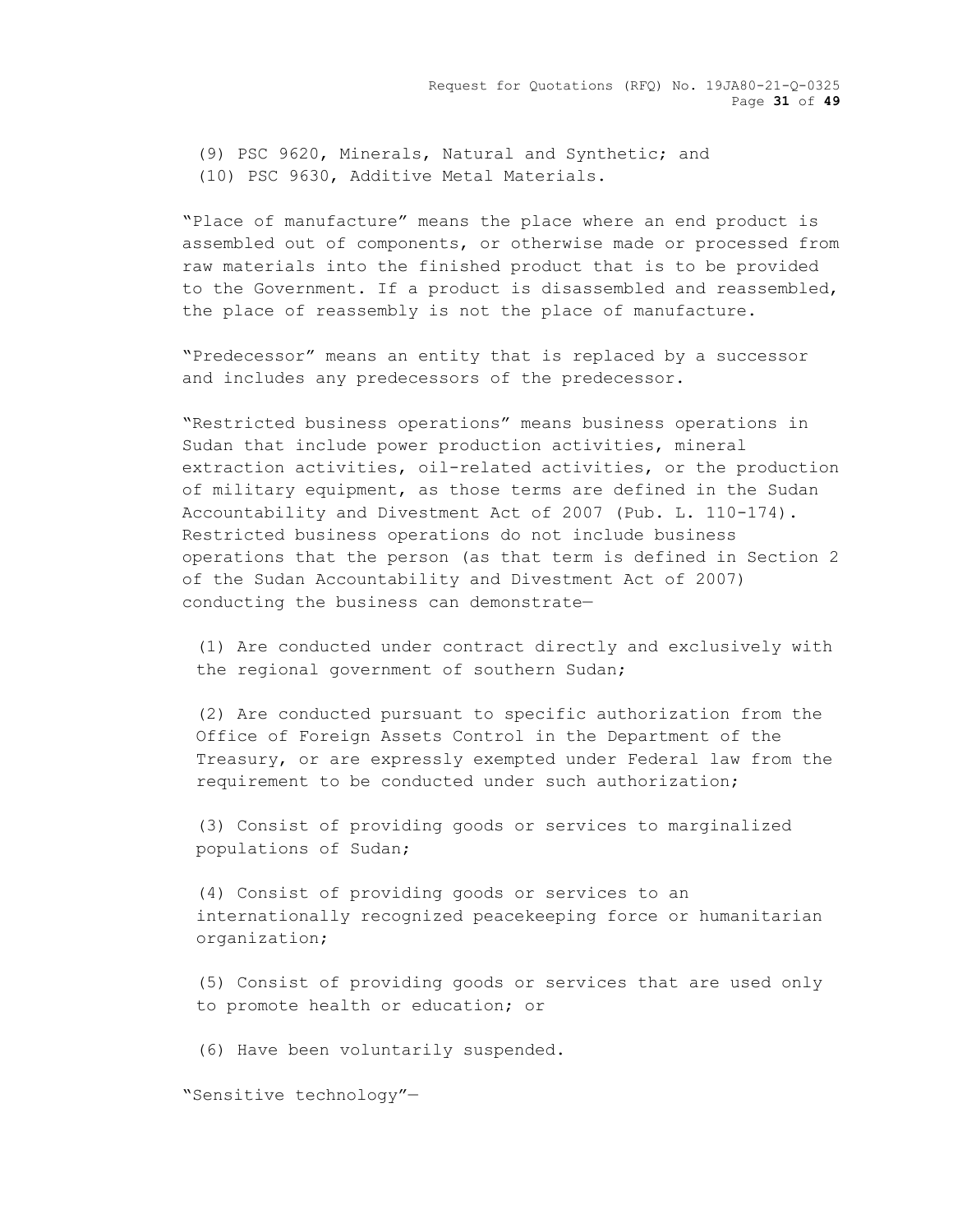(9) PSC 9620, Minerals, Natural and Synthetic; and (10) PSC 9630, Additive Metal Materials.

"Place of manufacture" means the place where an end product is assembled out of components, or otherwise made or processed from raw materials into the finished product that is to be provided to the Government. If a product is disassembled and reassembled, the place of reassembly is not the place of manufacture.

"Predecessor" means an entity that is replaced by a successor and includes any predecessors of the predecessor.

"Restricted business operations" means business operations in Sudan that include power production activities, mineral extraction activities, oil-related activities, or the production of military equipment, as those terms are defined in the Sudan Accountability and Divestment Act of 2007 (Pub. L. 110-174). Restricted business operations do not include business operations that the person (as that term is defined in Section 2 of the Sudan Accountability and Divestment Act of 2007) conducting the business can demonstrate—

(1) Are conducted under contract directly and exclusively with the regional government of southern Sudan;

(2) Are conducted pursuant to specific authorization from the Office of Foreign Assets Control in the Department of the Treasury, or are expressly exempted under Federal law from the requirement to be conducted under such authorization;

(3) Consist of providing goods or services to marginalized populations of Sudan;

(4) Consist of providing goods or services to an internationally recognized peacekeeping force or humanitarian organization;

(5) Consist of providing goods or services that are used only to promote health or education; or

(6) Have been voluntarily suspended.

"Sensitive technology"—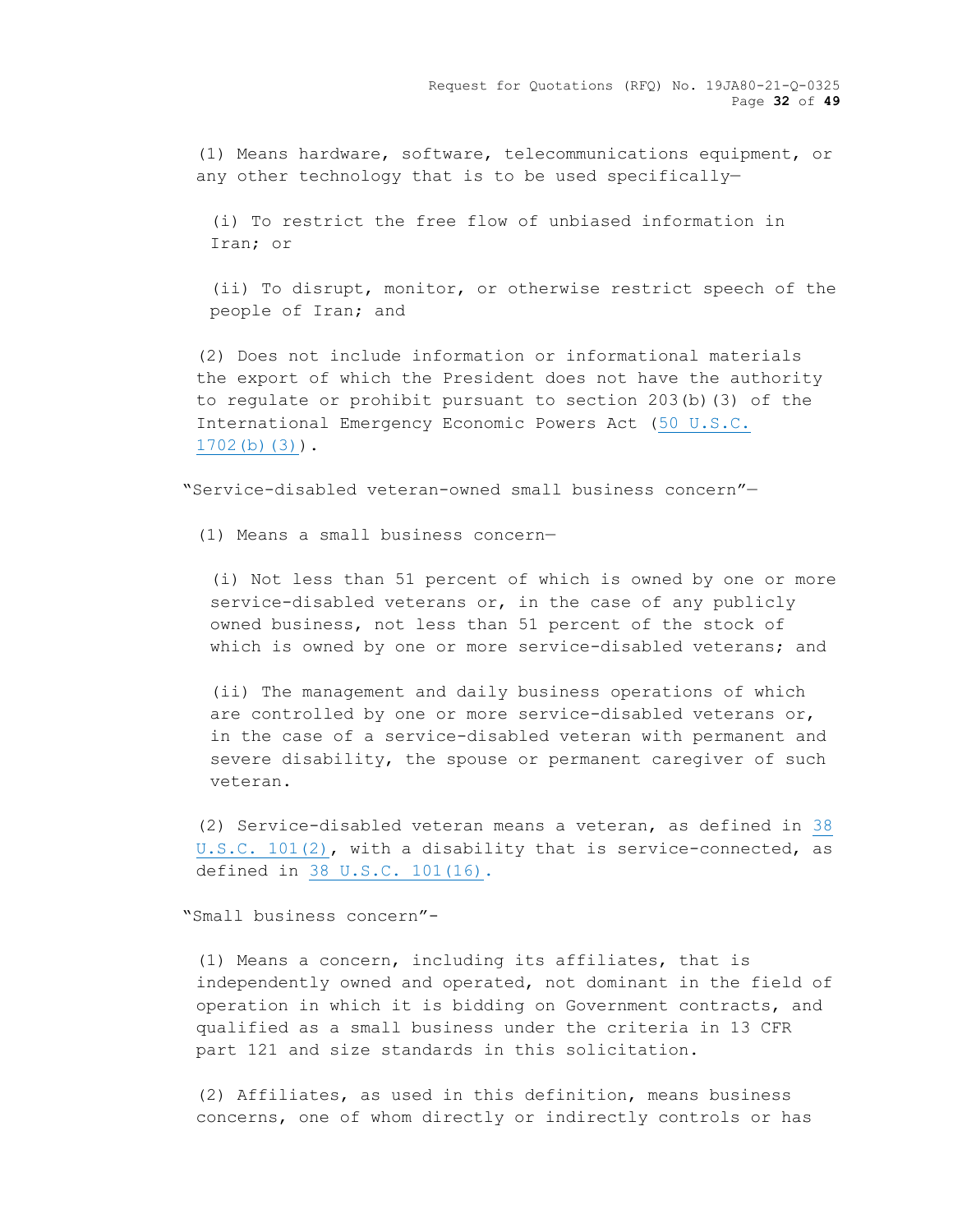(1) Means hardware, software, telecommunications equipment, or any other technology that is to be used specifically—

(i) To restrict the free flow of unbiased information in Iran; or

(ii) To disrupt, monitor, or otherwise restrict speech of the people of Iran; and

(2) Does not include information or informational materials the export of which the President does not have the authority to regulate or prohibit pursuant to section 203(b)(3) of the International Emergency Economic Powers Act [\(50 U.S.C.](http://uscode.house.gov/)  [1702\(b\)\(3\)\)](http://uscode.house.gov/).

"Service-disabled veteran-owned small business concern"—

(1) Means a small business concern—

(i) Not less than 51 percent of which is owned by one or more service-disabled veterans or, in the case of any publicly owned business, not less than 51 percent of the stock of which is owned by one or more service-disabled veterans; and

(ii) The management and daily business operations of which are controlled by one or more service-disabled veterans or, in the case of a service-disabled veteran with permanent and severe disability, the spouse or permanent caregiver of such veteran.

(2) Service-disabled veteran means a veteran, as defined in [38](http://uscode.house.gov/view.xhtml?req=granuleid:USC-prelim-title38-section101(2)&num=0&edition=prelim)  [U.S.C. 101\(2\),](http://uscode.house.gov/view.xhtml?req=granuleid:USC-prelim-title38-section101(2)&num=0&edition=prelim) with a disability that is service-connected, as defined in [38 U.S.C. 101\(16\).](http://uscode.house.gov/view.xhtml?req=granuleid:USC-prelim-title38-section101(16)&num=0&edition=prelim)

"Small business concern"-

(1) Means a concern, including its affiliates, that is independently owned and operated, not dominant in the field of operation in which it is bidding on Government contracts, and qualified as a small business under the criteria in 13 CFR part 121 and size standards in this solicitation.

(2) Affiliates, as used in this definition, means business concerns, one of whom directly or indirectly controls or has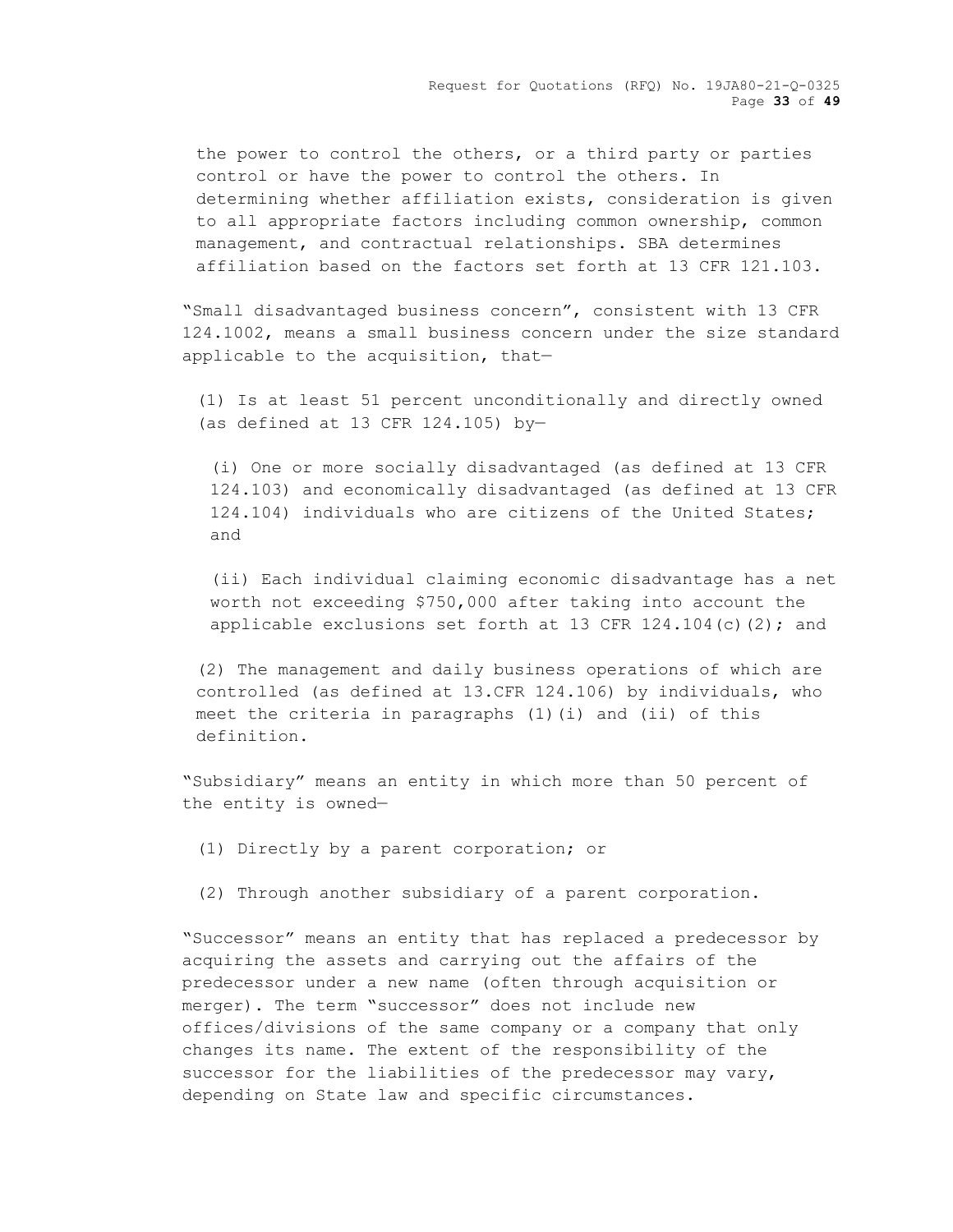Request for Quotations (RFQ) No. 19JA80-21-Q-0325 Page **33** of **49**

the power to control the others, or a third party or parties control or have the power to control the others. In determining whether affiliation exists, consideration is given to all appropriate factors including common ownership, common management, and contractual relationships. SBA determines affiliation based on the factors set forth at 13 CFR 121.103.

"Small disadvantaged business concern", consistent with 13 CFR 124.1002, means a small business concern under the size standard applicable to the acquisition, that—

(1) Is at least 51 percent unconditionally and directly owned (as defined at 13 CFR 124.105) by—

(i) One or more socially disadvantaged (as defined at 13 CFR 124.103) and economically disadvantaged (as defined at 13 CFR 124.104) individuals who are citizens of the United States; and

(ii) Each individual claiming economic disadvantage has a net worth not exceeding \$750,000 after taking into account the applicable exclusions set forth at 13 CFR  $124.104(c)(2)$ ; and

(2) The management and daily business operations of which are controlled (as defined at 13.CFR 124.106) by individuals, who meet the criteria in paragraphs (1)(i) and (ii) of this definition.

"Subsidiary" means an entity in which more than 50 percent of the entity is owned—

(1) Directly by a parent corporation; or

(2) Through another subsidiary of a parent corporation.

"Successor" means an entity that has replaced a predecessor by acquiring the assets and carrying out the affairs of the predecessor under a new name (often through acquisition or merger). The term "successor" does not include new offices/divisions of the same company or a company that only changes its name. The extent of the responsibility of the successor for the liabilities of the predecessor may vary, depending on State law and specific circumstances.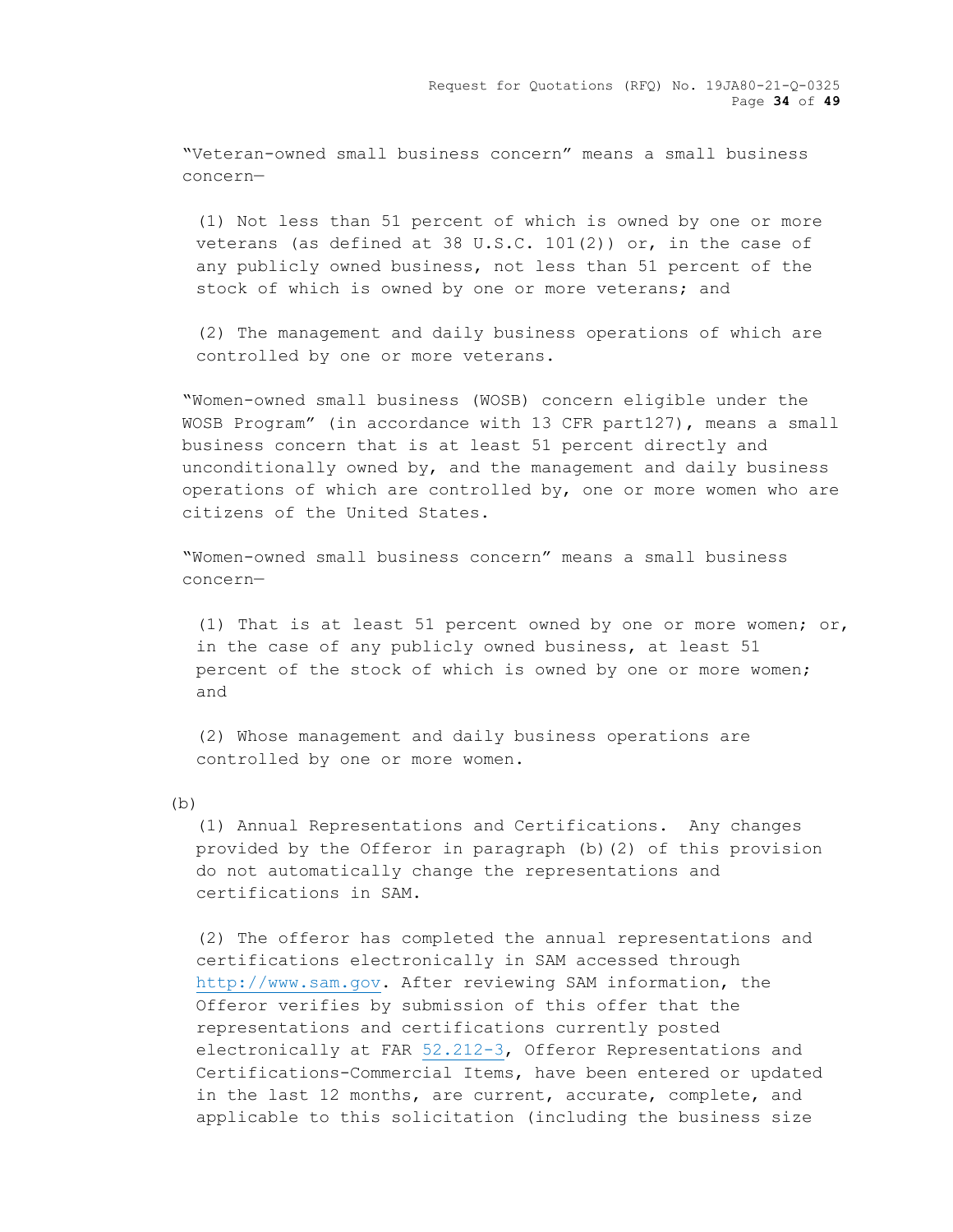"Veteran-owned small business concern" means a small business concern—

(1) Not less than 51 percent of which is owned by one or more veterans (as defined at 38 U.S.C. 101(2)) or, in the case of any publicly owned business, not less than 51 percent of the stock of which is owned by one or more veterans; and

(2) The management and daily business operations of which are controlled by one or more veterans.

"Women-owned small business (WOSB) concern eligible under the WOSB Program" (in accordance with 13 CFR part127), means a small business concern that is at least 51 percent directly and unconditionally owned by, and the management and daily business operations of which are controlled by, one or more women who are citizens of the United States.

"Women-owned small business concern" means a small business concern—

(1) That is at least 51 percent owned by one or more women; or, in the case of any publicly owned business, at least 51 percent of the stock of which is owned by one or more women; and

(2) Whose management and daily business operations are controlled by one or more women.

(b)

(1) Annual Representations and Certifications. Any changes provided by the Offeror in paragraph (b)(2) of this provision do not automatically change the representations and certifications in SAM.

(2) The offeror has completed the annual representations and certifications electronically in SAM accessed through [http://www.sam.gov.](http://www.sam.gov/) After reviewing SAM information, the Offeror verifies by submission of this offer that the representations and certifications currently posted electronically at FAR [52.212-3,](https://acquisition.gov/sites/default/files/current/far/html/52_212_213.html#wp1179194) Offeror Representations and Certifications-Commercial Items, have been entered or updated in the last 12 months, are current, accurate, complete, and applicable to this solicitation (including the business size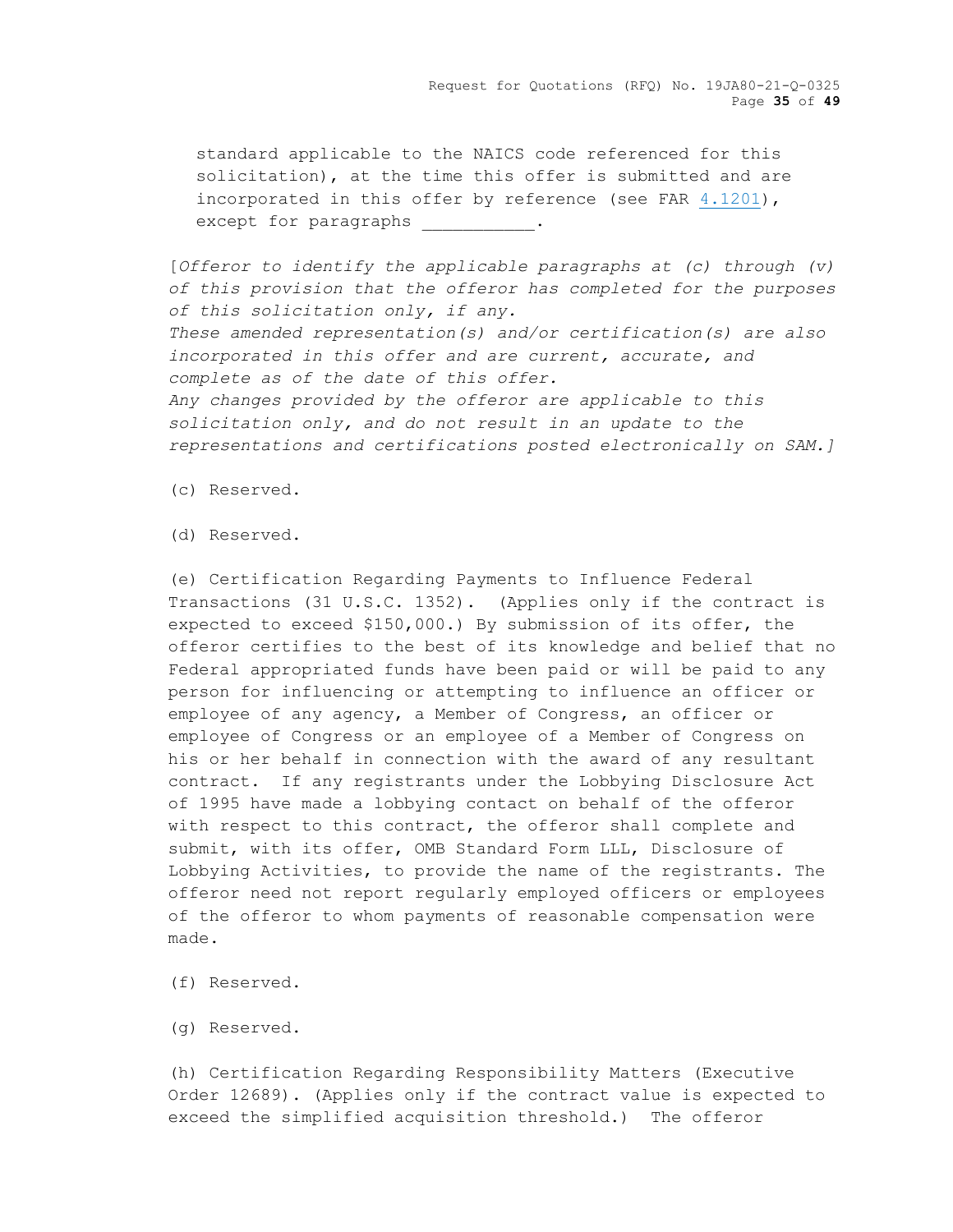Request for Quotations (RFQ) No. 19JA80-21-Q-0325 Page **35** of **49**

standard applicable to the NAICS code referenced for this solicitation), at the time this offer is submitted and are incorporated in this offer by reference (see FAR [4.1201\)](https://acquisition.gov/sites/default/files/current/far/html/Subpart%204_12.html#wp1073667), except for paragraphs  $\hspace{1cm}$ .

[*Offeror to identify the applicable paragraphs at (c) through (v) of this provision that the offeror has completed for the purposes of this solicitation only, if any. These amended representation(s) and/or certification(s) are also incorporated in this offer and are current, accurate, and complete as of the date of this offer. Any changes provided by the offeror are applicable to this solicitation only, and do not result in an update to the representations and certifications posted electronically on SAM.]*

- (c) Reserved.
- (d) Reserved.

(e) Certification Regarding Payments to Influence Federal Transactions (31 U.S.C. 1352). (Applies only if the contract is expected to exceed \$150,000.) By submission of its offer, the offeror certifies to the best of its knowledge and belief that no Federal appropriated funds have been paid or will be paid to any person for influencing or attempting to influence an officer or employee of any agency, a Member of Congress, an officer or employee of Congress or an employee of a Member of Congress on his or her behalf in connection with the award of any resultant contract. If any registrants under the Lobbying Disclosure Act of 1995 have made a lobbying contact on behalf of the offeror with respect to this contract, the offeror shall complete and submit, with its offer, OMB Standard Form LLL, Disclosure of Lobbying Activities, to provide the name of the registrants. The offeror need not report regularly employed officers or employees of the offeror to whom payments of reasonable compensation were made.

- (f) Reserved.
- (g) Reserved.

(h) Certification Regarding Responsibility Matters (Executive Order 12689). (Applies only if the contract value is expected to exceed the simplified acquisition threshold.) The offeror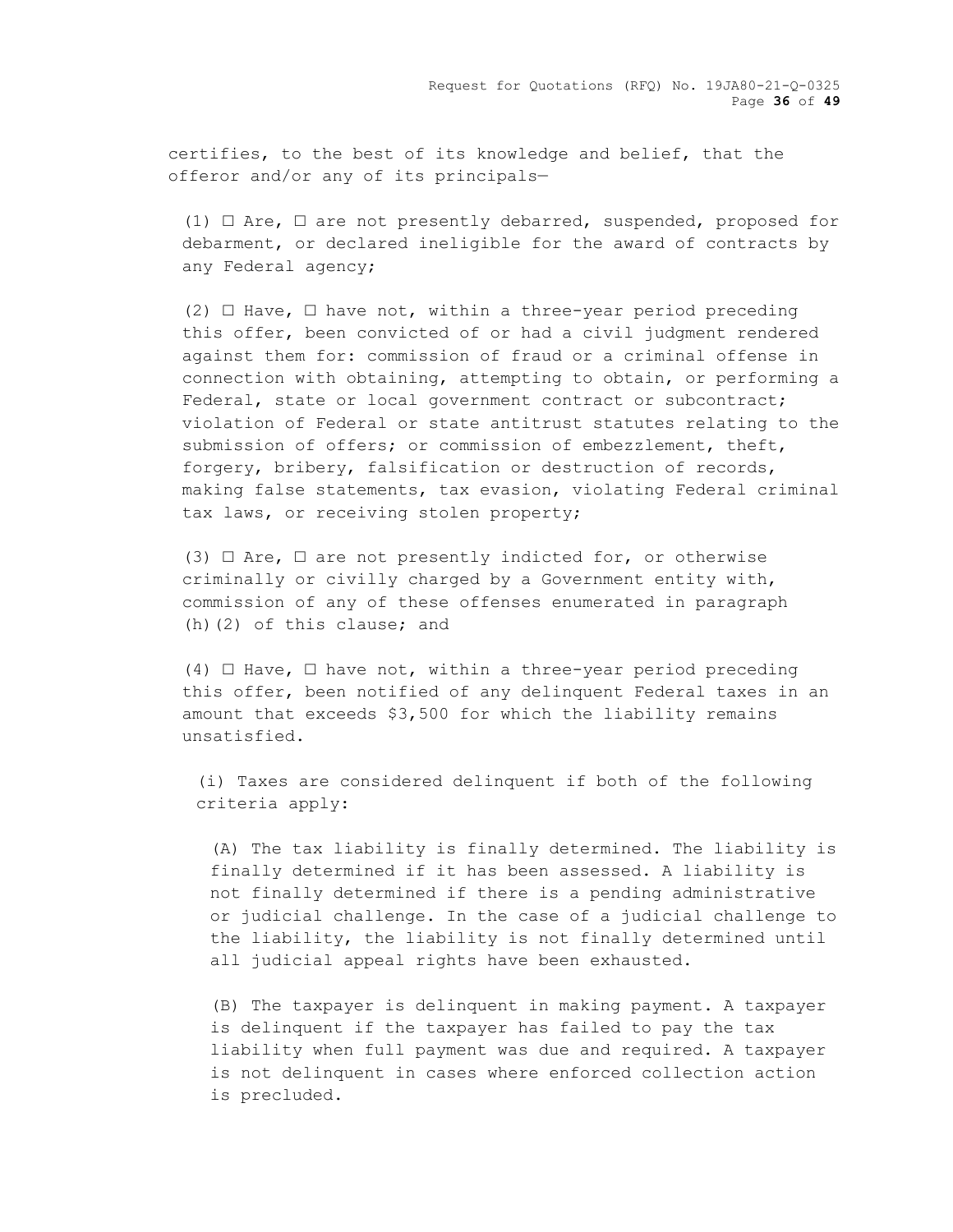certifies, to the best of its knowledge and belief, that the offeror and/or any of its principals—

(1)  $\Box$  Are,  $\Box$  are not presently debarred, suspended, proposed for debarment, or declared ineligible for the award of contracts by any Federal agency;

 $(2)$   $\Box$  Have,  $\Box$  have not, within a three-year period preceding this offer, been convicted of or had a civil judgment rendered against them for: commission of fraud or a criminal offense in connection with obtaining, attempting to obtain, or performing a Federal, state or local government contract or subcontract; violation of Federal or state antitrust statutes relating to the submission of offers; or commission of embezzlement, theft, forgery, bribery, falsification or destruction of records, making false statements, tax evasion, violating Federal criminal tax laws, or receiving stolen property;

(3)  $\Box$  Are,  $\Box$  are not presently indicted for, or otherwise criminally or civilly charged by a Government entity with, commission of any of these offenses enumerated in paragraph (h)(2) of this clause; and

(4)  $\Box$  Have,  $\Box$  have not, within a three-year period preceding this offer, been notified of any delinquent Federal taxes in an amount that exceeds \$3,500 for which the liability remains unsatisfied.

(i) Taxes are considered delinquent if both of the following criteria apply:

(A) The tax liability is finally determined. The liability is finally determined if it has been assessed. A liability is not finally determined if there is a pending administrative or judicial challenge. In the case of a judicial challenge to the liability, the liability is not finally determined until all judicial appeal rights have been exhausted.

(B) The taxpayer is delinquent in making payment. A taxpayer is delinquent if the taxpayer has failed to pay the tax liability when full payment was due and required. A taxpayer is not delinquent in cases where enforced collection action is precluded.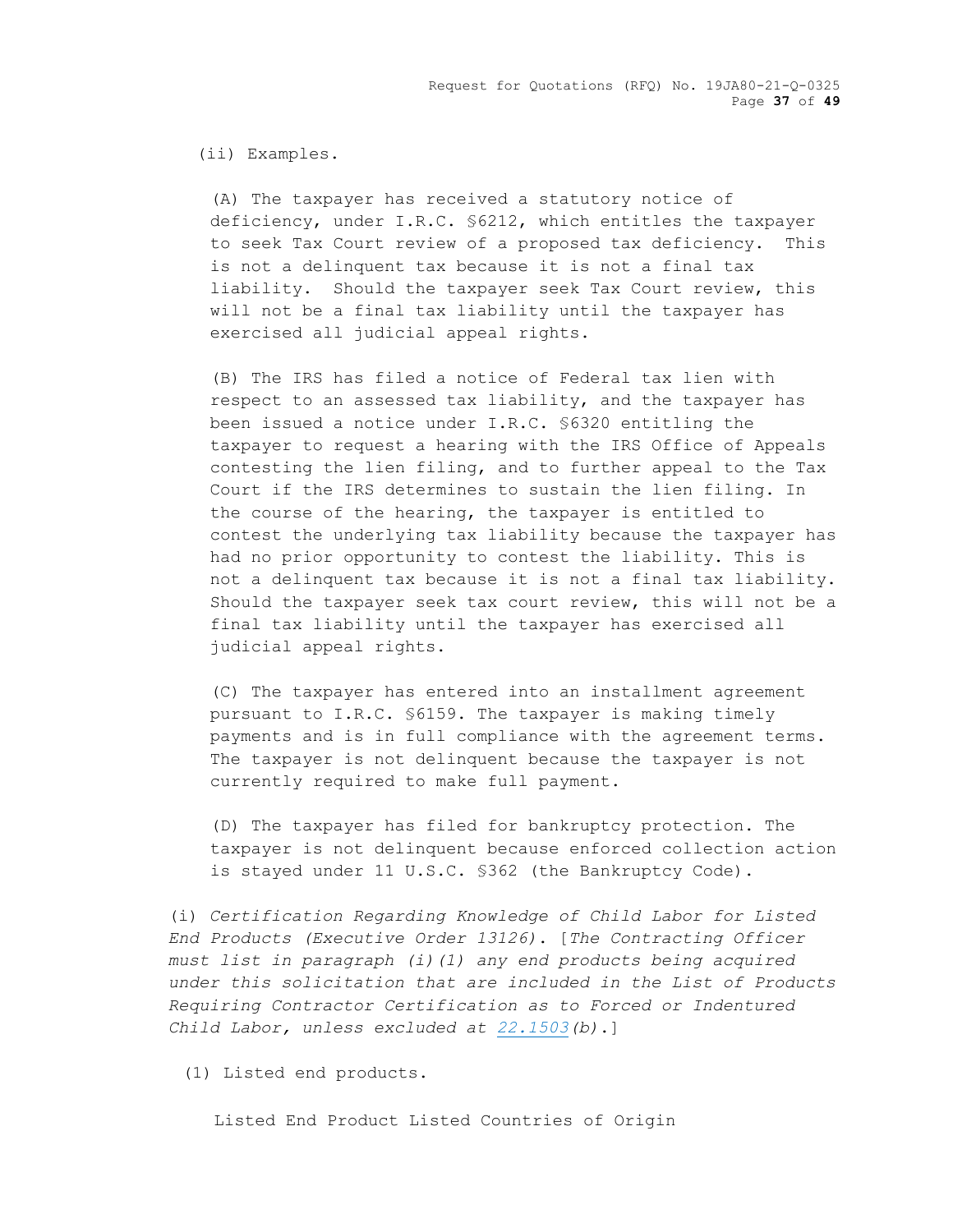Request for Quotations (RFQ) No. 19JA80-21-Q-0325 Page **37** of **49**

# (ii) Examples.

(A) The taxpayer has received a statutory notice of deficiency, under I.R.C. §6212, which entitles the taxpayer to seek Tax Court review of a proposed tax deficiency. This is not a delinquent tax because it is not a final tax liability. Should the taxpayer seek Tax Court review, this will not be a final tax liability until the taxpayer has exercised all judicial appeal rights.

(B) The IRS has filed a notice of Federal tax lien with respect to an assessed tax liability, and the taxpayer has been issued a notice under I.R.C. §6320 entitling the taxpayer to request a hearing with the IRS Office of Appeals contesting the lien filing, and to further appeal to the Tax Court if the IRS determines to sustain the lien filing. In the course of the hearing, the taxpayer is entitled to contest the underlying tax liability because the taxpayer has had no prior opportunity to contest the liability. This is not a delinquent tax because it is not a final tax liability. Should the taxpayer seek tax court review, this will not be a final tax liability until the taxpayer has exercised all judicial appeal rights.

(C) The taxpayer has entered into an installment agreement pursuant to I.R.C. §6159. The taxpayer is making timely payments and is in full compliance with the agreement terms. The taxpayer is not delinquent because the taxpayer is not currently required to make full payment.

(D) The taxpayer has filed for bankruptcy protection. The taxpayer is not delinquent because enforced collection action is stayed under 11 U.S.C. §362 (the Bankruptcy Code).

(i) *Certification Regarding Knowledge of Child Labor for Listed End Products (Executive Order 13126)*. [*The Contracting Officer must list in paragraph (i)(1) any end products being acquired under this solicitation that are included in the List of Products Requiring Contractor Certification as to Forced or Indentured Child Labor, unless excluded at [22.1503\(](https://acquisition.gov/sites/default/files/current/far/html/Subpart%2022_15.html#wp1088086)b)*.]

(1) Listed end products.

Listed End Product Listed Countries of Origin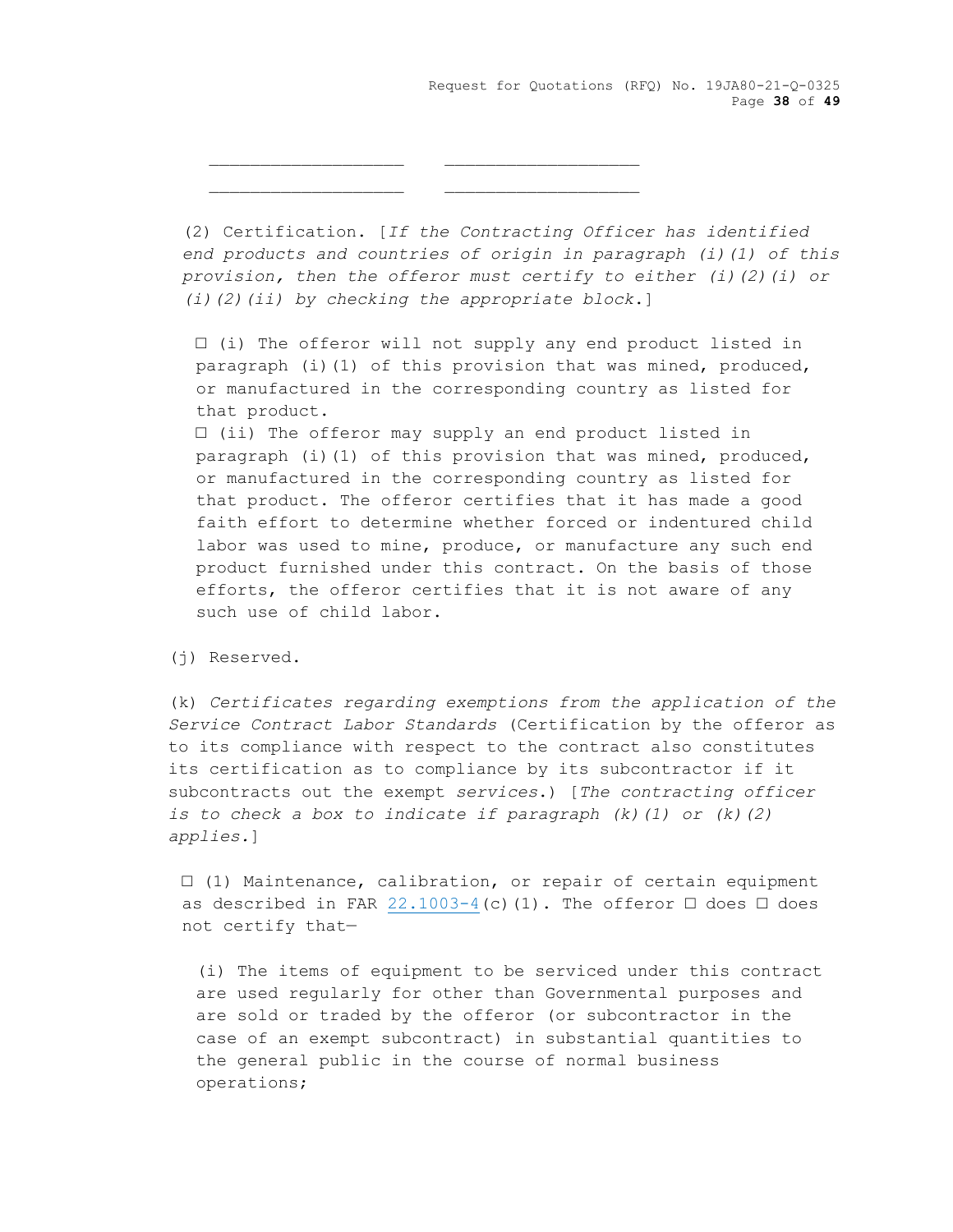Request for Quotations (RFQ) No. 19JA80-21-Q-0325 Page **38** of **49**

(2) Certification. [*If the Contracting Officer has identified end products and countries of origin in paragraph (i)(1) of this provision, then the offeror must certify to either (i)(2)(i) or (i)(2)(ii) by checking the appropriate block*.]

□ (i) The offeror will not supply any end product listed in paragraph (i)(1) of this provision that was mined, produced, or manufactured in the corresponding country as listed for that product.

□ (ii) The offeror may supply an end product listed in paragraph (i)(1) of this provision that was mined, produced, or manufactured in the corresponding country as listed for that product. The offeror certifies that it has made a good faith effort to determine whether forced or indentured child labor was used to mine, produce, or manufacture any such end product furnished under this contract. On the basis of those efforts, the offeror certifies that it is not aware of any such use of child labor.

(j) Reserved.

(k) *Certificates regarding exemptions from the application of the Service Contract Labor Standards* (Certification by the offeror as to its compliance with respect to the contract also constitutes its certification as to compliance by its subcontractor if it subcontracts out the exempt *services*.) [*The contracting officer is to check a box to indicate if paragraph (k)(1) or (k)(2) applies.*]

 $\Box$  (1) Maintenance, calibration, or repair of certain equipment as described in FAR  $22.1003-4$  (c)(1). The offeror  $\Box$  does  $\Box$  does not certify that—

(i) The items of equipment to be serviced under this contract are used regularly for other than Governmental purposes and are sold or traded by the offeror (or subcontractor in the case of an exempt subcontract) in substantial quantities to the general public in the course of normal business operations;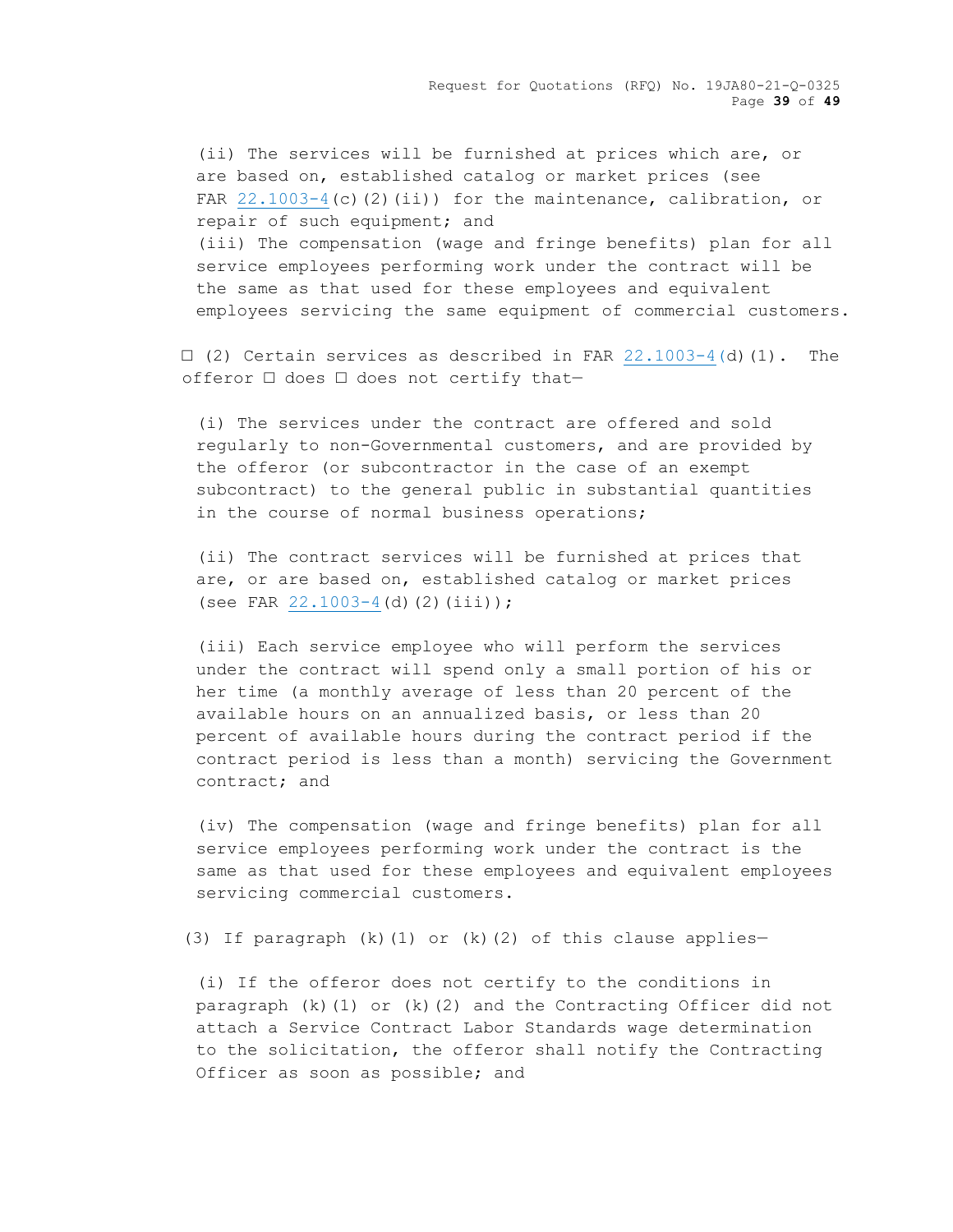Request for Quotations (RFQ) No. 19JA80-21-Q-0325 Page **39** of **49**

(ii) The services will be furnished at prices which are, or are based on, established catalog or market prices (see FAR  $22.1003-4$  (c)(2)(ii)) for the maintenance, calibration, or repair of such equipment; and (iii) The compensation (wage and fringe benefits) plan for all service employees performing work under the contract will be the same as that used for these employees and equivalent employees servicing the same equipment of commercial customers.

 $\Box$  (2) Certain services as described in FAR [22.1003-4\(](https://acquisition.gov/sites/default/files/current/far/html/Subpart%2022_10.html#wp1105165)d)(1). The offeror □ does □ does not certify that-

(i) The services under the contract are offered and sold regularly to non-Governmental customers, and are provided by the offeror (or subcontractor in the case of an exempt subcontract) to the general public in substantial quantities in the course of normal business operations;

(ii) The contract services will be furnished at prices that are, or are based on, established catalog or market prices (see FAR  $22.1003-4$  (d)(2)(iii));

(iii) Each service employee who will perform the services under the contract will spend only a small portion of his or her time (a monthly average of less than 20 percent of the available hours on an annualized basis, or less than 20 percent of available hours during the contract period if the contract period is less than a month) servicing the Government contract; and

(iv) The compensation (wage and fringe benefits) plan for all service employees performing work under the contract is the same as that used for these employees and equivalent employees servicing commercial customers.

(3) If paragraph  $(k)(1)$  or  $(k)(2)$  of this clause applies-

(i) If the offeror does not certify to the conditions in paragraph (k)(1) or (k)(2) and the Contracting Officer did not attach a Service Contract Labor Standards wage determination to the solicitation, the offeror shall notify the Contracting Officer as soon as possible; and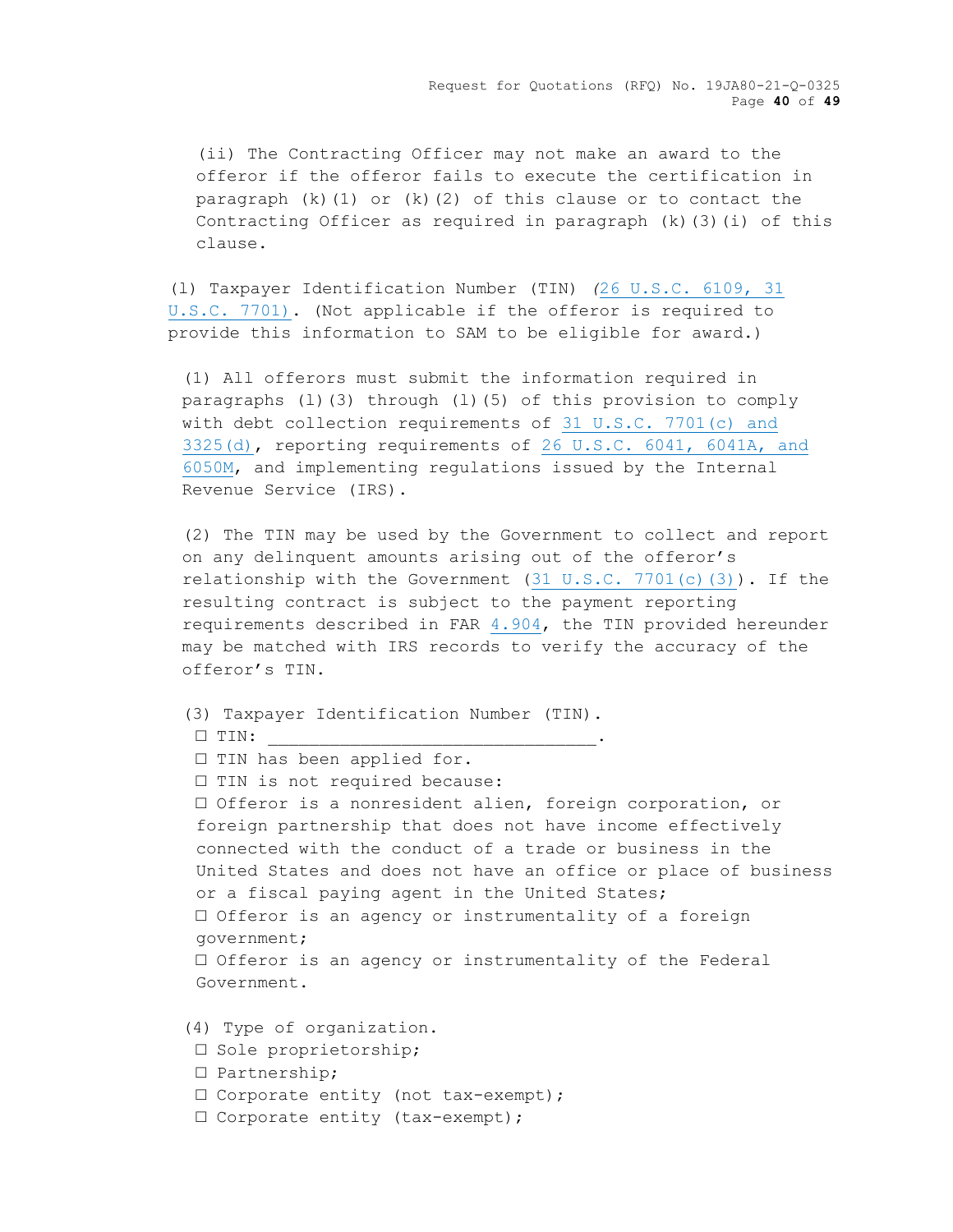Request for Quotations (RFQ) No. 19JA80-21-Q-0325 Page **40** of **49**

(ii) The Contracting Officer may not make an award to the offeror if the offeror fails to execute the certification in paragraph  $(k)(1)$  or  $(k)(2)$  of this clause or to contact the Contracting Officer as required in paragraph (k)(3)(i) of this clause.

(l) Taxpayer Identification Number (TIN) *(*[26 U.S.C. 6109, 31](http://uscode.house.gov/)  [U.S.C. 7701\).](http://uscode.house.gov/) (Not applicable if the offeror is required to provide this information to SAM to be eligible for award.)

(1) All offerors must submit the information required in paragraphs (l)(3) through (l)(5) of this provision to comply with debt collection requirements of [31 U.S.C. 7701\(c\) and](http://uscode.house.gov/)  [3325\(d\),](http://uscode.house.gov/) reporting requirements of [26 U.S.C. 6041, 6041A, and](http://uscode.house.gov/)  [6050M,](http://uscode.house.gov/) and implementing regulations issued by the Internal Revenue Service (IRS).

(2) The TIN may be used by the Government to collect and report on any delinquent amounts arising out of the offeror's relationship with the Government  $(31 \tU.S.C. 7701(c)(3))$ . If the resulting contract is subject to the payment reporting requirements described in FAR [4.904,](https://acquisition.gov/sites/default/files/current/far/html/Subpart%204_9.html#wp1091081) the TIN provided hereunder may be matched with IRS records to verify the accuracy of the offeror's TIN.

```
(3) Taxpayer Identification Number (TIN).
□ TIN: ________________________________.
□ TIN has been applied for.
□ TIN is not required because:
□ Offeror is a nonresident alien, foreign corporation, or 
 foreign partnership that does not have income effectively 
 connected with the conduct of a trade or business in the 
United States and does not have an office or place of business 
or a fiscal paying agent in the United States;
□ Offeror is an agency or instrumentality of a foreign 
government;
□ Offeror is an agency or instrumentality of the Federal
Government.
```
(4) Type of organization.

- □ Sole proprietorship;
- □ Partnership;
- □ Corporate entity (not tax-exempt);
- □ Corporate entity (tax-exempt);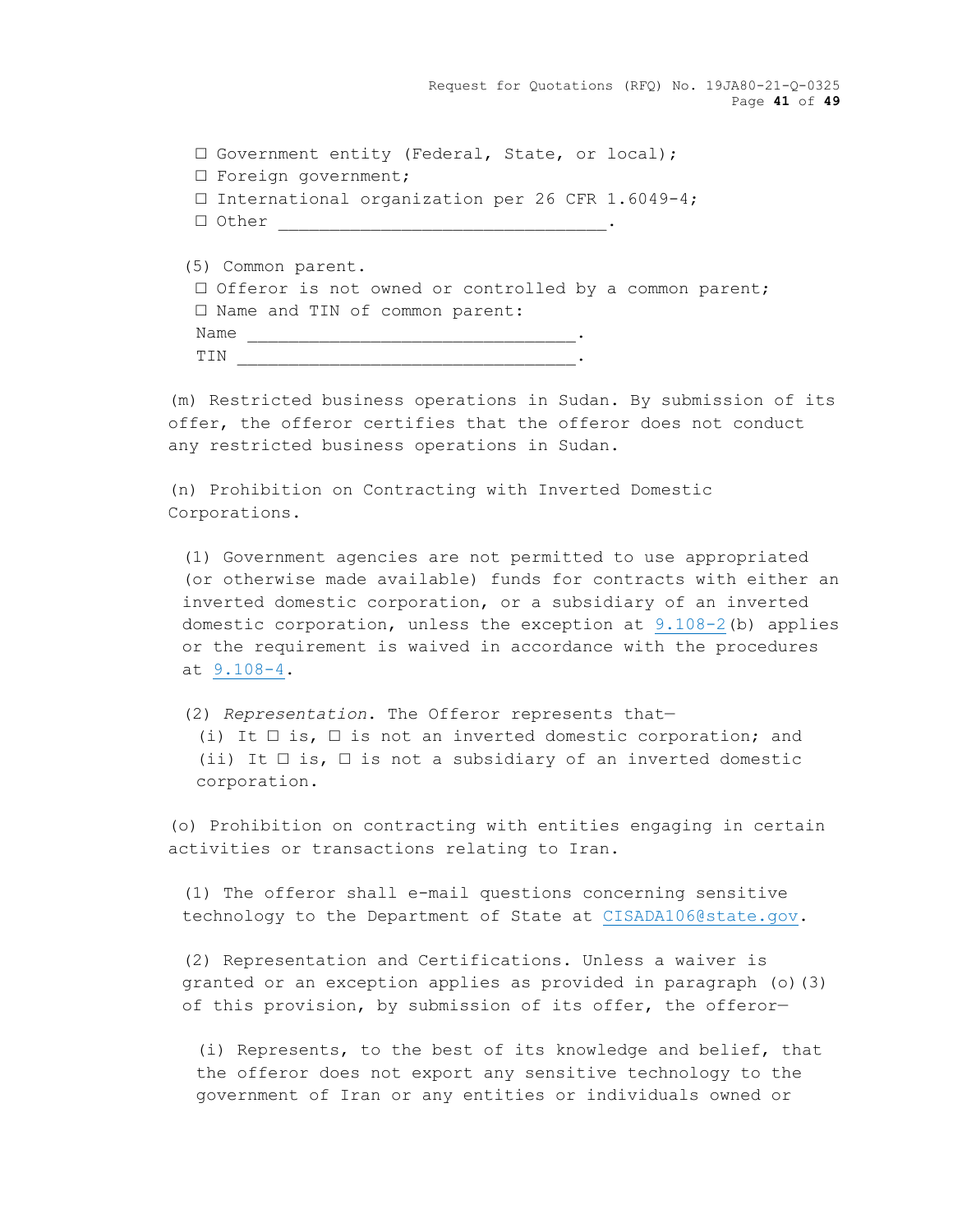Request for Quotations (RFQ) No. 19JA80-21-Q-0325 Page **41** of **49**

□ Government entity (Federal, State, or local); □ Foreign government; □ International organization per 26 CFR 1.6049-4;  $\Box$  Other

(5) Common parent. □ Offeror is not owned or controlled by a common parent; □ Name and TIN of common parent: Name \_\_\_\_\_\_\_\_\_\_\_\_\_\_\_\_\_\_\_\_\_\_\_\_\_\_\_\_\_\_\_\_. TIN \_\_\_\_\_\_\_\_\_\_\_\_\_\_\_\_\_\_\_\_\_\_\_\_\_\_\_\_\_\_\_\_\_.

(m) Restricted business operations in Sudan. By submission of its offer, the offeror certifies that the offeror does not conduct any restricted business operations in Sudan.

(n) Prohibition on Contracting with Inverted Domestic Corporations.

(1) Government agencies are not permitted to use appropriated (or otherwise made available) funds for contracts with either an inverted domestic corporation, or a subsidiary of an inverted domestic corporation, unless the exception at [9.108-2\(](https://acquisition.gov/sites/default/files/current/far/html/Subpart%209_1.html#wp1085903)b) applies or the requirement is waived in accordance with the procedures at [9.108-4.](https://acquisition.gov/sites/default/files/current/far/html/Subpart%209_1.html#wp1085953)

(2) *Representation*. The Offeror represents that— (i) It  $\square$  is,  $\square$  is not an inverted domestic corporation; and (ii) It  $\square$  is,  $\square$  is not a subsidiary of an inverted domestic corporation.

(o) Prohibition on contracting with entities engaging in certain activities or transactions relating to Iran.

(1) The offeror shall e-mail questions concerning sensitive technology to the Department of State at [CISADA106@state.gov.](https://acquisition.gov/sites/default/files/current/far/html/CISADA106@state.gov)

(2) Representation and Certifications. Unless a waiver is granted or an exception applies as provided in paragraph (o)(3) of this provision, by submission of its offer, the offeror—

(i) Represents, to the best of its knowledge and belief, that the offeror does not export any sensitive technology to the government of Iran or any entities or individuals owned or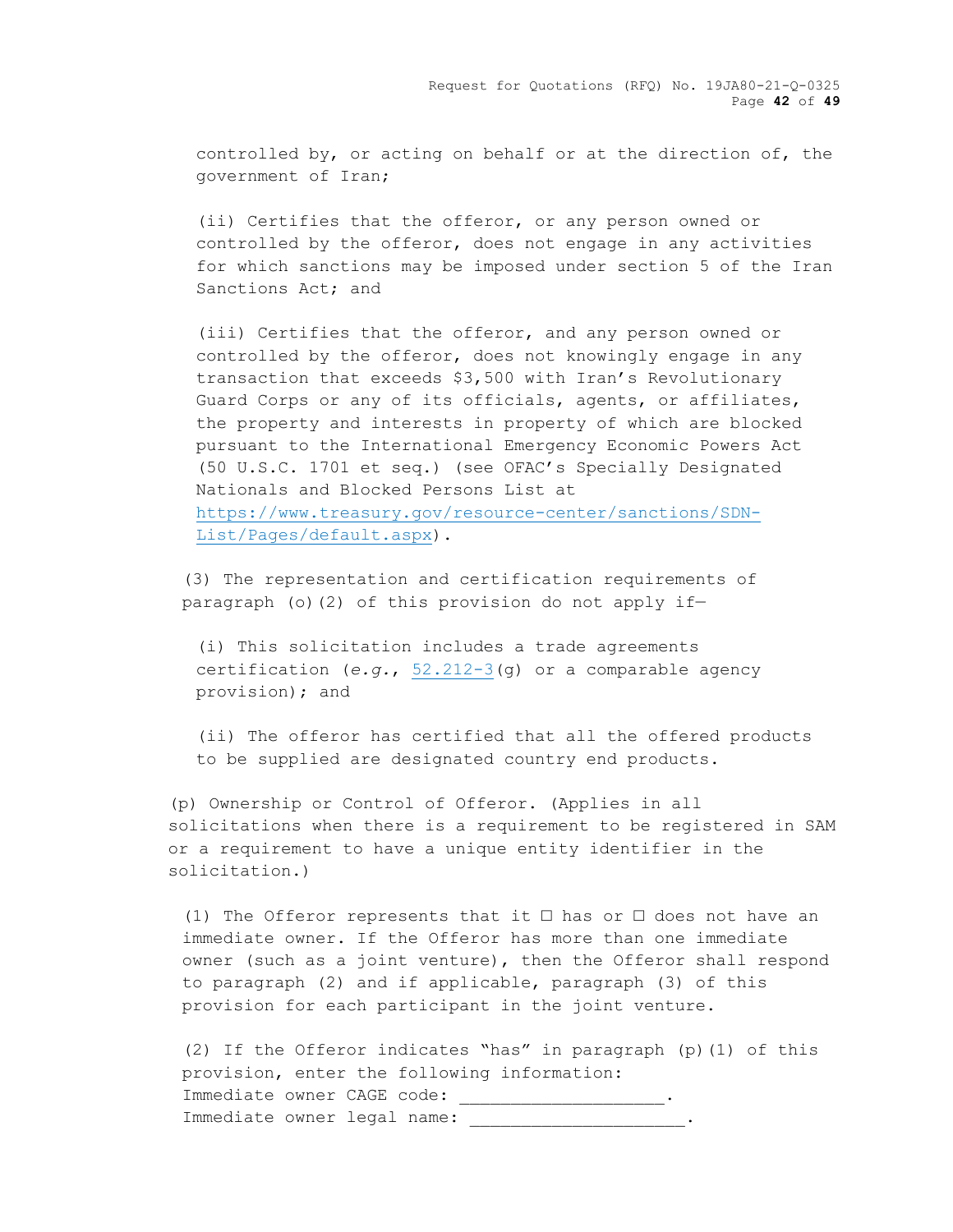Request for Quotations (RFQ) No. 19JA80-21-Q-0325 Page **42** of **49**

controlled by, or acting on behalf or at the direction of, the government of Iran;

(ii) Certifies that the offeror, or any person owned or controlled by the offeror, does not engage in any activities for which sanctions may be imposed under section 5 of the Iran Sanctions Act; and

(iii) Certifies that the offeror, and any person owned or controlled by the offeror, does not knowingly engage in any transaction that exceeds \$3,500 with Iran's Revolutionary Guard Corps or any of its officials, agents, or affiliates, the property and interests in property of which are blocked pursuant to the International Emergency Economic Powers Act (50 U.S.C. 1701 et seq.) (see OFAC's Specially Designated Nationals and Blocked Persons List at [https://www.treasury.gov/resource-center/sanctions/SDN-](https://www.treasury.gov/resource-center/sanctions/SDN-List/Pages/default.aspx)[List/Pages/default.aspx\)](https://www.treasury.gov/resource-center/sanctions/SDN-List/Pages/default.aspx).

(3) The representation and certification requirements of paragraph (o)(2) of this provision do not apply if—

(i) This solicitation includes a trade agreements certification (*e.g.*, [52.212-3\(](https://acquisition.gov/sites/default/files/current/far/html/52_212_213.html#wp1179194)g) or a comparable agency provision); and

(ii) The offeror has certified that all the offered products to be supplied are designated country end products.

(p) Ownership or Control of Offeror. (Applies in all solicitations when there is a requirement to be registered in SAM or a requirement to have a unique entity identifier in the solicitation.)

(1) The Offeror represents that it  $\square$  has or  $\square$  does not have an immediate owner. If the Offeror has more than one immediate owner (such as a joint venture), then the Offeror shall respond to paragraph (2) and if applicable, paragraph (3) of this provision for each participant in the joint venture.

(2) If the Offeror indicates "has" in paragraph (p)(1) of this provision, enter the following information: Immediate owner CAGE code: \_\_\_\_\_\_\_\_\_\_\_\_\_\_\_\_\_\_\_\_. Immediate owner legal name: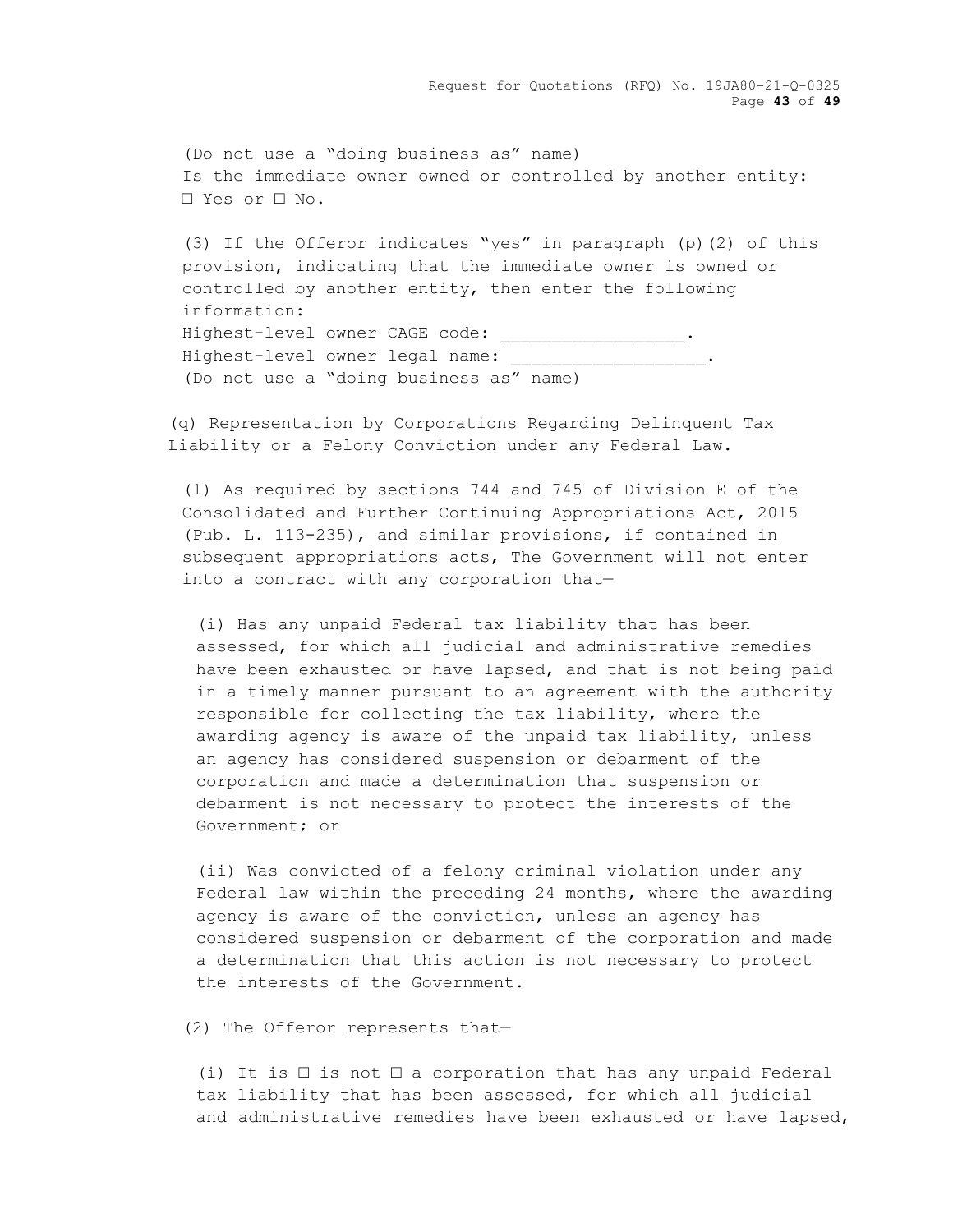Request for Quotations (RFQ) No. 19JA80-21-Q-0325 Page **43** of **49**

(Do not use a "doing business as" name) Is the immediate owner owned or controlled by another entity: □ Yes or □ No.

(3) If the Offeror indicates "yes" in paragraph (p)(2) of this provision, indicating that the immediate owner is owned or controlled by another entity, then enter the following information: Highest-level owner CAGE code: \_\_\_\_\_\_\_\_\_\_\_\_\_\_\_\_\_\_\_\_\_. Highest-level owner legal name: (Do not use a "doing business as" name)

(q) Representation by Corporations Regarding Delinquent Tax Liability or a Felony Conviction under any Federal Law.

(1) As required by sections 744 and 745 of Division E of the Consolidated and Further Continuing Appropriations Act, 2015 (Pub. L. 113-235), and similar provisions, if contained in subsequent appropriations acts, The Government will not enter into a contract with any corporation that—

(i) Has any unpaid Federal tax liability that has been assessed, for which all judicial and administrative remedies have been exhausted or have lapsed, and that is not being paid in a timely manner pursuant to an agreement with the authority responsible for collecting the tax liability, where the awarding agency is aware of the unpaid tax liability, unless an agency has considered suspension or debarment of the corporation and made a determination that suspension or debarment is not necessary to protect the interests of the Government; or

(ii) Was convicted of a felony criminal violation under any Federal law within the preceding 24 months, where the awarding agency is aware of the conviction, unless an agency has considered suspension or debarment of the corporation and made a determination that this action is not necessary to protect the interests of the Government.

(2) The Offeror represents that—

(i) It is  $\Box$  is not  $\Box$  a corporation that has any unpaid Federal tax liability that has been assessed, for which all judicial and administrative remedies have been exhausted or have lapsed,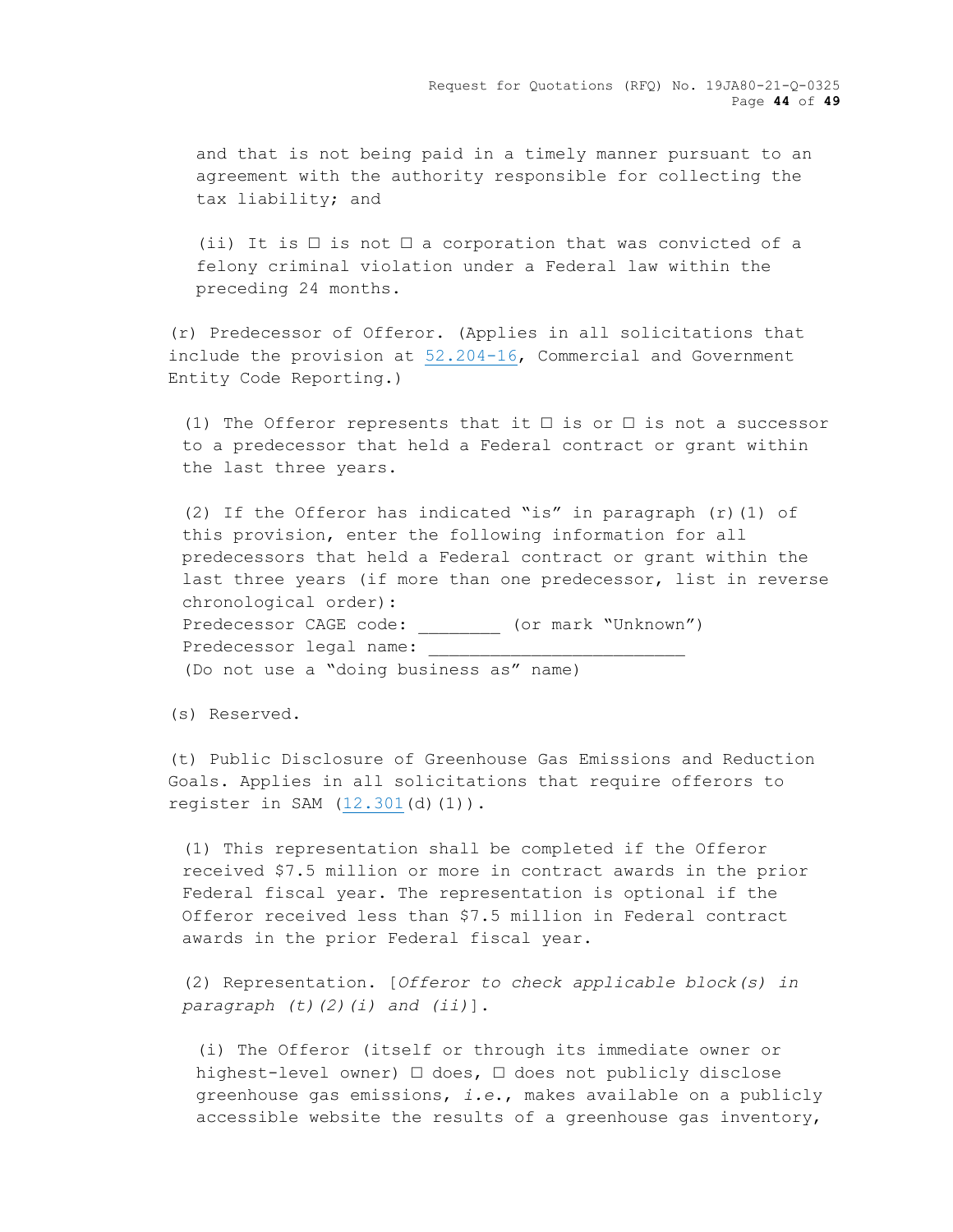and that is not being paid in a timely manner pursuant to an agreement with the authority responsible for collecting the tax liability; and

(ii) It is  $\Box$  is not  $\Box$  a corporation that was convicted of a felony criminal violation under a Federal law within the preceding 24 months.

(r) Predecessor of Offeror. (Applies in all solicitations that include the provision at [52.204-16,](https://acquisition.gov/sites/default/files/current/far/html/52_200_206.html#wp1152012) Commercial and Government Entity Code Reporting.)

(1) The Offeror represents that it  $\square$  is or  $\square$  is not a successor to a predecessor that held a Federal contract or grant within the last three years.

(2) If the Offeror has indicated "is" in paragraph  $(r)$  (1) of this provision, enter the following information for all predecessors that held a Federal contract or grant within the last three years (if more than one predecessor, list in reverse chronological order): Predecessor CAGE code:  $($ or mark "Unknown") Predecessor legal name: (Do not use a "doing business as" name)

(s) Reserved.

(t) Public Disclosure of Greenhouse Gas Emissions and Reduction Goals. Applies in all solicitations that require offerors to register in SAM [\(12.301\(](https://acquisition.gov/sites/default/files/current/far/html/Subpart%2012_3.html#wp1084399)d)(1)).

(1) This representation shall be completed if the Offeror received \$7.5 million or more in contract awards in the prior Federal fiscal year. The representation is optional if the Offeror received less than \$7.5 million in Federal contract awards in the prior Federal fiscal year.

(2) Representation. [*Offeror to check applicable block(s) in paragraph (t)(2)(i) and (ii)*].

(i) The Offeror (itself or through its immediate owner or highest-level owner) □ does, □ does not publicly disclose greenhouse gas emissions, *i.e*., makes available on a publicly accessible website the results of a greenhouse gas inventory,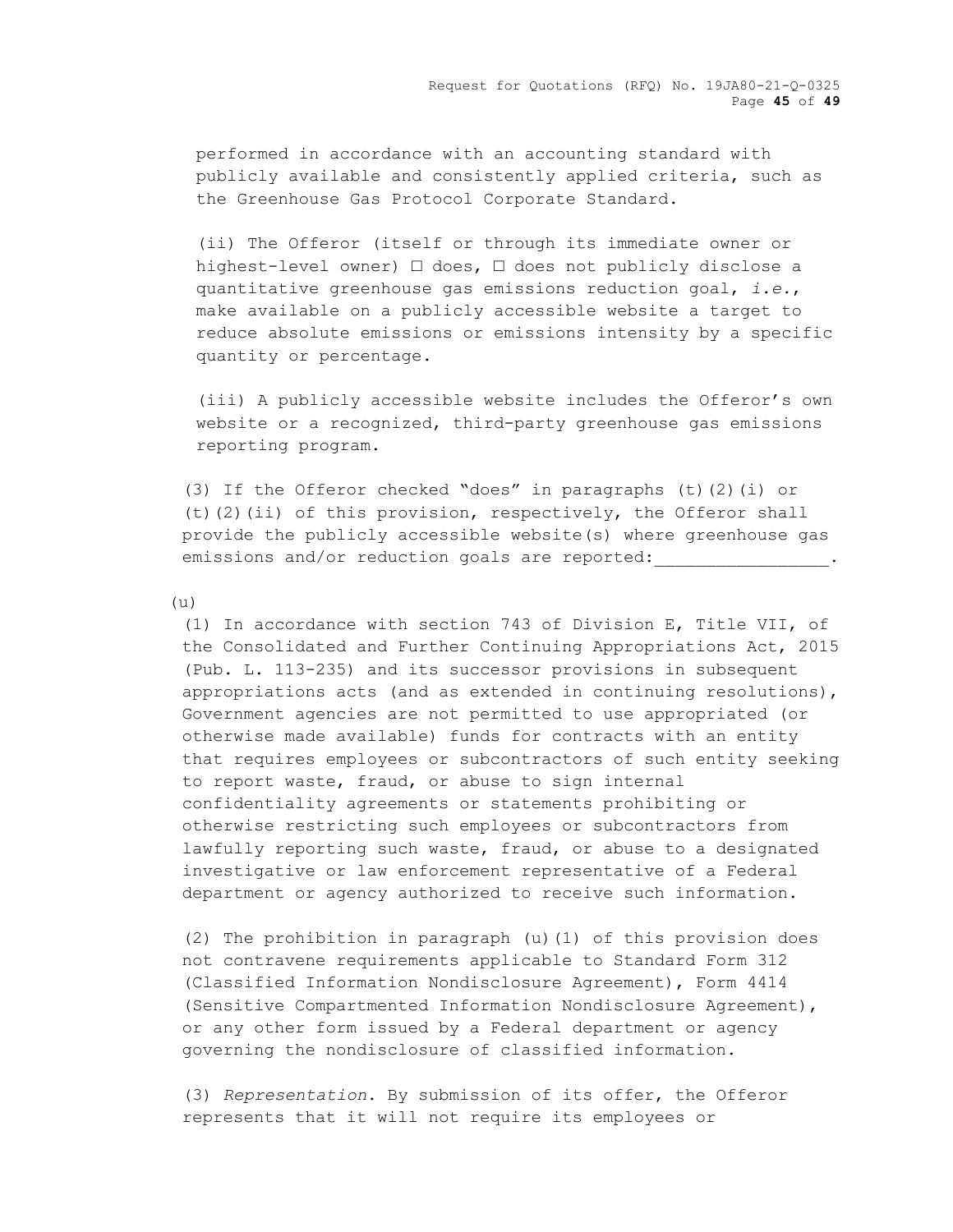performed in accordance with an accounting standard with publicly available and consistently applied criteria, such as the Greenhouse Gas Protocol Corporate Standard.

(ii) The Offeror (itself or through its immediate owner or highest-level owner) □ does, □ does not publicly disclose a quantitative greenhouse gas emissions reduction goal, *i.e.*, make available on a publicly accessible website a target to reduce absolute emissions or emissions intensity by a specific quantity or percentage.

(iii) A publicly accessible website includes the Offeror's own website or a recognized, third-party greenhouse gas emissions reporting program.

(3) If the Offeror checked "does" in paragraphs (t)(2)(i) or (t)(2)(ii) of this provision, respectively, the Offeror shall provide the publicly accessible website(s) where greenhouse gas emissions and/or reduction goals are reported:

(u)

(1) In accordance with section 743 of Division E, Title VII, of the Consolidated and Further Continuing Appropriations Act, 2015 (Pub. L. 113-235) and its successor provisions in subsequent appropriations acts (and as extended in continuing resolutions), Government agencies are not permitted to use appropriated (or otherwise made available) funds for contracts with an entity that requires employees or subcontractors of such entity seeking to report waste, fraud, or abuse to sign internal confidentiality agreements or statements prohibiting or otherwise restricting such employees or subcontractors from lawfully reporting such waste, fraud, or abuse to a designated investigative or law enforcement representative of a Federal department or agency authorized to receive such information.

(2) The prohibition in paragraph (u)(1) of this provision does not contravene requirements applicable to Standard Form 312 (Classified Information Nondisclosure Agreement), Form 4414 (Sensitive Compartmented Information Nondisclosure Agreement), or any other form issued by a Federal department or agency governing the nondisclosure of classified information.

(3) *Representation*. By submission of its offer, the Offeror represents that it will not require its employees or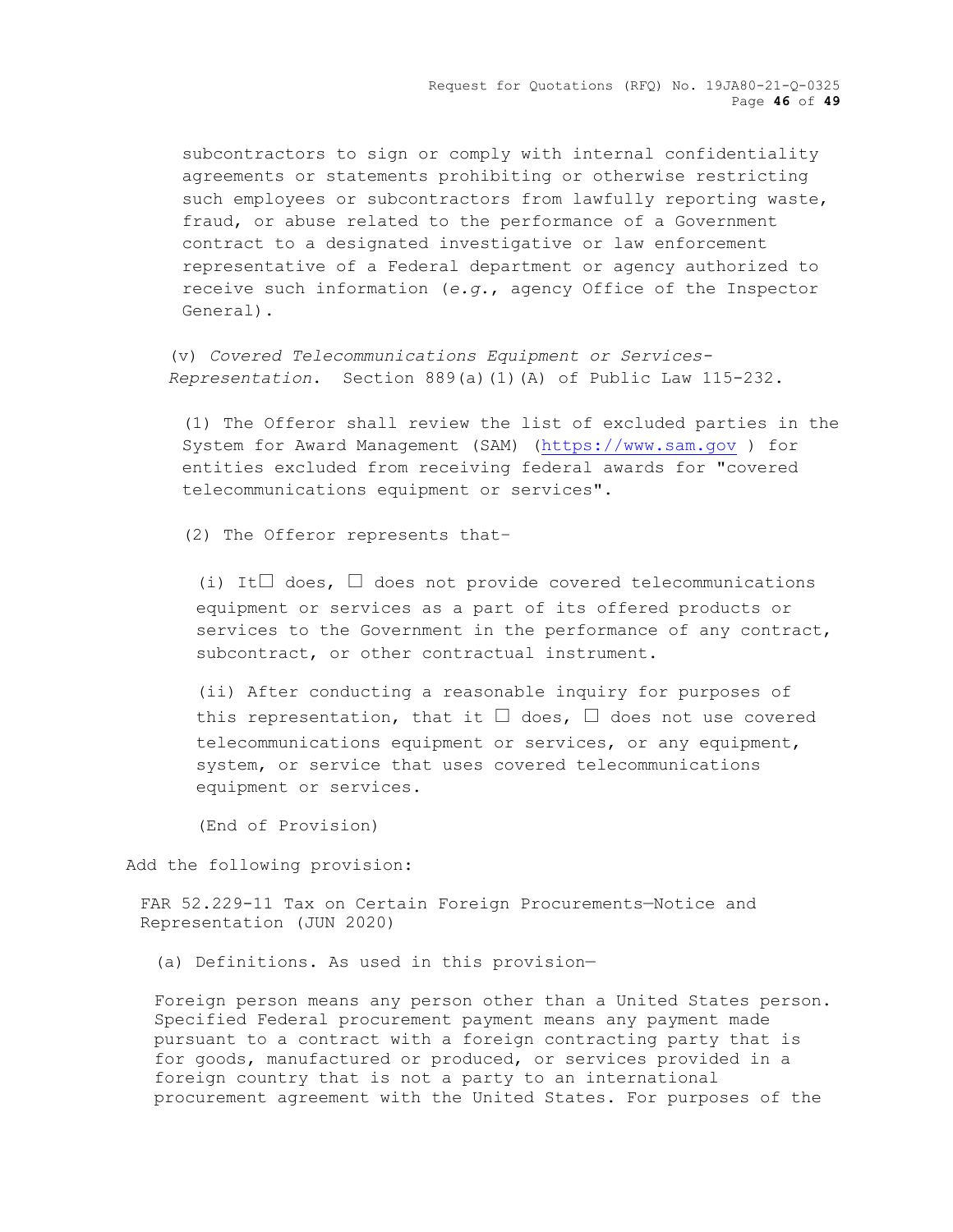Request for Quotations (RFQ) No. 19JA80-21-Q-0325 Page **46** of **49**

subcontractors to sign or comply with internal confidentiality agreements or statements prohibiting or otherwise restricting such employees or subcontractors from lawfully reporting waste, fraud, or abuse related to the performance of a Government contract to a designated investigative or law enforcement representative of a Federal department or agency authorized to receive such information (*e.g*., agency Office of the Inspector General).

(v) *Covered Telecommunications Equipment or Services-Representation*. Section 889(a)(1)(A) of Public Law 115-232.

(1) The Offeror shall review the list of excluded parties in the System for Award Management (SAM) [\(https://www.sam.gov](https://www.sam.gov/) ) for entities excluded from receiving federal awards for "covered telecommunications equipment or services".

(2) The Offeror represents that–

(i) It $\Box$  does,  $\Box$  does not provide covered telecommunications equipment or services as a part of its offered products or services to the Government in the performance of any contract, subcontract, or other contractual instrument.

(ii) After conducting a reasonable inquiry for purposes of this representation, that it  $\square$  does,  $\square$  does not use covered telecommunications equipment or services, or any equipment, system, or service that uses covered telecommunications equipment or services.

(End of Provision)

Add the following provision:

FAR 52.229-11 Tax on Certain Foreign Procurements—Notice and Representation (JUN 2020)

(a) Definitions. As used in this provision—

Foreign person means any person other than a United States person. Specified Federal procurement payment means any payment made pursuant to a contract with a foreign contracting party that is for goods, manufactured or produced, or services provided in a foreign country that is not a party to an international procurement agreement with the United States. For purposes of the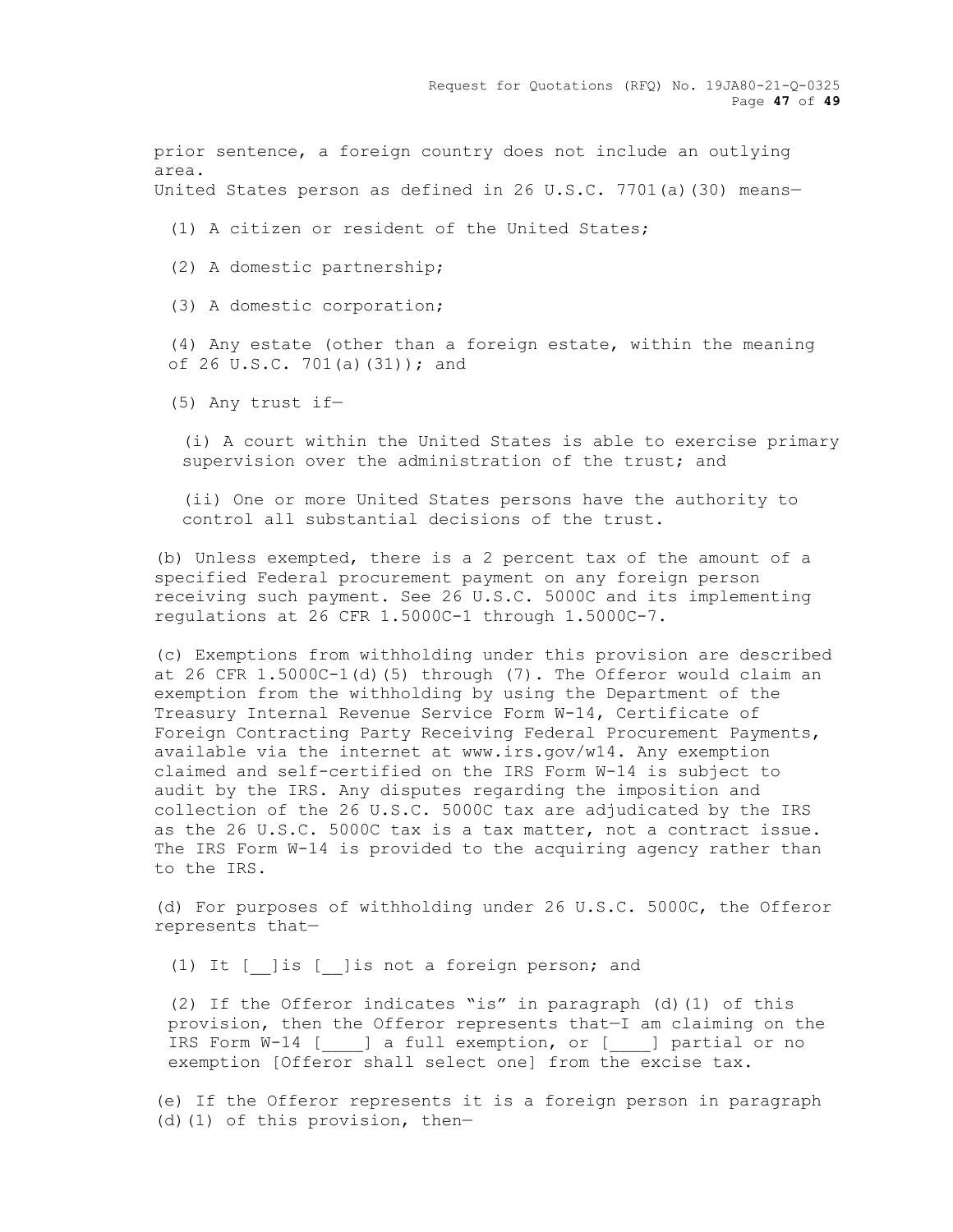Request for Quotations (RFQ) No. 19JA80-21-Q-0325 Page **47** of **49**

prior sentence, a foreign country does not include an outlying area.

United States person as defined in 26 U.S.C. 7701(a)(30) means—

(1) A citizen or resident of the United States;

(2) A domestic partnership;

(3) A domestic corporation;

(4) Any estate (other than a foreign estate, within the meaning of 26 U.S.C. 701(a)(31)); and

(5) Any trust if—

(i) A court within the United States is able to exercise primary supervision over the administration of the trust; and

(ii) One or more United States persons have the authority to control all substantial decisions of the trust.

(b) Unless exempted, there is a 2 percent tax of the amount of a specified Federal procurement payment on any foreign person receiving such payment. See 26 U.S.C. 5000C and its implementing regulations at 26 CFR 1.5000C-1 through 1.5000C-7.

(c) Exemptions from withholding under this provision are described at 26 CFR 1.5000C-1(d)(5) through (7). The Offeror would claim an exemption from the withholding by using the Department of the Treasury Internal Revenue Service Form W-14, Certificate of Foreign Contracting Party Receiving Federal Procurement Payments, available via the internet at www.irs.gov/w14. Any exemption claimed and self-certified on the IRS Form W-14 is subject to audit by the IRS. Any disputes regarding the imposition and collection of the 26 U.S.C. 5000C tax are adjudicated by the IRS as the 26 U.S.C. 5000C tax is a tax matter, not a contract issue. The IRS Form W-14 is provided to the acquiring agency rather than to the IRS.

(d) For purposes of withholding under 26 U.S.C. 5000C, the Offeror represents that—

(1) It [\_\_]is [\_\_]is not a foreign person; and

(2) If the Offeror indicates "is" in paragraph (d)(1) of this provision, then the Offeror represents that—I am claiming on the IRS Form W-14 [\_\_\_\_] a full exemption, or [\_\_\_\_] partial or no exemption [Offeror shall select one] from the excise tax.

(e) If the Offeror represents it is a foreign person in paragraph (d)(1) of this provision, then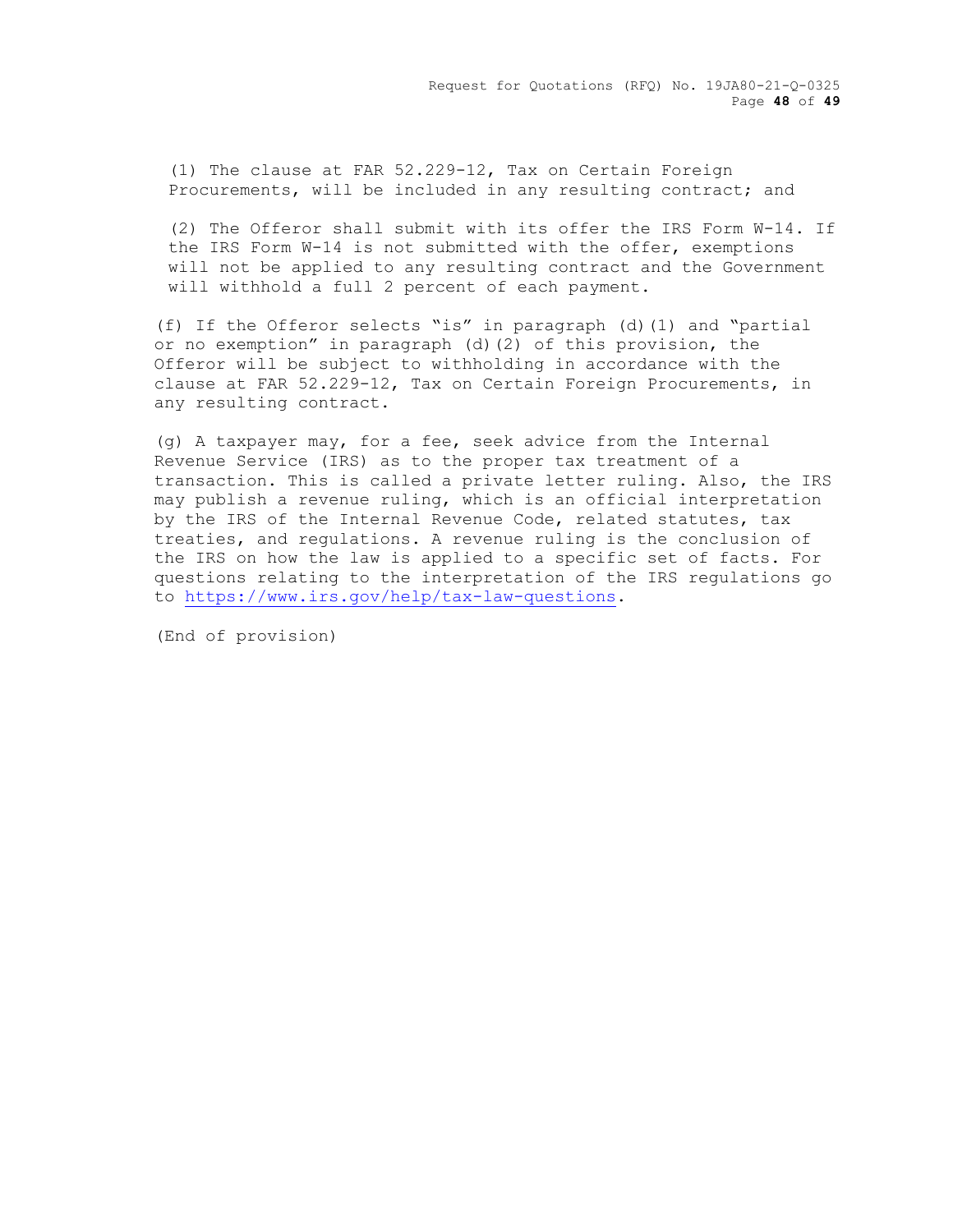(1) The clause at FAR 52.229-12, Tax on Certain Foreign Procurements, will be included in any resulting contract; and

(2) The Offeror shall submit with its offer the IRS Form W-14. If the IRS Form W-14 is not submitted with the offer, exemptions will not be applied to any resulting contract and the Government will withhold a full 2 percent of each payment.

(f) If the Offeror selects "is" in paragraph (d)(1) and "partial or no exemption" in paragraph (d)(2) of this provision, the Offeror will be subject to withholding in accordance with the clause at FAR 52.229-12, Tax on Certain Foreign Procurements, in any resulting contract.

(g) A taxpayer may, for a fee, seek advice from the Internal Revenue Service (IRS) as to the proper tax treatment of a transaction. This is called a private letter ruling. Also, the IRS may publish a revenue ruling, which is an official interpretation by the IRS of the Internal Revenue Code, related statutes, tax treaties, and regulations. A revenue ruling is the conclusion of the IRS on how the law is applied to a specific set of facts. For questions relating to the interpretation of the IRS regulations go to [https://www.irs.gov/help/tax-law-questions.](https://www.irs.gov/help/tax-law-questions)

(End of provision)